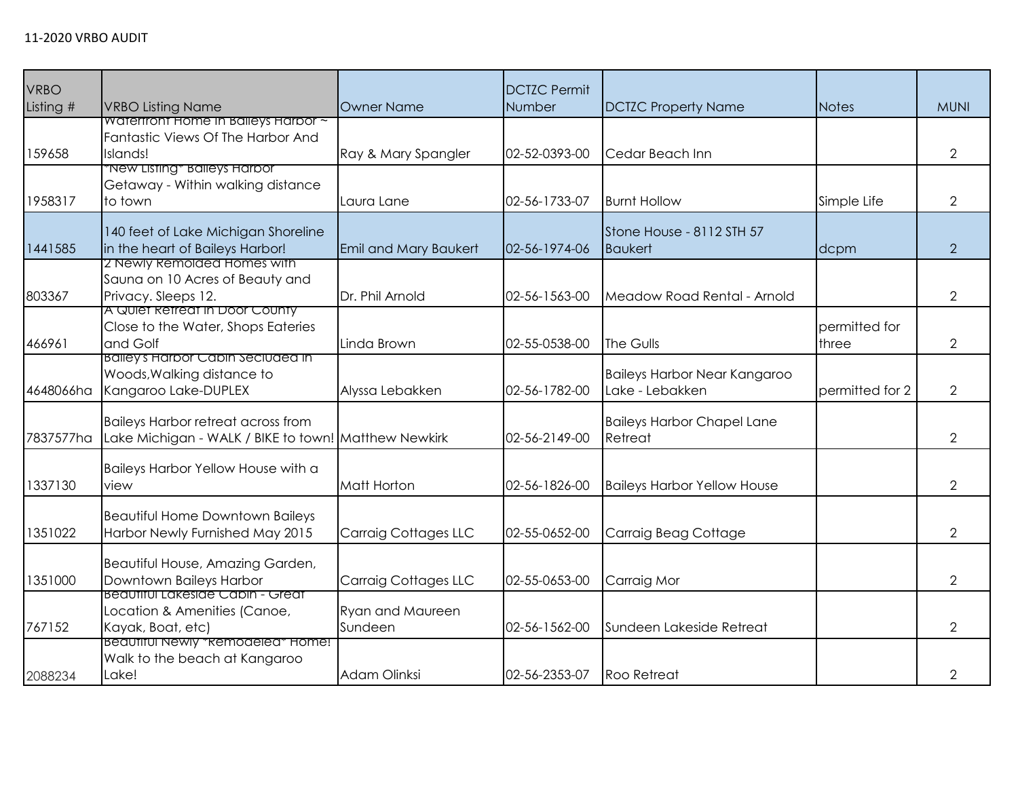| <b>VRBO</b><br>Listing # | <b>VRBO Listing Name</b>                                                                          | <b>Owner Name</b>                  | <b>DCTZC Permit</b><br>Number | <b>DCTZC Property Name</b>                      | <b>Notes</b>           | <b>MUNI</b>    |
|--------------------------|---------------------------------------------------------------------------------------------------|------------------------------------|-------------------------------|-------------------------------------------------|------------------------|----------------|
| 159658                   | <b>Waterfront Home In Balleys Harbor ~</b><br>Fantastic Views Of The Harbor And<br>Islands!       | Ray & Mary Spangler                | 02-52-0393-00                 | Cedar Beach Inn                                 |                        | $\overline{2}$ |
| 1958317                  | *New Listing* Baileys Harbor<br>Getaway - Within walking distance<br>to town                      | Laura Lane                         | 02-56-1733-07                 | <b>Burnt Hollow</b>                             | Simple Life            | $\overline{2}$ |
| 1441585                  | 140 feet of Lake Michigan Shoreline<br>in the heart of Baileys Harbor!                            | <b>Emil and Mary Baukert</b>       | 02-56-1974-06                 | Stone House - 8112 STH 57<br><b>Baukert</b>     | dcpm                   | 2              |
| 803367                   | z Newly Remolded Homes with<br>Sauna on 10 Acres of Beauty and<br>Privacy. Sleeps 12.             | Dr. Phil Arnold                    | 02-56-1563-00                 | Meadow Road Rental - Arnold                     |                        | $\overline{2}$ |
| 466961                   | A Quiet Retreat in Door County<br>Close to the Water, Shops Eateries<br>and Golf                  | Linda Brown                        | 02-55-0538-00                 | The Gulls                                       | permitted for<br>three | $\overline{2}$ |
| 4648066ha                | Balley's Harbor Cabin Seciuded in<br>Woods, Walking distance to<br>Kangaroo Lake-DUPLEX           | Alyssa Lebakken                    | 02-56-1782-00                 | Baileys Harbor Near Kangaroo<br>Lake - Lebakken | permitted for 2        | $\overline{2}$ |
| 7837577ha                | <b>Baileys Harbor retreat across from</b><br>Lake Michigan - WALK / BIKE to town! Matthew Newkirk |                                    | 02-56-2149-00                 | <b>Baileys Harbor Chapel Lane</b><br>Retreat    |                        | $\overline{2}$ |
| 1337130                  | Baileys Harbor Yellow House with a<br>view                                                        | Matt Horton                        | 02-56-1826-00                 | <b>Baileys Harbor Yellow House</b>              |                        | $\overline{2}$ |
| 1351022                  | <b>Beautiful Home Downtown Baileys</b><br>Harbor Newly Furnished May 2015                         | <b>Carraig Cottages LLC</b>        | 02-55-0652-00                 | Carraig Beag Cottage                            |                        | $\overline{2}$ |
| 1351000                  | Beautiful House, Amazing Garden,<br>Downtown Baileys Harbor                                       | <b>Carraig Cottages LLC</b>        | 02-55-0653-00                 | Carraig Mor                                     |                        | $\overline{2}$ |
| 767152                   | Beautiful Lakeside Cabin - Great<br>Location & Amenities (Canoe,<br>Kayak, Boat, etc)             | <b>Ryan and Maureen</b><br>Sundeen | 02-56-1562-00                 | Sundeen Lakeside Retreat                        |                        | $\overline{2}$ |
| 2088234                  | Beautiful Newly *Remodeled* Home!<br>Walk to the beach at Kangaroo<br>Lake!                       | Adam Olinksi                       | 02-56-2353-07                 | <b>Roo Retreat</b>                              |                        | 2              |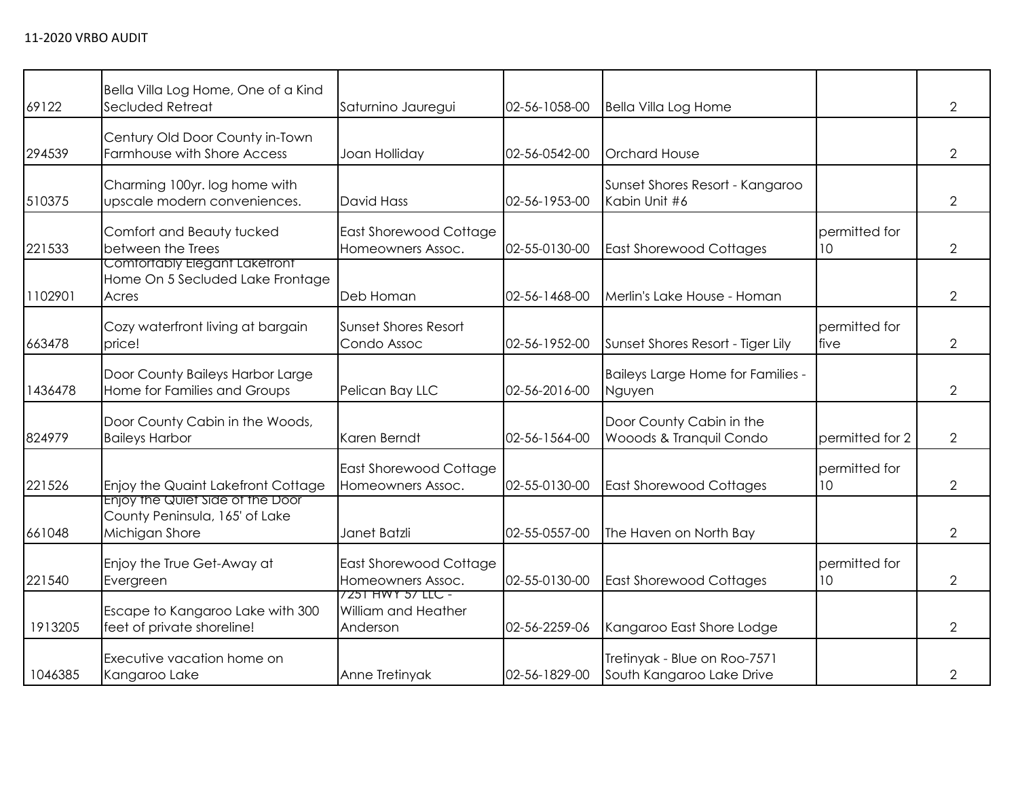| 69122   | Bella Villa Log Home, One of a Kind<br>Secluded Retreat                              | Saturnino Jauregui                                   | 02-56-1058-00 | <b>Bella Villa Log Home</b>                               |                                  | $\overline{2}$ |
|---------|--------------------------------------------------------------------------------------|------------------------------------------------------|---------------|-----------------------------------------------------------|----------------------------------|----------------|
| 294539  | Century Old Door County in-Town<br>Farmhouse with Shore Access                       | Joan Holliday                                        | 02-56-0542-00 | <b>Orchard House</b>                                      |                                  | $\overline{2}$ |
| 510375  | Charming 100yr. log home with<br>upscale modern conveniences.                        | David Hass                                           | 02-56-1953-00 | Sunset Shores Resort - Kangaroo<br>Kabin Unit #6          |                                  | $\overline{2}$ |
| 221533  | Comfort and Beauty tucked<br>between the Trees                                       | East Shorewood Cottage<br>Homeowners Assoc.          | 02-55-0130-00 | <b>East Shorewood Cottages</b>                            | permitted for<br>10 <sup>°</sup> | $\overline{2}$ |
| 1102901 | Comfortably Elegant Lakefront<br>Home On 5 Secluded Lake Frontage<br>Acres           | Deb Homan                                            | 02-56-1468-00 | Merlin's Lake House - Homan                               |                                  | $\overline{2}$ |
| 663478  | Cozy waterfront living at bargain<br>price!                                          | <b>Sunset Shores Resort</b><br>Condo Assoc           | 02-56-1952-00 | Sunset Shores Resort - Tiger Lily                         | permitted for<br>five            | $\overline{2}$ |
| 1436478 | Door County Baileys Harbor Large<br>Home for Families and Groups                     | Pelican Bay LLC                                      | 02-56-2016-00 | Baileys Large Home for Families -<br>Nguyen               |                                  | $\overline{2}$ |
| 824979  | Door County Cabin in the Woods,<br><b>Baileys Harbor</b>                             | Karen Berndt                                         | 02-56-1564-00 | Door County Cabin in the<br>Wooods & Tranquil Condo       | permitted for 2                  | $\overline{2}$ |
| 221526  | Enjoy the Quaint Lakefront Cottage                                                   | East Shorewood Cottage<br>Homeowners Assoc.          | 02-55-0130-00 | <b>East Shorewood Cottages</b>                            | permitted for<br>10              | $\overline{2}$ |
| 661048  | Enjoy the Quiet side of the Door<br>County Peninsula, 165' of Lake<br>Michigan Shore | Janet Batzli                                         | 02-55-0557-00 | The Haven on North Bay                                    |                                  | $\overline{2}$ |
| 221540  | Enjoy the True Get-Away at<br>Evergreen                                              | <b>East Shorewood Cottage</b><br>Homeowners Assoc.   | 02-55-0130-00 | <b>East Shorewood Cottages</b>                            | permitted for<br>10 <sup>°</sup> | $\overline{2}$ |
| 1913205 | Escape to Kangaroo Lake with 300<br>feet of private shoreline!                       | 7251 HWY 57 LLC -<br>William and Heather<br>Anderson | 02-56-2259-06 | Kangaroo East Shore Lodge                                 |                                  | $\overline{2}$ |
| 1046385 | Executive vacation home on<br>Kangaroo Lake                                          | Anne Tretinyak                                       | 02-56-1829-00 | Tretinyak - Blue on Roo-7571<br>South Kangaroo Lake Drive |                                  | 2              |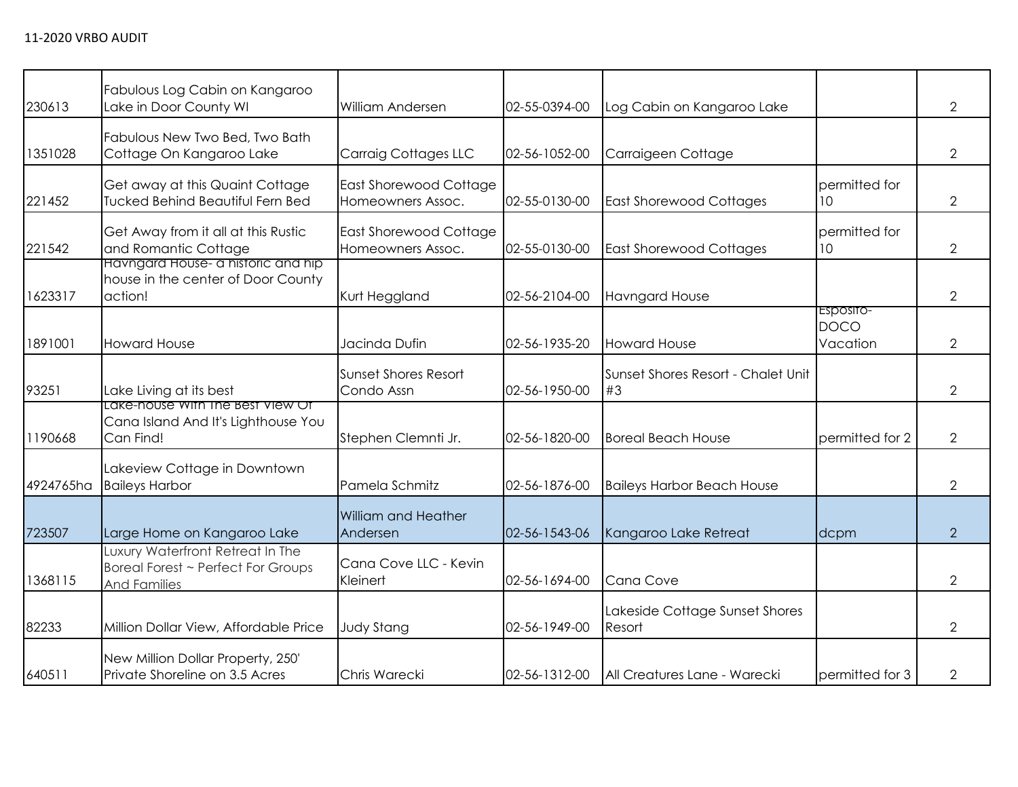| 230613    | Fabulous Log Cabin on Kangaroo<br>Lake in Door County WI                                      | William Andersen                                   | 02-55-0394-00 | Log Cabin on Kangaroo Lake               |                                      | $\overline{2}$ |
|-----------|-----------------------------------------------------------------------------------------------|----------------------------------------------------|---------------|------------------------------------------|--------------------------------------|----------------|
| 1351028   | Fabulous New Two Bed, Two Bath<br>Cottage On Kangaroo Lake                                    | <b>Carraig Cottages LLC</b>                        | 02-56-1052-00 | Carraigeen Cottage                       |                                      | $\overline{2}$ |
| 221452    | Get away at this Quaint Cottage<br><b>Tucked Behind Beautiful Fern Bed</b>                    | <b>East Shorewood Cottage</b><br>Homeowners Assoc. | 02-55-0130-00 | <b>East Shorewood Cottages</b>           | permitted for<br>10 <sup>°</sup>     | $\overline{2}$ |
| 221542    | Get Away from it all at this Rustic<br>and Romantic Cottage                                   | <b>East Shorewood Cottage</b><br>Homeowners Assoc. | 02-55-0130-00 | <b>East Shorewood Cottages</b>           | permitted for<br>10 <sup>°</sup>     | $\overline{2}$ |
| 1623317   | Havngara House- a historic and hip<br>house in the center of Door County<br>action!           | Kurt Heggland                                      | 02-56-2104-00 | <b>Havngard House</b>                    |                                      | $\overline{2}$ |
| 1891001   | <b>Howard House</b>                                                                           | Jacinda Dufin                                      | 02-56-1935-20 | <b>Howard House</b>                      | ESposito-<br><b>DOCO</b><br>Vacation | $\overline{2}$ |
| 93251     | Lake Living at its best                                                                       | <b>Sunset Shores Resort</b><br>Condo Assn          | 02-56-1950-00 | Sunset Shores Resort - Chalet Unit<br>#3 |                                      | $\overline{2}$ |
| 1190668   | Lake-house with the Best View Of<br>Cana Island And It's Lighthouse You<br>Can Find!          | Stephen Clemnti Jr.                                | 02-56-1820-00 | <b>Boreal Beach House</b>                | permitted for 2                      | $\overline{2}$ |
| 4924765ha | Lakeview Cottage in Downtown<br><b>Baileys Harbor</b>                                         | Pamela Schmitz                                     | 02-56-1876-00 | <b>Baileys Harbor Beach House</b>        |                                      | $\overline{2}$ |
| 723507    | Large Home on Kangaroo Lake                                                                   | William and Heather<br>Andersen                    | 02-56-1543-06 | Kangaroo Lake Retreat                    | dcpm                                 | 2              |
| 1368115   | Luxury Waterfront Retreat In The<br>Boreal Forest ~ Perfect For Groups<br><b>And Families</b> | Cana Cove LLC - Kevin<br>Kleinert                  | 02-56-1694-00 | Cana Cove                                |                                      | $\overline{2}$ |
| 82233     | Million Dollar View, Affordable Price                                                         | <b>Judy Stang</b>                                  | 02-56-1949-00 | Lakeside Cottage Sunset Shores<br>Resort |                                      | 2              |
| 640511    | New Million Dollar Property, 250'<br>Private Shoreline on 3.5 Acres                           | Chris Warecki                                      | 02-56-1312-00 | All Creatures Lane - Warecki             | permitted for 3                      | $\overline{2}$ |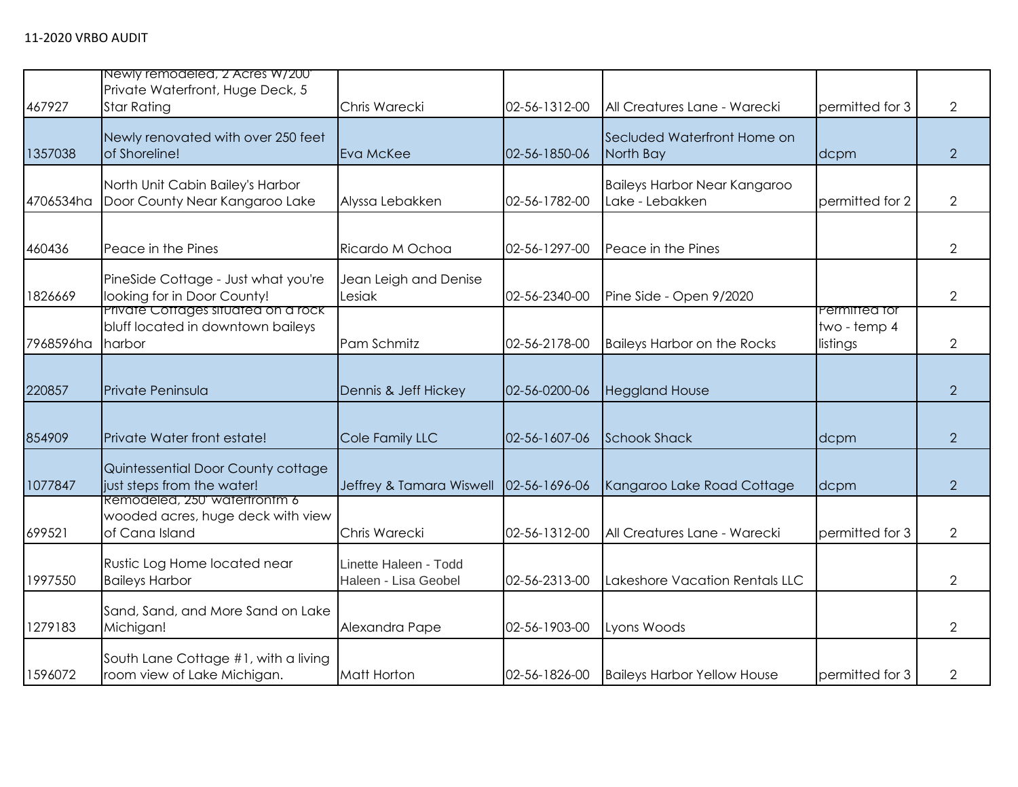|           | Newly remodeled, 2 Acres W/200                                                      |                                               |               |                                                        |                                           |                |
|-----------|-------------------------------------------------------------------------------------|-----------------------------------------------|---------------|--------------------------------------------------------|-------------------------------------------|----------------|
| 467927    | Private Waterfront, Huge Deck, 5<br><b>Star Rating</b>                              | Chris Warecki                                 | 02-56-1312-00 | All Creatures Lane - Warecki                           | permitted for 3                           | $\overline{2}$ |
| 1357038   | Newly renovated with over 250 feet<br>of Shoreline!                                 | Eva McKee                                     | 02-56-1850-06 | Secluded Waterfront Home on<br>North Bay               | dcpm                                      | 2              |
| 4706534ha | North Unit Cabin Bailey's Harbor<br>Door County Near Kangaroo Lake                  | Alyssa Lebakken                               | 02-56-1782-00 | <b>Baileys Harbor Near Kangaroo</b><br>Lake - Lebakken | permitted for 2                           | $\overline{2}$ |
| 460436    | Peace in the Pines                                                                  | Ricardo M Ochoa                               | 02-56-1297-00 | Peace in the Pines                                     |                                           | $\overline{2}$ |
| 1826669   | PineSide Cottage - Just what you're<br>looking for in Door County!                  | Jean Leigh and Denise<br>Lesiak               | 02-56-2340-00 | Pine Side - Open 9/2020                                |                                           | $\overline{2}$ |
| 7968596ha | Private Cottages situated on a rock<br>bluff located in downtown baileys<br>harbor  | Pam Schmitz                                   | 02-56-2178-00 | <b>Baileys Harbor on the Rocks</b>                     | Permitted for<br>two - temp 4<br>listings | $\overline{2}$ |
| 220857    | Private Peninsula                                                                   | Dennis & Jeff Hickey                          | 02-56-0200-06 | <b>Heggland House</b>                                  |                                           | 2              |
| 854909    | Private Water front estate!                                                         | Cole Family LLC                               | 02-56-1607-06 | <b>Schook Shack</b>                                    | dcpm                                      | 2              |
| 1077847   | Quintessential Door County cottage<br>just steps from the water!                    | Jeffrey & Tamara Wiswell                      | 02-56-1696-06 | Kangaroo Lake Road Cottage                             | dcpm                                      | $\overline{2}$ |
| 699521    | Remodeled, 250 watertrontm 6<br>wooded acres, huge deck with view<br>of Cana Island | Chris Warecki                                 | 02-56-1312-00 | All Creatures Lane - Warecki                           | permitted for 3                           | $\overline{2}$ |
| 1997550   | Rustic Log Home located near<br><b>Baileys Harbor</b>                               | Linette Haleen - Todd<br>Haleen - Lisa Geobel | 02-56-2313-00 | Lakeshore Vacation Rentals LLC                         |                                           | 2              |
| 1279183   | Sand, Sand, and More Sand on Lake<br>Michigan!                                      | Alexandra Pape                                | 02-56-1903-00 | Lyons Woods                                            |                                           | 2              |
| 1596072   | South Lane Cottage #1, with a living<br>room view of Lake Michigan.                 | <b>Matt Horton</b>                            | 02-56-1826-00 | <b>Baileys Harbor Yellow House</b>                     | permitted for 3                           | 2              |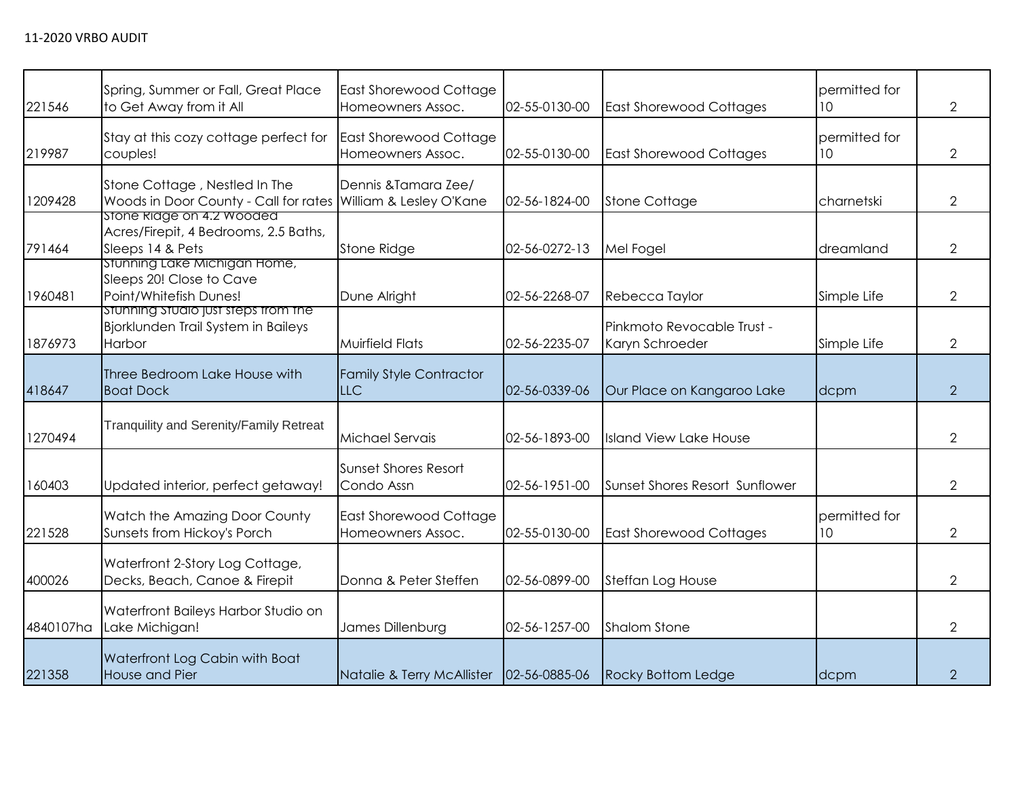| 221546    | Spring, Summer or Fall, Great Place<br>to Get Away from it All                                 | <b>East Shorewood Cottage</b><br>Homeowners Assoc. | 02-55-0130-00 | <b>East Shorewood Cottages</b>                | permitted for<br>10 <sup>°</sup> | $\overline{2}$ |
|-----------|------------------------------------------------------------------------------------------------|----------------------------------------------------|---------------|-----------------------------------------------|----------------------------------|----------------|
| 219987    | Stay at this cozy cottage perfect for<br>couples!                                              | <b>East Shorewood Cottage</b><br>Homeowners Assoc. | 02-55-0130-00 | <b>East Shorewood Cottages</b>                | permitted for<br>10 <sup>°</sup> | $\overline{2}$ |
| 1209428   | Stone Cottage, Nestled In The<br>Woods in Door County - Call for rates William & Lesley O'Kane | Dennis & Tamara Zee/                               | 02-56-1824-00 | <b>Stone Cottage</b>                          | charnetski                       | $\overline{2}$ |
| 791464    | stone kidge on 4.2 Wooded<br>Acres/Firepit, 4 Bedrooms, 2.5 Baths,<br>Sleeps 14 & Pets         | <b>Stone Ridge</b>                                 | 02-56-0272-13 | Mel Fogel                                     | dreamland                        | $\overline{2}$ |
| 1960481   | stunning Lake Michigan Home,<br>Sleeps 20! Close to Cave<br>Point/Whitefish Dunes!             | Dune Alright                                       | 02-56-2268-07 | Rebecca Taylor                                | Simple Life                      | $\overline{2}$ |
| 1876973   | Stunning Studio just steps from the<br>Bjorklunden Trail System in Baileys<br>Harbor           | <b>Muirfield Flats</b>                             | 02-56-2235-07 | Pinkmoto Revocable Trust -<br>Karyn Schroeder | Simple Life                      | $\overline{2}$ |
| 418647    | Three Bedroom Lake House with<br><b>Boat Dock</b>                                              | <b>Family Style Contractor</b><br><b>LLC</b>       | 02-56-0339-06 | Our Place on Kangaroo Lake                    | dcpm                             | 2              |
| 1270494   | <b>Tranquility and Serenity/Family Retreat</b>                                                 | Michael Servais                                    | 02-56-1893-00 | <b>Island View Lake House</b>                 |                                  | $\overline{2}$ |
| 160403    | Updated interior, perfect getaway!                                                             | Sunset Shores Resort<br>Condo Assn                 | 02-56-1951-00 | Sunset Shores Resort Sunflower                |                                  | $\overline{2}$ |
| 221528    | Watch the Amazing Door County<br>Sunsets from Hickoy's Porch                                   | <b>East Shorewood Cottage</b><br>Homeowners Assoc. | 02-55-0130-00 | <b>East Shorewood Cottages</b>                | permitted for<br>10              | $\overline{2}$ |
| 400026    | Waterfront 2-Story Log Cottage,<br>Decks, Beach, Canoe & Firepit                               | Donna & Peter Steffen                              | 02-56-0899-00 | Steffan Log House                             |                                  | $\overline{2}$ |
| 4840107ha | Waterfront Baileys Harbor Studio on<br>Lake Michigan!                                          | James Dillenburg                                   | 02-56-1257-00 | <b>Shalom Stone</b>                           |                                  | $\overline{2}$ |
| 221358    | Waterfront Log Cabin with Boat<br>House and Pier                                               | Natalie & Terry McAllister                         | 02-56-0885-06 | <b>Rocky Bottom Ledge</b>                     | dcpm                             | $\overline{2}$ |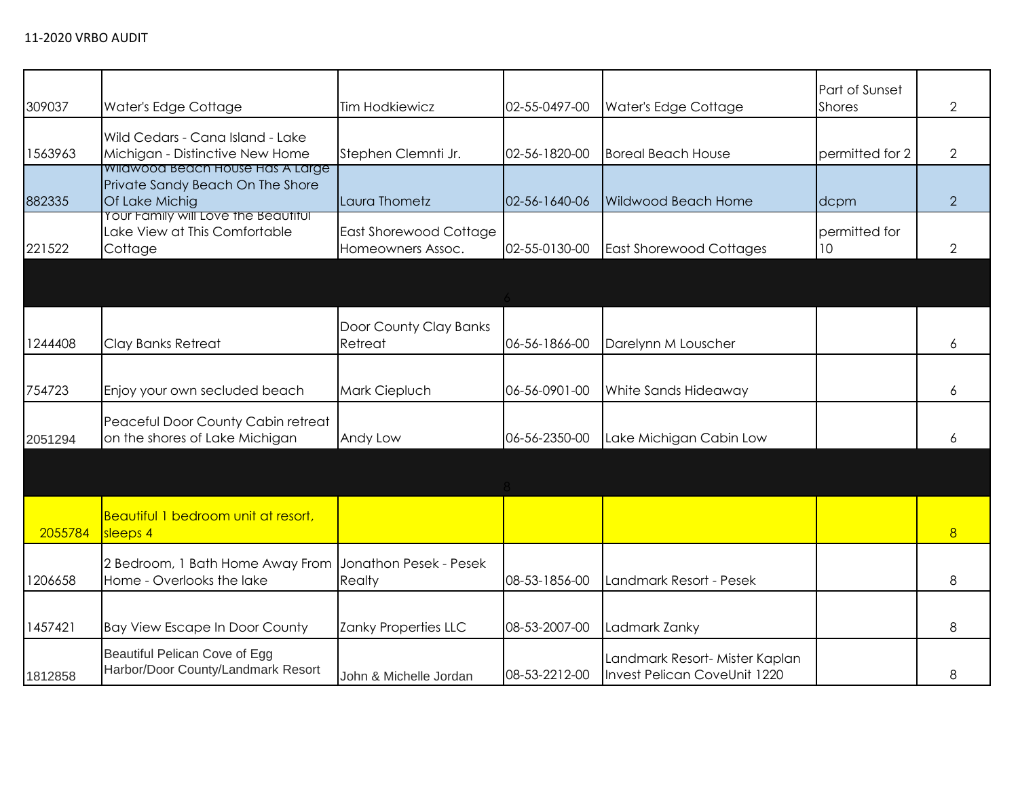| 309037  | Water's Edge Cottage                                                                   | <b>Tim Hodkiewicz</b>                       | 02-55-0497-00 | Water's Edge Cottage                                           | Part of Sunset<br><b>Shores</b>  | 2              |
|---------|----------------------------------------------------------------------------------------|---------------------------------------------|---------------|----------------------------------------------------------------|----------------------------------|----------------|
| 1563963 | Wild Cedars - Cana Island - Lake<br>Michigan - Distinctive New Home                    | Stephen Clemnti Jr.                         | 02-56-1820-00 | <b>Boreal Beach House</b>                                      | permitted for 2                  | $\overline{2}$ |
| 882335  | Wildwood Beach House Has A Large<br>Private Sandy Beach On The Shore<br>Of Lake Michig | Laura Thometz                               | 02-56-1640-06 | <b>Wildwood Beach Home</b>                                     | dcpm                             | $\overline{2}$ |
| 221522  | Your Family will Love the Beautiful<br>Lake View at This Comfortable<br>Cottage        | East Shorewood Cottage<br>Homeowners Assoc. | 02-55-0130-00 | <b>East Shorewood Cottages</b>                                 | permitted for<br>10 <sup>°</sup> | $\overline{2}$ |
|         |                                                                                        |                                             |               |                                                                |                                  |                |
| 1244408 | Clay Banks Retreat                                                                     | Door County Clay Banks<br>Retreat           | 06-56-1866-00 | Darelynn M Louscher                                            |                                  | 6              |
| 754723  | Enjoy your own secluded beach                                                          | Mark Ciepluch                               | 06-56-0901-00 | White Sands Hideaway                                           |                                  | 6              |
| 2051294 | Peaceful Door County Cabin retreat<br>on the shores of Lake Michigan                   | Andy Low                                    | 06-56-2350-00 | Lake Michigan Cabin Low                                        |                                  | 6              |
|         |                                                                                        |                                             |               |                                                                |                                  |                |
| 2055784 | <b>Beautiful 1 bedroom unit at resort,</b><br>sleeps 4                                 |                                             |               |                                                                |                                  | 8              |
| 1206658 | 2 Bedroom, 1 Bath Home Away From<br>Home - Overlooks the lake                          | Jonathon Pesek - Pesek<br>Realty            | 08-53-1856-00 | Landmark Resort - Pesek                                        |                                  | 8              |
| 1457421 | <b>Bay View Escape In Door County</b>                                                  | Zanky Properties LLC                        | 08-53-2007-00 | Ladmark Zanky                                                  |                                  | 8              |
| 1812858 | Beautiful Pelican Cove of Egg<br>Harbor/Door County/Landmark Resort                    | John & Michelle Jordan                      | 08-53-2212-00 | Landmark Resort- Mister Kaplan<br>Invest Pelican CoveUnit 1220 |                                  | 8              |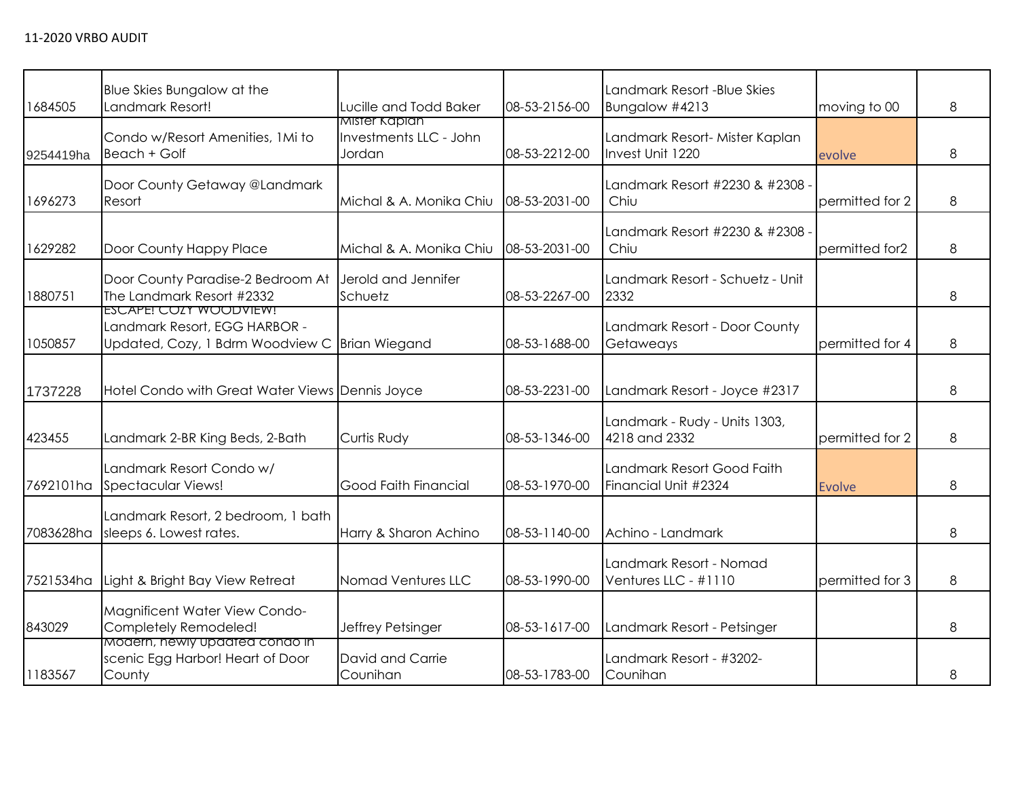|           | Blue Skies Bungalow at the                                                                                |                                         |               | Landmark Resort -Blue Skies                        |                 |   |
|-----------|-----------------------------------------------------------------------------------------------------------|-----------------------------------------|---------------|----------------------------------------------------|-----------------|---|
| 1684505   | Landmark Resort!                                                                                          | Lucille and Todd Baker<br>Mister Kaplan | 08-53-2156-00 | Bungalow #4213                                     | moving to 00    | 8 |
| 9254419ha | Condo w/Resort Amenities, 1Mi to<br>Beach + Golf                                                          | Investments LLC - John<br>Jordan        | 08-53-2212-00 | Landmark Resort- Mister Kaplan<br>Invest Unit 1220 | evolve          | 8 |
| 1696273   | Door County Getaway @Landmark<br>Resort                                                                   | Michal & A. Monika Chiu                 | 08-53-2031-00 | Landmark Resort #2230 & #2308 -<br>Chiu            | permitted for 2 | 8 |
| 1629282   | Door County Happy Place                                                                                   | Michal & A. Monika Chiu                 | 08-53-2031-00 | Landmark Resort #2230 & #2308 -<br>Chiu            | permitted for2  | 8 |
| 1880751   | Door County Paradise-2 Bedroom At<br>The Landmark Resort #2332                                            | Jerold and Jennifer<br>Schuetz          | 08-53-2267-00 | Landmark Resort - Schuetz - Unit<br>2332           |                 | 8 |
| 1050857   | ESCAPE! COZY WOODVIEW!<br>Landmark Resort, EGG HARBOR -<br>Updated, Cozy, 1 Bdrm Woodview C Brian Wiegand |                                         | 08-53-1688-00 | Landmark Resort - Door County<br>Getaweays         | permitted for 4 | 8 |
| 1737228   | Hotel Condo with Great Water Views Dennis Joyce                                                           |                                         | 08-53-2231-00 | Landmark Resort - Joyce #2317                      |                 | 8 |
| 423455    | Landmark 2-BR King Beds, 2-Bath                                                                           | Curtis Rudy                             | 08-53-1346-00 | Landmark - Rudy - Units 1303,<br>4218 and 2332     | permitted for 2 | 8 |
| 7692101ha | Landmark Resort Condo w/<br>Spectacular Views!                                                            | Good Faith Financial                    | 08-53-1970-00 | Landmark Resort Good Faith<br>Financial Unit #2324 | <b>Evolve</b>   | 8 |
| 7083628ha | Landmark Resort, 2 bedroom, 1 bath<br>sleeps 6. Lowest rates.                                             | Harry & Sharon Achino                   | 08-53-1140-00 | Achino - Landmark                                  |                 | 8 |
| 7521534ha | Light & Bright Bay View Retreat                                                                           | Nomad Ventures LLC                      | 08-53-1990-00 | Landmark Resort - Nomad<br>Ventures LLC - #1110    | permitted for 3 | 8 |
| 843029    | Magnificent Water View Condo-<br>Completely Remodeled!                                                    | Jeffrey Petsinger                       | 08-53-1617-00 | Landmark Resort - Petsinger                        |                 | 8 |
| 1183567   | Modern, newly updated condo in<br>scenic Egg Harbor! Heart of Door<br>County                              | David and Carrie<br>Counihan            | 08-53-1783-00 | Landmark Resort - #3202-<br>Counihan               |                 | 8 |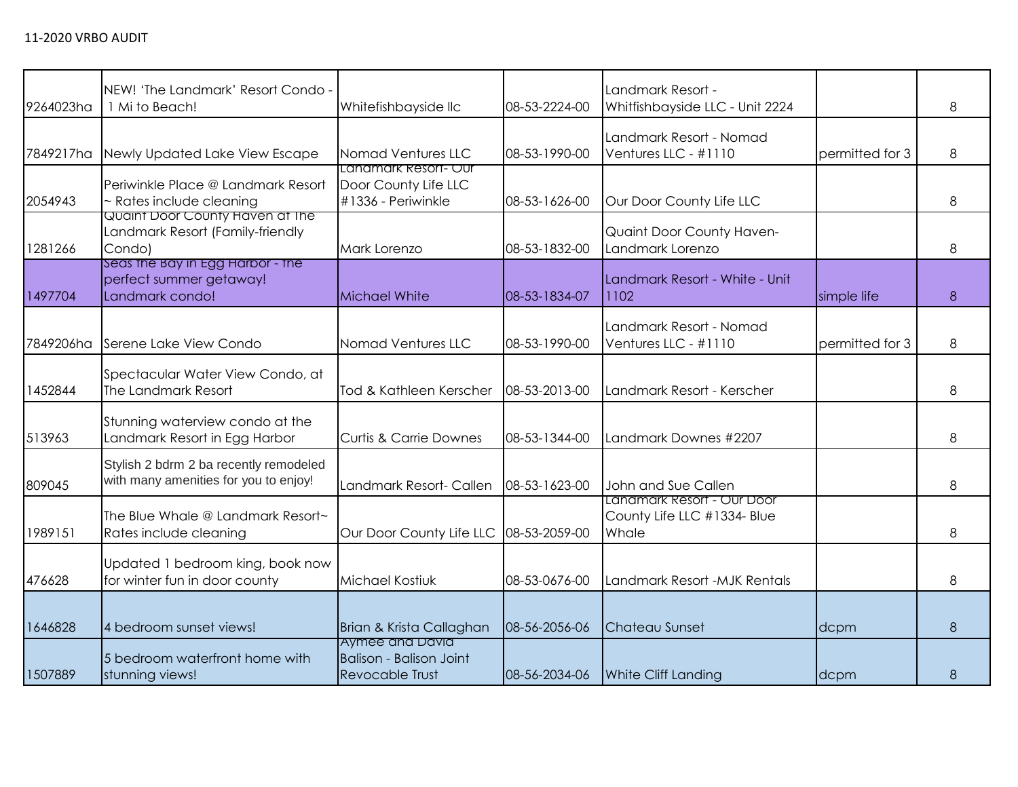| 9264023ha | NEW! 'The Landmark' Resort Condo -<br>1 Mi to Beach!                            | Whitefishbayside llc                                                 | 08-53-2224-00 | Landmark Resort -<br>Whitfishbayside LLC - Unit 2224               |                 | 8 |
|-----------|---------------------------------------------------------------------------------|----------------------------------------------------------------------|---------------|--------------------------------------------------------------------|-----------------|---|
| 7849217ha | Newly Updated Lake View Escape                                                  | Nomad Ventures LLC                                                   | 08-53-1990-00 | Landmark Resort - Nomad<br>Ventures LLC - #1110                    | permitted for 3 | 8 |
| 2054943   | Periwinkle Place @ Landmark Resort<br>~ Rates include cleaning                  | Landmark Resort- Our<br>Door County Life LLC<br>#1336 - Periwinkle   | 08-53-1626-00 | Our Door County Life LLC                                           |                 | 8 |
| 1281266   | Quaint Door County Haven at the<br>Landmark Resort (Family-friendly<br>Condo)   | Mark Lorenzo                                                         | 08-53-1832-00 | Quaint Door County Haven-<br>Landmark Lorenzo                      |                 | 8 |
| 1497704   | Seas the Bay in Egg Harbor - the<br>perfect summer getaway!<br>Landmark condo!  | <b>Michael White</b>                                                 | 08-53-1834-07 | Landmark Resort - White - Unit<br>1102                             | simple life     | 8 |
| 7849206ha | Serene Lake View Condo                                                          | Nomad Ventures LLC                                                   | 08-53-1990-00 | Landmark Resort - Nomad<br>Ventures LLC - #1110                    | permitted for 3 | 8 |
| 1452844   | Spectacular Water View Condo, at<br>The Landmark Resort                         | Tod & Kathleen Kerscher                                              | 08-53-2013-00 | Landmark Resort - Kerscher                                         |                 | 8 |
| 513963    | Stunning waterview condo at the<br>Landmark Resort in Egg Harbor                | <b>Curtis &amp; Carrie Downes</b>                                    | 08-53-1344-00 | Landmark Downes #2207                                              |                 | 8 |
| 809045    | Stylish 2 bdrm 2 ba recently remodeled<br>with many amenities for you to enjoy! | Landmark Resort- Callen                                              | 08-53-1623-00 | John and Sue Callen                                                |                 | 8 |
| 1989151   | The Blue Whale @ Landmark Resort~<br>Rates include cleaning                     | Our Door County Life LLC                                             | 08-53-2059-00 | Lanamark Resort - Our Door<br>County Life LLC #1334- Blue<br>Whale |                 | 8 |
| 476628    | Updated 1 bedroom king, book now<br>for winter fun in door county               | Michael Kostiuk                                                      | 08-53-0676-00 | Landmark Resort - MJK Rentals                                      |                 | 8 |
| 1646828   | 4 bedroom sunset views!                                                         | Brian & Krista Callaghan                                             | 08-56-2056-06 | Chateau Sunset                                                     | dcpm            | 8 |
| 1507889   | 5 bedroom waterfront home with<br>stunning views!                               | Aymee and David<br><b>Balison - Balison Joint</b><br>Revocable Trust | 08-56-2034-06 | <b>White Cliff Landing</b>                                         | dcpm            | 8 |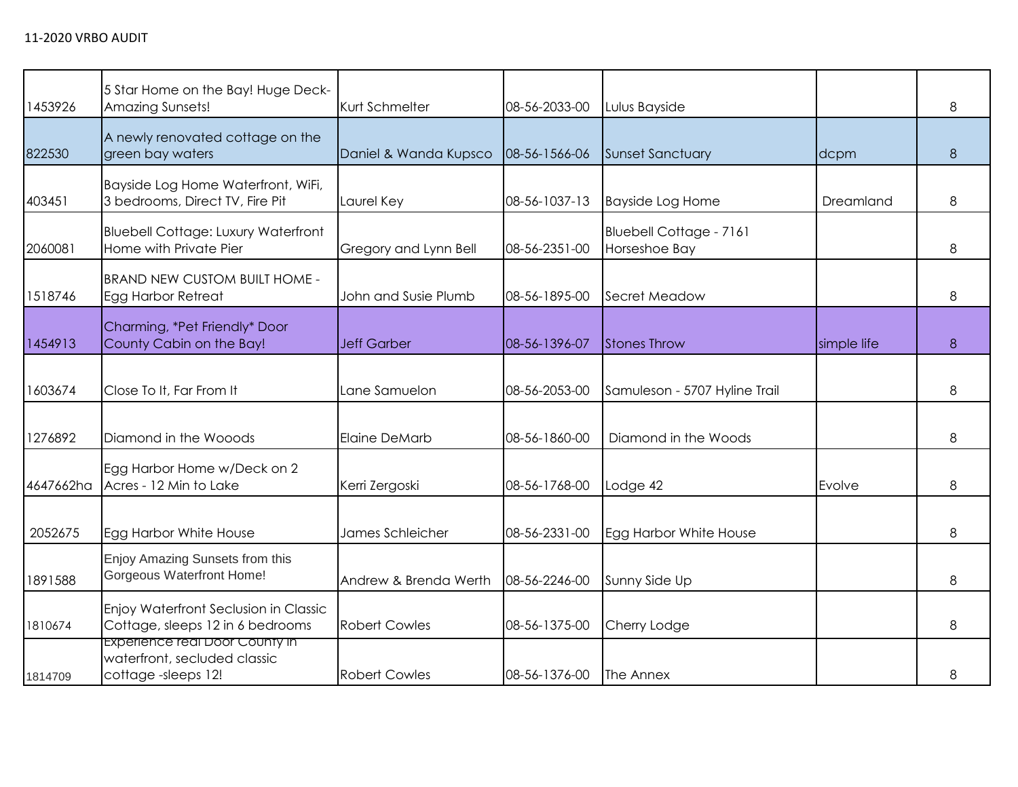| 1453926   | 5 Star Home on the Bay! Huge Deck-<br><b>Amazing Sunsets!</b>                        | Kurt Schmelter        | 08-56-2033-00 | Lulus Bayside                            |             | 8 |
|-----------|--------------------------------------------------------------------------------------|-----------------------|---------------|------------------------------------------|-------------|---|
| 822530    | A newly renovated cottage on the<br>green bay waters                                 | Daniel & Wanda Kupsco | 08-56-1566-06 | <b>Sunset Sanctuary</b>                  | dcpm        | 8 |
| 403451    | Bayside Log Home Waterfront, WiFi,<br>3 bedrooms, Direct TV, Fire Pit                | Laurel Key            | 08-56-1037-13 | <b>Bayside Log Home</b>                  | Dreamland   | 8 |
| 2060081   | <b>Bluebell Cottage: Luxury Waterfront</b><br>Home with Private Pier                 | Gregory and Lynn Bell | 08-56-2351-00 | Bluebell Cottage - 7161<br>Horseshoe Bay |             | 8 |
| 1518746   | <b>BRAND NEW CUSTOM BUILT HOME -</b><br><b>Egg Harbor Retreat</b>                    | John and Susie Plumb  | 08-56-1895-00 | Secret Meadow                            |             | 8 |
| 1454913   | Charming, *Pet Friendly* Door<br>County Cabin on the Bay!                            | <b>Jeff Garber</b>    | 08-56-1396-07 | <b>Stones Throw</b>                      | simple life | 8 |
| 1603674   | Close To It, Far From It                                                             | Lane Samuelon         | 08-56-2053-00 | Samuleson - 5707 Hyline Trail            |             | 8 |
| 1276892   | Diamond in the Wooods                                                                | <b>Elaine DeMarb</b>  | 08-56-1860-00 | Diamond in the Woods                     |             | 8 |
| 4647662ha | Egg Harbor Home w/Deck on 2<br>Acres - 12 Min to Lake                                | Kerri Zergoski        | 08-56-1768-00 | Lodge 42                                 | Evolve      | 8 |
| 2052675   | Egg Harbor White House                                                               | James Schleicher      | 08-56-2331-00 | Egg Harbor White House                   |             | 8 |
| 1891588   | Enjoy Amazing Sunsets from this<br><b>Gorgeous Waterfront Home!</b>                  | Andrew & Brenda Werth | 08-56-2246-00 | Sunny Side Up                            |             | 8 |
| 1810674   | Enjoy Waterfront Seclusion in Classic<br>Cottage, sleeps 12 in 6 bedrooms            | <b>Robert Cowles</b>  | 08-56-1375-00 | Cherry Lodge                             |             | 8 |
| 1814709   | Experience real Door County in<br>waterfront, secluded classic<br>cottage-sleeps 12! | <b>Robert Cowles</b>  | 08-56-1376-00 | The Annex                                |             | 8 |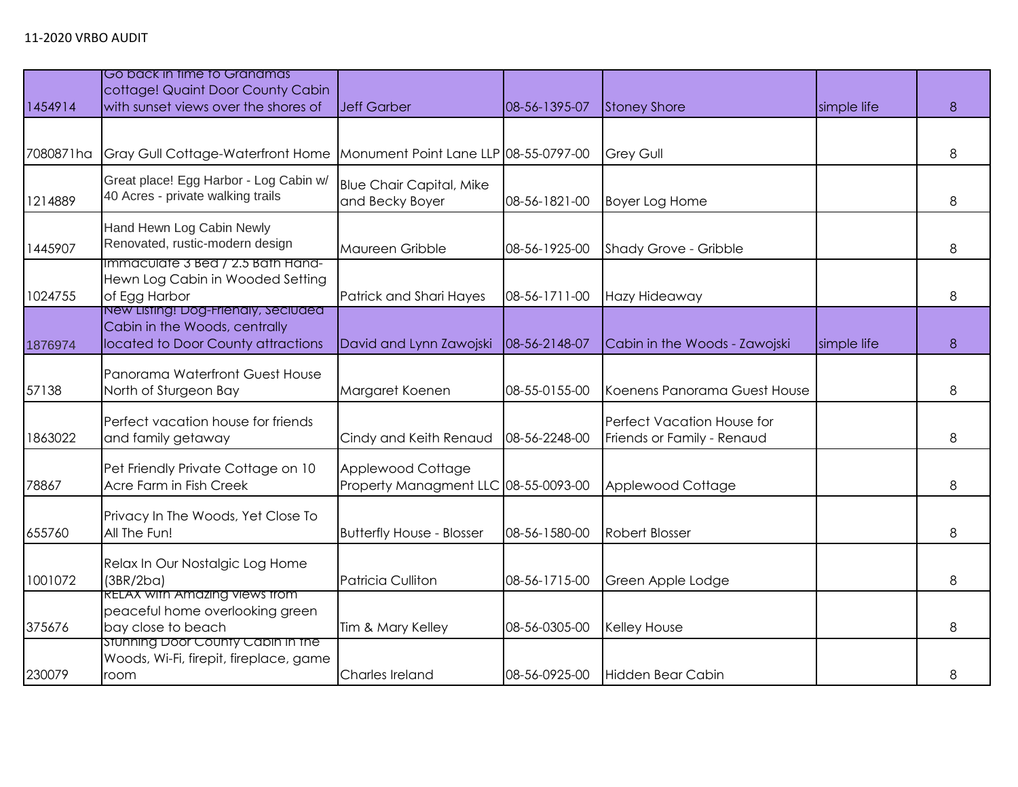|           | Go back in time to Granamas                                                                                |                                                           |               |                                                          |             |   |
|-----------|------------------------------------------------------------------------------------------------------------|-----------------------------------------------------------|---------------|----------------------------------------------------------|-------------|---|
|           | cottage! Quaint Door County Cabin                                                                          |                                                           |               |                                                          |             |   |
| 1454914   | with sunset views over the shores of                                                                       | <b>Jeff Garber</b>                                        | 08-56-1395-07 | <b>Stoney Shore</b>                                      | simple life | 8 |
|           |                                                                                                            |                                                           |               |                                                          |             |   |
| 7080871ha | Gray Gull Cottage-Waterfront Home                                                                          | Monument Point Lane LLP 08-55-0797-00                     |               | <b>Grey Gull</b>                                         |             | 8 |
| 1214889   | Great place! Egg Harbor - Log Cabin w/<br>40 Acres - private walking trails                                | <b>Blue Chair Capital, Mike</b><br>and Becky Boyer        | 08-56-1821-00 | <b>Boyer Log Home</b>                                    |             | 8 |
| 1445907   | Hand Hewn Log Cabin Newly<br>Renovated, rustic-modern design                                               | Maureen Gribble                                           | 08-56-1925-00 | <b>Shady Grove - Gribble</b>                             |             | 8 |
| 1024755   | Immaculate 3 Bed / 2.5 Bath Hand-<br>Hewn Log Cabin in Wooded Setting<br>of Egg Harbor                     | Patrick and Shari Hayes                                   | 08-56-1711-00 | Hazy Hideaway                                            |             | 8 |
| 1876974   | New Listing! Dog-Friendly, Seciuded<br>Cabin in the Woods, centrally<br>located to Door County attractions | David and Lynn Zawojski                                   | 08-56-2148-07 | Cabin in the Woods - Zawojski                            | simple life | 8 |
| 57138     | Panorama Waterfront Guest House<br>North of Sturgeon Bay                                                   | Margaret Koenen                                           | 08-55-0155-00 | Koenens Panorama Guest House                             |             | 8 |
| 1863022   | Perfect vacation house for friends<br>and family getaway                                                   | Cindy and Keith Renaud                                    | 08-56-2248-00 | Perfect Vacation House for<br>Friends or Family - Renaud |             | 8 |
| 78867     | Pet Friendly Private Cottage on 10<br>Acre Farm in Fish Creek                                              | Applewood Cottage<br>Property Managment LLC 08-55-0093-00 |               | Applewood Cottage                                        |             | 8 |
| 655760    | Privacy In The Woods, Yet Close To<br>All The Fun!                                                         | <b>Butterfly House - Blosser</b>                          | 08-56-1580-00 | <b>Robert Blosser</b>                                    |             | 8 |
| 1001072   | Relax In Our Nostalgic Log Home<br>(3BR/2ba)                                                               | Patricia Culliton                                         | 08-56-1715-00 | Green Apple Lodge                                        |             | 8 |
| 375676    | <b>RELAX with Amazing views from</b><br>peaceful home overlooking green<br>bay close to beach              | Tim & Mary Kelley                                         | 08-56-0305-00 | Kelley House                                             |             | 8 |
| 230079    | Stunning Door County Cabin in the<br>Woods, Wi-Fi, firepit, fireplace, game<br>room                        | Charles Ireland                                           | 08-56-0925-00 | Hidden Bear Cabin                                        |             | 8 |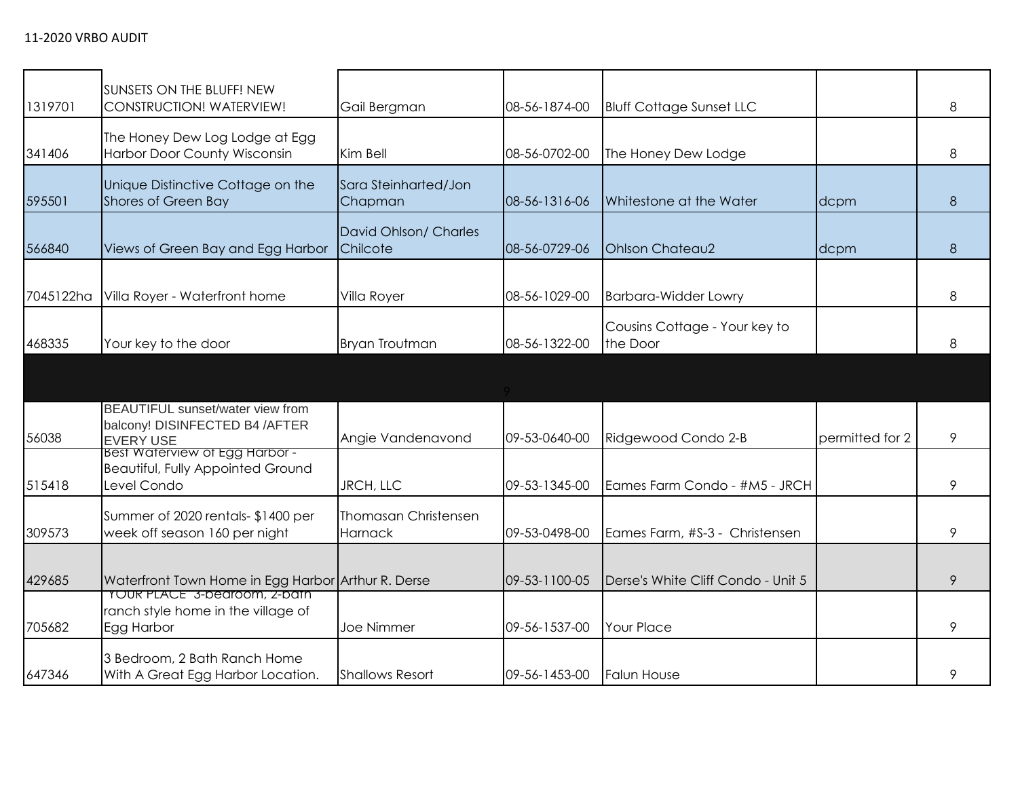|           | SUNSETS ON THE BLUFF! NEW<br>CONSTRUCTION! WATERVIEW!                                                             |                                        |               |                                           |                 |   |
|-----------|-------------------------------------------------------------------------------------------------------------------|----------------------------------------|---------------|-------------------------------------------|-----------------|---|
| 1319701   |                                                                                                                   | Gail Bergman                           | 08-56-1874-00 | <b>Bluff Cottage Sunset LLC</b>           |                 | 8 |
| 341406    | The Honey Dew Log Lodge at Egg<br><b>Harbor Door County Wisconsin</b>                                             | Kim Bell                               | 08-56-0702-00 | The Honey Dew Lodge                       |                 | 8 |
| 595501    | Unique Distinctive Cottage on the<br>Shores of Green Bay                                                          | Sara Steinharted/Jon<br>Chapman        | 08-56-1316-06 | Whitestone at the Water                   | dcpm            | 8 |
| 566840    | Views of Green Bay and Egg Harbor                                                                                 | David Ohlson/ Charles<br>Chilcote      | 08-56-0729-06 | <b>Ohlson Chateau2</b>                    | dcpm            | 8 |
| 7045122ha | Villa Royer - Waterfront home                                                                                     | Villa Royer                            | 08-56-1029-00 | <b>Barbara-Widder Lowry</b>               |                 | 8 |
| 468335    | Your key to the door                                                                                              | Bryan Troutman                         | 08-56-1322-00 | Cousins Cottage - Your key to<br>the Door |                 | 8 |
|           |                                                                                                                   |                                        |               |                                           |                 |   |
| 56038     | BEAUTIFUL sunset/water view from<br>balcony! DISINFECTED B4 /AFTER<br>EVERY USE<br>Best Waterview of Egg Harbor - | Angie Vandenavond                      | 09-53-0640-00 | Ridgewood Condo 2-B                       | permitted for 2 | 9 |
| 515418    | <b>Beautiful, Fully Appointed Ground</b><br>Level Condo                                                           | JRCH, LLC                              | 09-53-1345-00 | Eames Farm Condo - #M5 - JRCH             |                 | 9 |
| 309573    | Summer of 2020 rentals- \$1400 per<br>week off season 160 per night                                               | <b>Thomasan Christensen</b><br>Harnack | 09-53-0498-00 | Eames Farm, #S-3 - Christensen            |                 | 9 |
| 429685    | Waterfront Town Home in Egg Harbor Arthur R. Derse                                                                |                                        | 09-53-1100-05 | Derse's White Cliff Condo - Unit 5        |                 | 9 |
| 705682    | <b>YOUR PLACE" 3-bearoom, 2-bain</b><br>ranch style home in the village of<br>Egg Harbor                          | <b>Joe Nimmer</b>                      | 09-56-1537-00 | <b>Your Place</b>                         |                 | 9 |
| 647346    | 3 Bedroom, 2 Bath Ranch Home<br>With A Great Egg Harbor Location.                                                 | <b>Shallows Resort</b>                 | 09-56-1453-00 | <b>Falun House</b>                        |                 | 9 |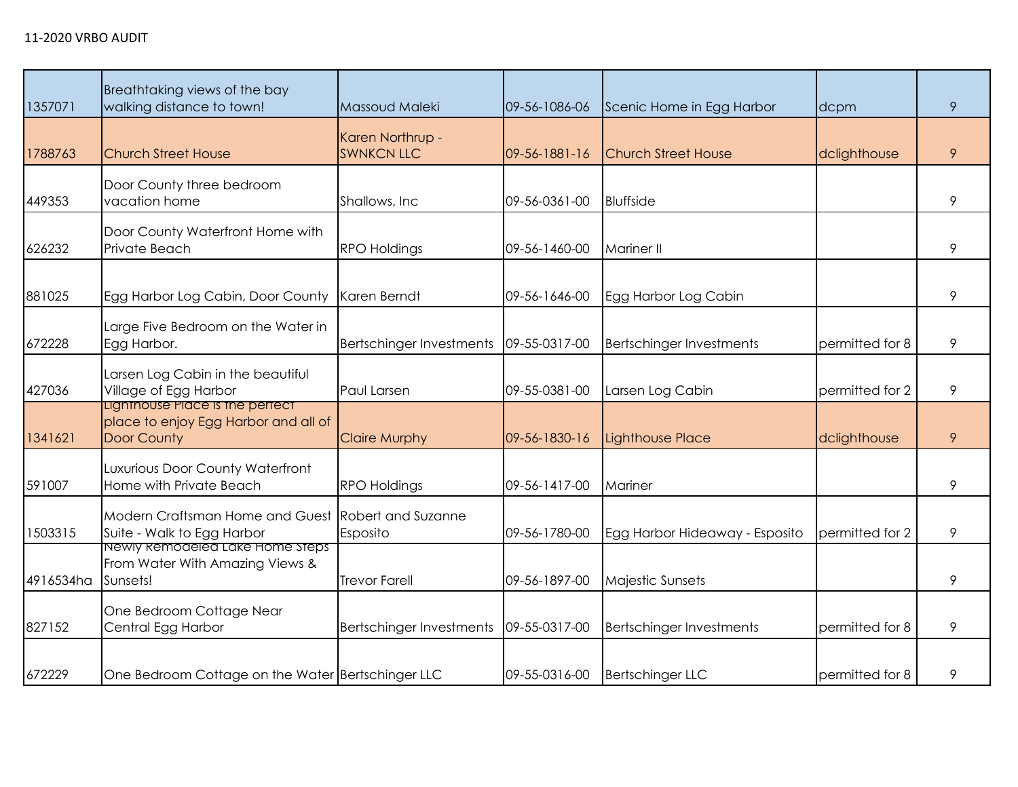| 1357071   | Breathtaking views of the bay<br>walking distance to town!                             | Massoud Maleki                        | 09-56-1086-06         | Scenic Home in Egg Harbor       | dcpm            | 9 |
|-----------|----------------------------------------------------------------------------------------|---------------------------------------|-----------------------|---------------------------------|-----------------|---|
| 1788763   | <b>Church Street House</b>                                                             | Karen Northrup -<br><b>SWNKCN LLC</b> | $09 - 56 - 1881 - 16$ | <b>Church Street House</b>      | dclighthouse    | 9 |
| 449353    | Door County three bedroom<br>vacation home                                             | Shallows, Inc.                        | 09-56-0361-00         | <b>Bluffside</b>                |                 | 9 |
| 626232    | Door County Waterfront Home with<br>Private Beach                                      | <b>RPO Holdings</b>                   | 09-56-1460-00         | <b>Mariner II</b>               |                 | 9 |
| 881025    | Egg Harbor Log Cabin, Door County                                                      | Karen Berndt                          | 09-56-1646-00         | Egg Harbor Log Cabin            |                 | 9 |
| 672228    | Large Five Bedroom on the Water in<br>Egg Harbor.                                      | <b>Bertschinger Investments</b>       | 09-55-0317-00         | <b>Bertschinger Investments</b> | permitted for 8 | 9 |
| 427036    | Larsen Log Cabin in the beautiful<br>Village of Egg Harbor                             | Paul Larsen                           | 09-55-0381-00         | Larsen Log Cabin                | permitted for 2 | 9 |
| 1341621   | Lighthouse Place is the perfect<br>place to enjoy Egg Harbor and all of<br>Door County | <b>Claire Murphy</b>                  | 09-56-1830-16         | <b>Lighthouse Place</b>         | dclighthouse    | 9 |
| 591007    | Luxurious Door County Waterfront<br>Home with Private Beach                            | <b>RPO Holdings</b>                   | 09-56-1417-00         | Mariner                         |                 | 9 |
| 1503315   | Modern Craftsman Home and Guest<br>Suite - Walk to Egg Harbor                          | <b>Robert and Suzanne</b><br>Esposito | 09-56-1780-00         | Egg Harbor Hideaway - Esposito  | permitted for 2 | 9 |
| 4916534ha | Newly Remodeled Lake Home Steps<br>From Water With Amazing Views &<br>Sunsets!         | <b>Trevor Farell</b>                  | 09-56-1897-00         | Majestic Sunsets                |                 | 9 |
| 827152    | One Bedroom Cottage Near<br>Central Egg Harbor                                         | Bertschinger Investments              | 09-55-0317-00         | <b>Bertschinger Investments</b> | permitted for 8 | 9 |
| 672229    | One Bedroom Cottage on the Water Bertschinger LLC                                      |                                       | 09-55-0316-00         | <b>Bertschinger LLC</b>         | permitted for 8 | 9 |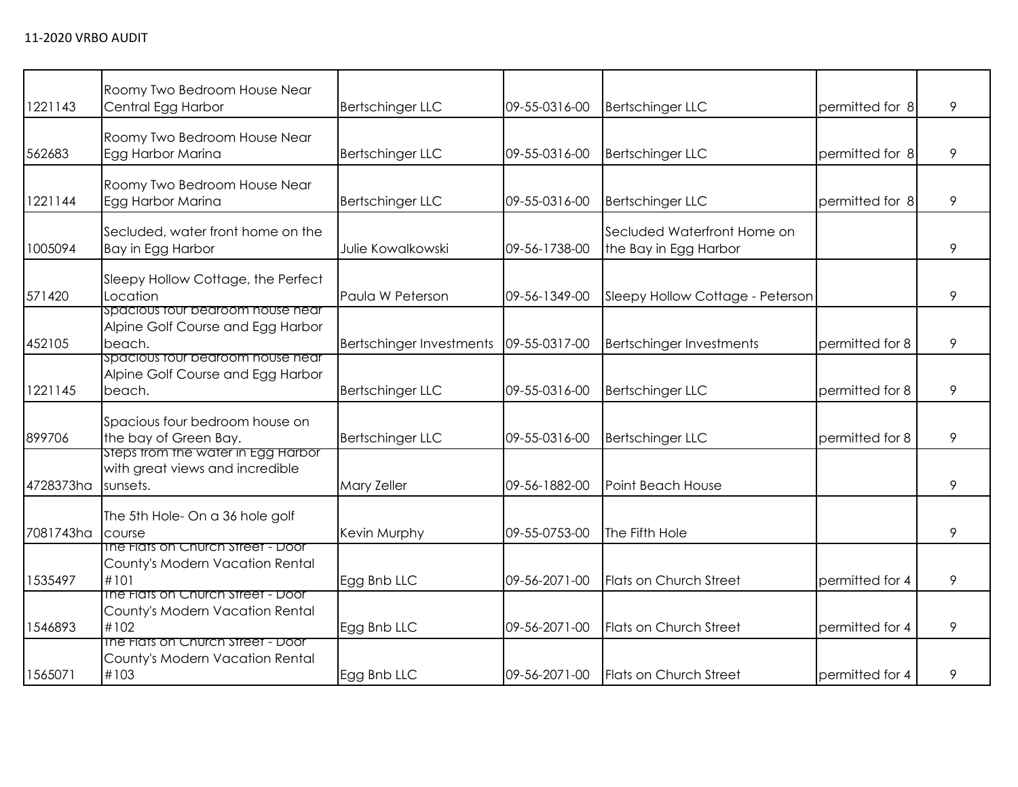| 1221143   | Roomy Two Bedroom House Near<br>Central Egg Harbor                                | <b>Bertschinger LLC</b>         | 09-55-0316-00 | <b>Bertschinger LLC</b>                              | permitted for 8 | 9 |
|-----------|-----------------------------------------------------------------------------------|---------------------------------|---------------|------------------------------------------------------|-----------------|---|
| 562683    | Roomy Two Bedroom House Near<br>Egg Harbor Marina                                 | <b>Bertschinger LLC</b>         | 09-55-0316-00 | <b>Bertschinger LLC</b>                              | permitted for 8 | 9 |
| 1221144   | Roomy Two Bedroom House Near<br>Egg Harbor Marina                                 | <b>Bertschinger LLC</b>         | 09-55-0316-00 | <b>Bertschinger LLC</b>                              | permitted for 8 | 9 |
| 1005094   | Secluded, water front home on the<br>Bay in Egg Harbor                            | Julie Kowalkowski               | 09-56-1738-00 | Secluded Waterfront Home on<br>the Bay in Egg Harbor |                 | 9 |
| 571420    | Sleepy Hollow Cottage, the Perfect<br>Location                                    | Paula W Peterson                | 09-56-1349-00 | Sleepy Hollow Cottage - Peterson                     |                 | 9 |
| 452105    | spacious tour bearoom house near<br>Alpine Golf Course and Egg Harbor<br>beach.   | <b>Bertschinger Investments</b> | 09-55-0317-00 | <b>Bertschinger Investments</b>                      | permitted for 8 | 9 |
| 1221145   | spacious four bearoom house near<br>Alpine Golf Course and Egg Harbor<br>beach.   | <b>Bertschinger LLC</b>         | 09-55-0316-00 | <b>Bertschinger LLC</b>                              | permitted for 8 | 9 |
| 899706    | Spacious four bedroom house on<br>the bay of Green Bay.                           | <b>Bertschinger LLC</b>         | 09-55-0316-00 | <b>Bertschinger LLC</b>                              | permitted for 8 | 9 |
| 4728373ha | steps from the water in Egg Harbor<br>with great views and incredible<br>sunsets. | Mary Zeller                     | 09-56-1882-00 | Point Beach House                                    |                 | 9 |
| 7081743ha | The 5th Hole- On a 36 hole golf<br>course                                         | Kevin Murphy                    | 09-55-0753-00 | The Fifth Hole                                       |                 | 9 |
| 1535497   | The Flats on Church Street - Door<br>County's Modern Vacation Rental<br>#101      | Egg Bnb LLC                     | 09-56-2071-00 | Flats on Church Street                               | permitted for 4 | 9 |
| 1546893   | The Flats on Church Street - Door<br>County's Modern Vacation Rental<br>#102      | Egg Bnb LLC                     | 09-56-2071-00 | Flats on Church Street                               | permitted for 4 | 9 |
| 1565071   | The Flats on Church Street - Door<br>County's Modern Vacation Rental<br>#103      | Egg Bnb LLC                     | 09-56-2071-00 | Flats on Church Street                               | permitted for 4 | 9 |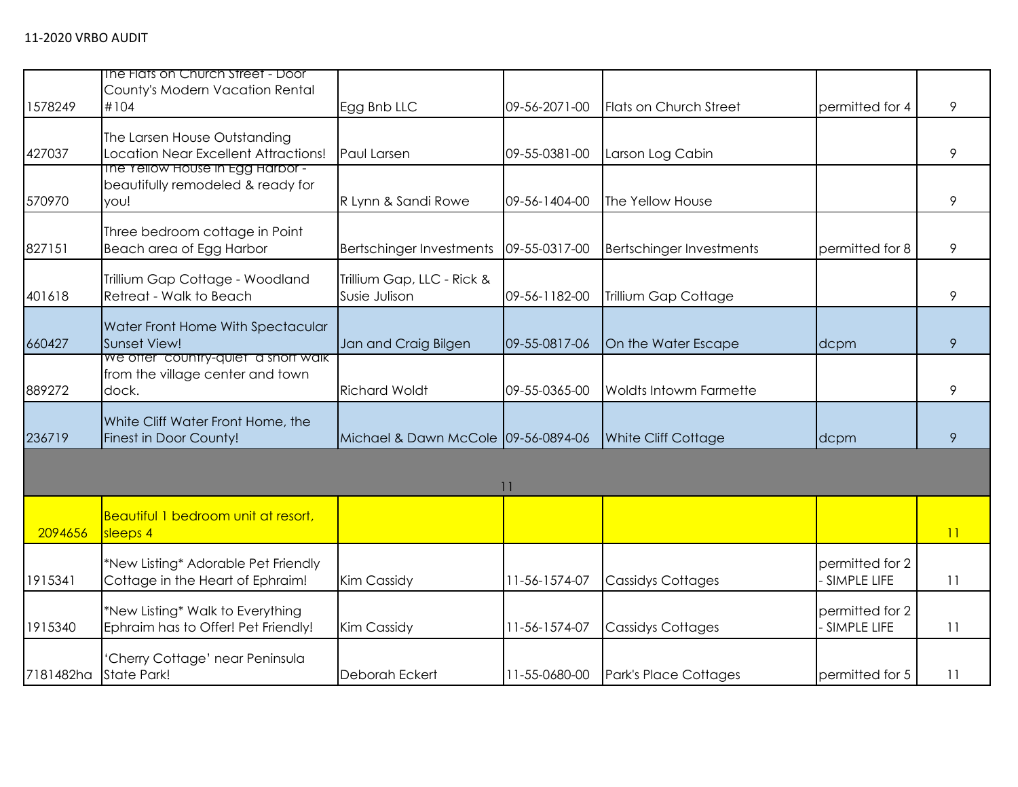|         | The Flats on Church Street - Door                                        |                                     |               |                                 |                 |                 |
|---------|--------------------------------------------------------------------------|-------------------------------------|---------------|---------------------------------|-----------------|-----------------|
|         | County's Modern Vacation Rental                                          |                                     |               |                                 |                 |                 |
| 1578249 | #104                                                                     | Egg Bnb LLC                         | 09-56-2071-00 | <b>Flats on Church Street</b>   | permitted for 4 | 9               |
|         |                                                                          |                                     |               |                                 |                 |                 |
|         | The Larsen House Outstanding                                             |                                     |               |                                 |                 |                 |
| 427037  | Location Near Excellent Attractions!<br>The Yellow House in Egg Harbor - | Paul Larsen                         | 09-55-0381-00 | Larson Log Cabin                |                 | 9               |
|         | beautifully remodeled & ready for                                        |                                     |               |                                 |                 |                 |
| 570970  | you!                                                                     | R Lynn & Sandi Rowe                 | 09-56-1404-00 | The Yellow House                |                 | 9               |
|         |                                                                          |                                     |               |                                 |                 |                 |
|         | Three bedroom cottage in Point                                           |                                     |               |                                 |                 |                 |
| 827151  | Beach area of Egg Harbor                                                 | Bertschinger Investments            | 09-55-0317-00 | <b>Bertschinger Investments</b> | permitted for 8 | 9               |
|         | Trillium Gap Cottage - Woodland                                          | Trillium Gap, LLC - Rick &          |               |                                 |                 |                 |
| 401618  | Retreat - Walk to Beach                                                  | Susie Julison                       | 09-56-1182-00 | <b>Trillium Gap Cottage</b>     |                 | 9               |
|         |                                                                          |                                     |               |                                 |                 |                 |
| 660427  | Water Front Home With Spectacular<br>Sunset View!                        | Jan and Craig Bilgen                | 09-55-0817-06 | On the Water Escape             | dcpm            | 9               |
|         | We offer "country-quiet" a short walk                                    |                                     |               |                                 |                 |                 |
|         | from the village center and town                                         |                                     |               |                                 |                 |                 |
| 889272  | dock.                                                                    | <b>Richard Woldt</b>                | 09-55-0365-00 | <b>Woldts Intowm Farmette</b>   |                 | 9               |
|         | White Cliff Water Front Home, the                                        |                                     |               |                                 |                 |                 |
| 236719  | Finest in Door County!                                                   | Michael & Dawn McCole 09-56-0894-06 |               | White Cliff Cottage             | dcpm            | 9               |
|         |                                                                          |                                     |               |                                 |                 |                 |
|         |                                                                          |                                     |               |                                 |                 |                 |
|         |                                                                          |                                     | 11            |                                 |                 |                 |
|         | Beautiful 1 bedroom unit at resort,                                      |                                     |               |                                 |                 |                 |
| 2094656 | sleeps 4                                                                 |                                     |               |                                 |                 | $\overline{11}$ |
|         | *New Listing* Adorable Pet Friendly                                      |                                     |               |                                 | permitted for 2 |                 |
| 1915341 | Cottage in the Heart of Ephraim!                                         | <b>Kim Cassidy</b>                  | 11-56-1574-07 | <b>Cassidys Cottages</b>        | SIMPLE LIFE     | 11              |
|         |                                                                          |                                     |               |                                 |                 |                 |
|         | *New Listing* Walk to Everything                                         |                                     |               |                                 | permitted for 2 |                 |
| 1915340 | Ephraim has to Offer! Pet Friendly!                                      | Kim Cassidy                         | 11-56-1574-07 | <b>Cassidys Cottages</b>        | SIMPLE LIFE     | 11              |
|         | 'Cherry Cottage' near Peninsula                                          |                                     |               |                                 |                 |                 |
|         | 7181482ha State Park!                                                    | Deborah Eckert                      | 11-55-0680-00 | <b>Park's Place Cottages</b>    | permitted for 5 | 11              |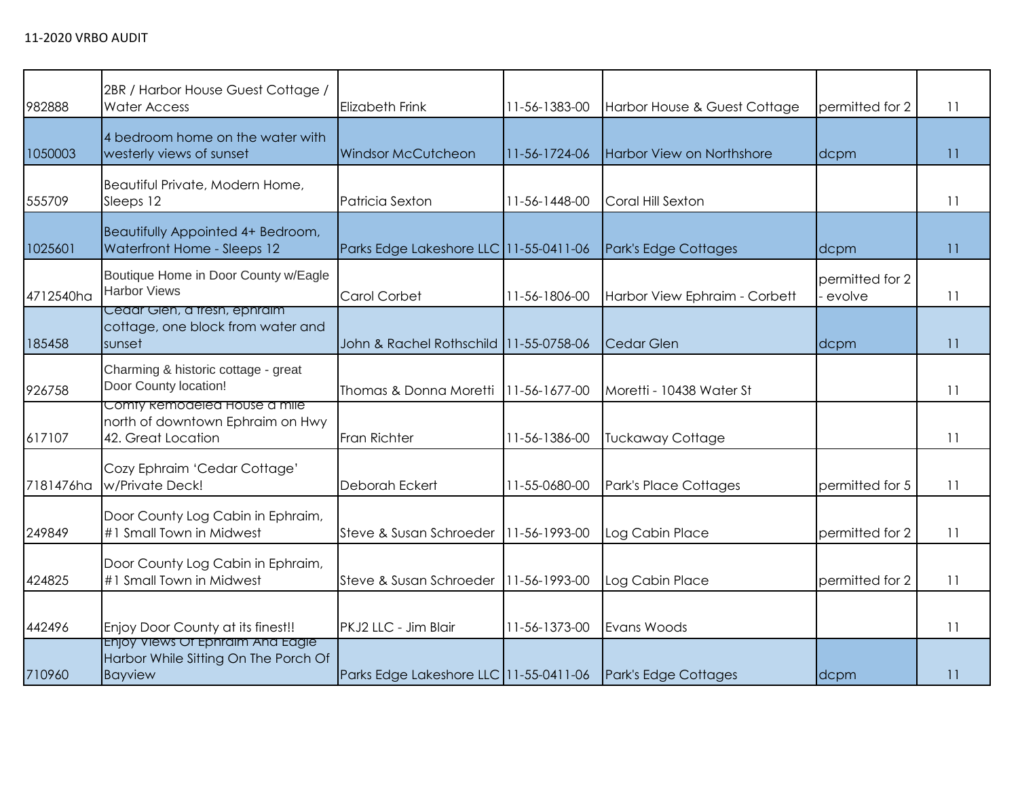| 982888    | 2BR / Harbor House Guest Cottage /<br><b>Water Access</b>                                  | <b>Elizabeth Frink</b>                 | 11-56-1383-00 | Harbor House & Guest Cottage  | permitted for 2           | 11              |
|-----------|--------------------------------------------------------------------------------------------|----------------------------------------|---------------|-------------------------------|---------------------------|-----------------|
| 1050003   | 4 bedroom home on the water with<br>westerly views of sunset                               | <b>Windsor McCutcheon</b>              | 11-56-1724-06 | Harbor View on Northshore     | dcpm                      | $\overline{11}$ |
| 555709    | Beautiful Private, Modern Home,<br>Sleeps 12                                               | Patricia Sexton                        | 11-56-1448-00 | Coral Hill Sexton             |                           | 11              |
| 1025601   | Beautifully Appointed 4+ Bedroom,<br>Waterfront Home - Sleeps 12                           | Parks Edge Lakeshore LLC 11-55-0411-06 |               | Park's Edge Cottages          | dcpm                      | 11              |
| 4712540ha | Boutique Home in Door County w/Eagle<br><b>Harbor Views</b>                                | <b>Carol Corbet</b>                    | 11-56-1806-00 | Harbor View Ephraim - Corbett | permitted for 2<br>evolve | 11              |
| 185458    | Cedar Glen, a tresh, ephraim<br>cottage, one block from water and<br>sunset                | John & Rachel Rothschild               | 11-55-0758-06 | <b>Cedar Glen</b>             | dcpm                      | 11              |
| 926758    | Charming & historic cottage - great<br>Door County location!                               | Thomas & Donna Moretti                 | 11-56-1677-00 | Moretti - 10438 Water St      |                           | 11              |
| 617107    | Comty Remodeled House a mile<br>north of downtown Ephraim on Hwy<br>42. Great Location     | Fran Richter                           | 11-56-1386-00 | <b>Tuckaway Cottage</b>       |                           | 11              |
| 7181476ha | Cozy Ephraim 'Cedar Cottage'<br>w/Private Deck!                                            | Deborah Eckert                         | 11-55-0680-00 | Park's Place Cottages         | permitted for 5           | 11              |
| 249849    | Door County Log Cabin in Ephraim,<br>#1 Small Town in Midwest                              | Steve & Susan Schroeder                | 11-56-1993-00 | Log Cabin Place               | permitted for 2           | 11              |
| 424825    | Door County Log Cabin in Ephraim,<br>#1 Small Town in Midwest                              | Steve & Susan Schroeder                | 11-56-1993-00 | Log Cabin Place               | permitted for 2           | 11              |
| 442496    | Enjoy Door County at its finest!!                                                          | PKJ2 LLC - Jim Blair                   | 11-56-1373-00 | Evans Woods                   |                           | 11              |
| 710960    | Enjoy Views Of Ephraim And Eagle<br>Harbor While Sitting On The Porch Of<br><b>Bayview</b> | Parks Edge Lakeshore LLC 11-55-0411-06 |               | Park's Edge Cottages          | dcpm                      | 11              |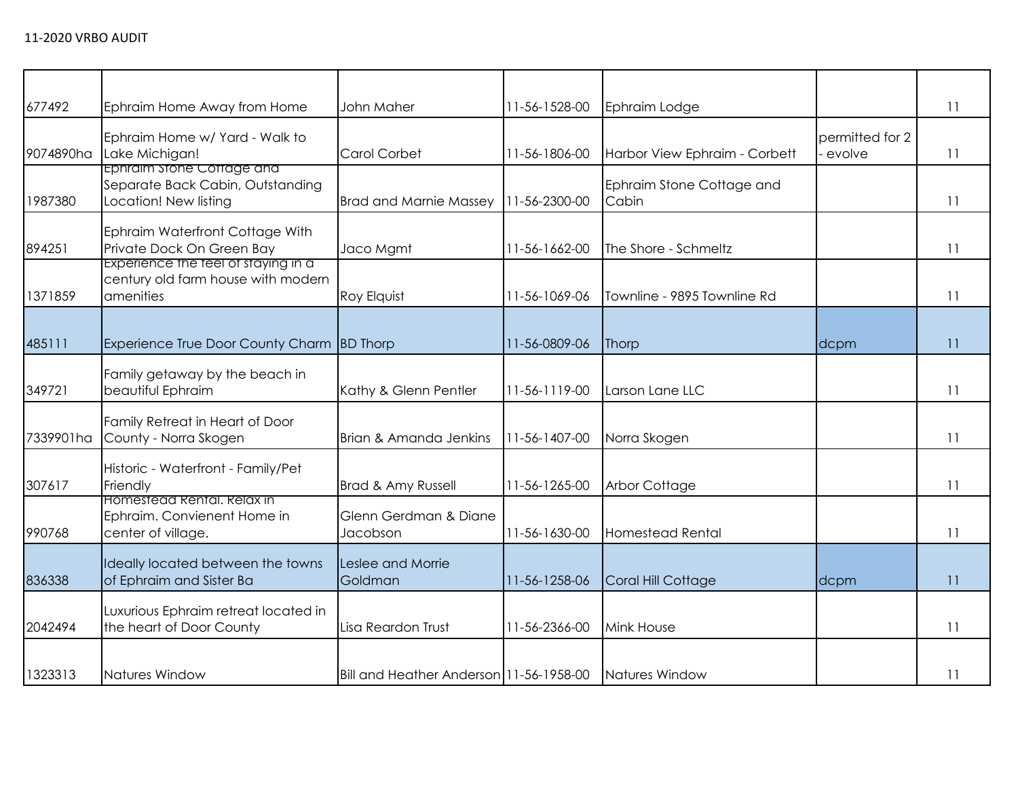| 677492    | Ephraim Home Away from Home                                                            | John Maher                              | 11-56-1528-00 | Ephraim Lodge                      |                           | 11 |
|-----------|----------------------------------------------------------------------------------------|-----------------------------------------|---------------|------------------------------------|---------------------------|----|
| 9074890ha | Ephraim Home w/ Yard - Walk to<br>Lake Michigan!                                       | <b>Carol Corbet</b>                     | 11-56-1806-00 | Harbor View Ephraim - Corbett      | permitted for 2<br>evolve | 11 |
| 1987380   | Ephraim stone Cottage and<br>Separate Back Cabin, Outstanding<br>Location! New listing | <b>Brad and Marnie Massey</b>           | 11-56-2300-00 | Ephraim Stone Cottage and<br>Cabin |                           | 11 |
| 894251    | Ephraim Waterfront Cottage With<br>Private Dock On Green Bay                           | Jaco Mgmt                               | 11-56-1662-00 | The Shore - Schmeltz               |                           | 11 |
| 1371859   | Experience the teel of staying in a<br>century old farm house with modern<br>amenities | <b>Roy Elquist</b>                      | 11-56-1069-06 | Townline - 9895 Townline Rd        |                           | 11 |
| 485111    | Experience True Door County Charm BD Thorp                                             |                                         | 11-56-0809-06 | Thorp                              | dcpm                      | 11 |
| 349721    | Family getaway by the beach in<br>beautiful Ephraim                                    | Kathy & Glenn Pentler                   | 11-56-1119-00 | Larson Lane LLC                    |                           | 11 |
| 7339901ha | Family Retreat in Heart of Door<br>County - Norra Skogen                               | Brian & Amanda Jenkins                  | 11-56-1407-00 | Norra Skogen                       |                           | 11 |
| 307617    | Historic - Waterfront - Family/Pet<br>Friendly                                         | Brad & Amy Russell                      | 11-56-1265-00 | <b>Arbor Cottage</b>               |                           | 11 |
| 990768    | Homestead Rental, Relax in<br>Ephraim. Convienent Home in<br>center of village.        | Glenn Gerdman & Diane<br>Jacobson       | 11-56-1630-00 | <b>Homestead Rental</b>            |                           | 11 |
| 836338    | Ideally located between the towns<br>of Ephraim and Sister Ba                          | Leslee and Morrie<br>Goldman            | 11-56-1258-06 | Coral Hill Cottage                 | dcpm                      | 11 |
| 2042494   | Luxurious Ephraim retreat located in<br>the heart of Door County                       | Lisa Reardon Trust                      | 11-56-2366-00 | <b>Mink House</b>                  |                           | 11 |
| 1323313   | Natures Window                                                                         | Bill and Heather Anderson 11-56-1958-00 |               | Natures Window                     |                           | 11 |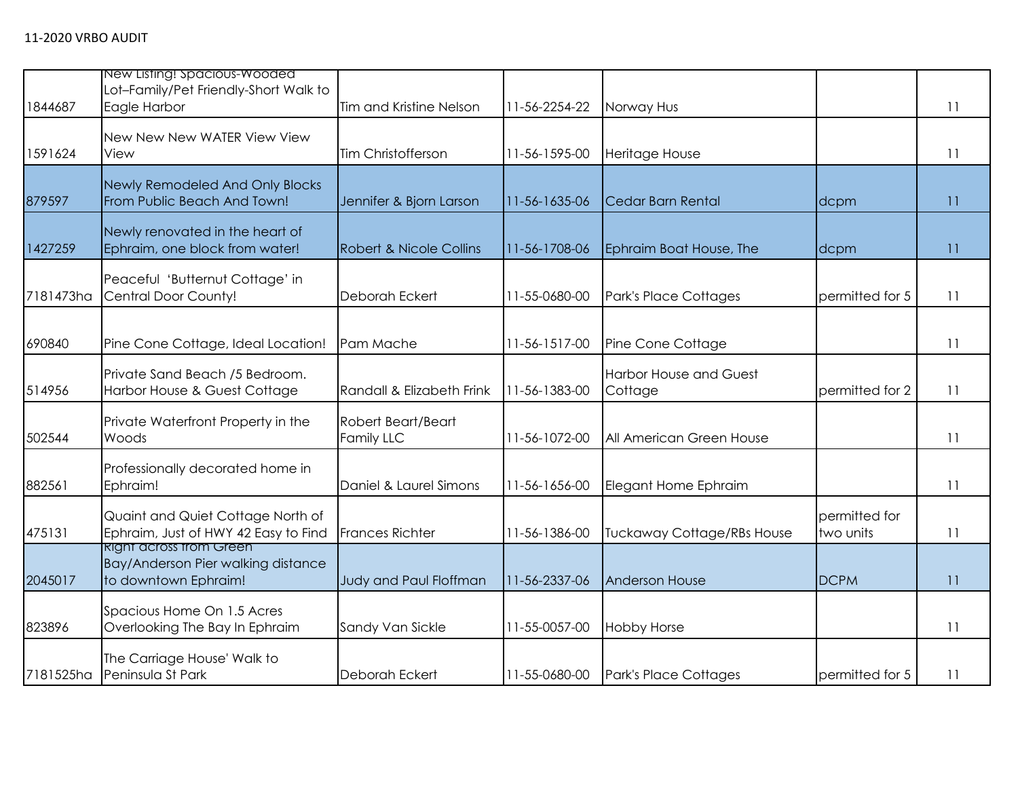| 1844687   | New Listing! Spacious-Wooded<br>Lot-Family/Pet Friendly-Short Walk to<br>Eagle Harbor        | Tim and Kristine Nelson            | 11-56-2254-22 | Norway Hus                               |                            | 11 |
|-----------|----------------------------------------------------------------------------------------------|------------------------------------|---------------|------------------------------------------|----------------------------|----|
| 1591624   | New New New WATER View View<br>View                                                          | Tim Christofferson                 | 11-56-1595-00 | Heritage House                           |                            | 11 |
| 879597    | Newly Remodeled And Only Blocks<br>From Public Beach And Town!                               | Jennifer & Bjorn Larson            | 11-56-1635-06 | Cedar Barn Rental                        | dcpm                       | 11 |
| 1427259   | Newly renovated in the heart of<br>Ephraim, one block from water!                            | <b>Robert &amp; Nicole Collins</b> | 11-56-1708-06 | Ephraim Boat House, The                  | dcpm                       | 11 |
| 7181473ha | Peaceful 'Butternut Cottage' in<br>Central Door County!                                      | Deborah Eckert                     | 11-55-0680-00 | Park's Place Cottages                    | permitted for 5            | 11 |
| 690840    | Pine Cone Cottage, Ideal Location!                                                           | Pam Mache                          | 11-56-1517-00 | Pine Cone Cottage                        |                            | 11 |
| 514956    | Private Sand Beach /5 Bedroom.<br>Harbor House & Guest Cottage                               | Randall & Elizabeth Frink          | 11-56-1383-00 | <b>Harbor House and Guest</b><br>Cottage | permitted for 2            | 11 |
| 502544    | Private Waterfront Property in the<br>Woods                                                  | Robert Beart/Beart<br>Family LLC   | 11-56-1072-00 | All American Green House                 |                            | 11 |
| 882561    | Professionally decorated home in<br>Ephraim!                                                 | Daniel & Laurel Simons             | 11-56-1656-00 | Elegant Home Ephraim                     |                            | 11 |
| 475131    | Quaint and Quiet Cottage North of<br>Ephraim, Just of HWY 42 Easy to Find                    | <b>Frances Richter</b>             | 11-56-1386-00 | <b>Tuckaway Cottage/RBs House</b>        | permitted for<br>two units | 11 |
| 2045017   | <b>Right across trom Green</b><br>Bay/Anderson Pier walking distance<br>to downtown Ephraim! | Judy and Paul Floffman             | 11-56-2337-06 | <b>Anderson House</b>                    | <b>DCPM</b>                | 11 |
| 823896    | Spacious Home On 1.5 Acres<br>Overlooking The Bay In Ephraim                                 | Sandy Van Sickle                   | 11-55-0057-00 | <b>Hobby Horse</b>                       |                            | 11 |
| 7181525ha | The Carriage House' Walk to<br>Peninsula St Park                                             | Deborah Eckert                     | 11-55-0680-00 | <b>Park's Place Cottages</b>             | permitted for 5            | 11 |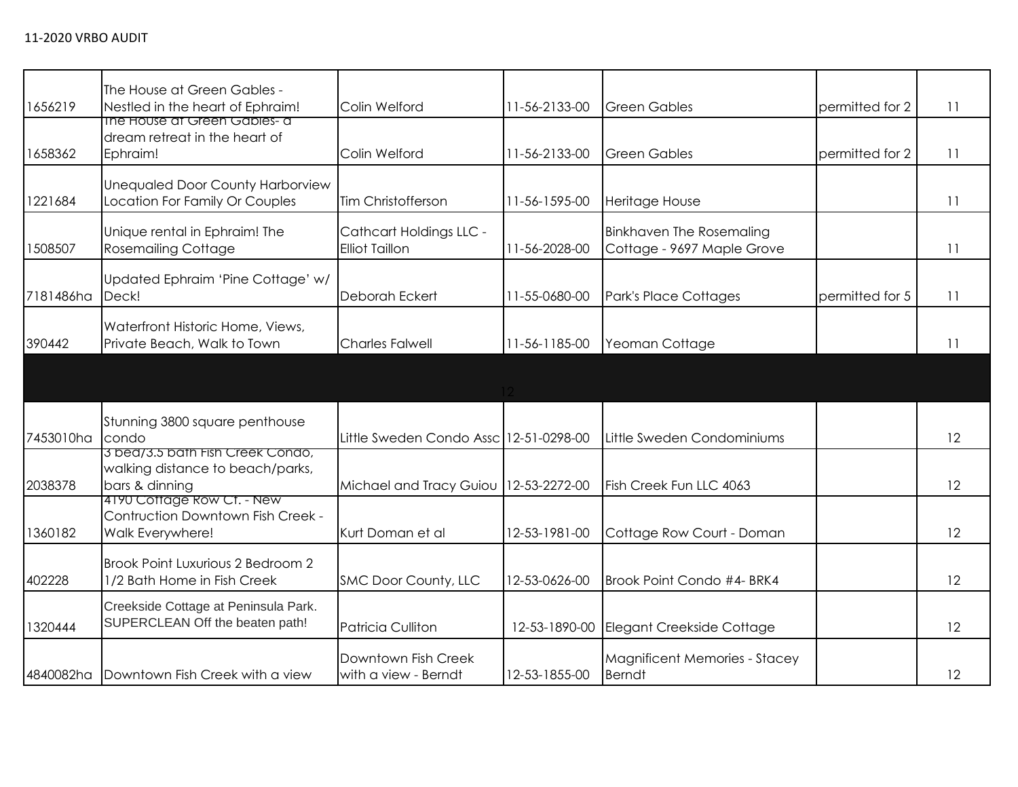| 1656219   | The House at Green Gables -<br>Nestled in the heart of Ephraim!                        | Colin Welford                                           | 11-56-2133-00 | <b>Green Gables</b>                                           | permitted for 2 | 11 |
|-----------|----------------------------------------------------------------------------------------|---------------------------------------------------------|---------------|---------------------------------------------------------------|-----------------|----|
| 1658362   | The House at Green Gables- a<br>dream retreat in the heart of<br>Ephraim!              | Colin Welford                                           | 11-56-2133-00 | <b>Green Gables</b>                                           | permitted for 2 | 11 |
| 1221684   | <b>Unequaled Door County Harborview</b><br>Location For Family Or Couples              | Tim Christofferson                                      | 11-56-1595-00 | Heritage House                                                |                 | 11 |
| 1508507   | Unique rental in Ephraim! The<br><b>Rosemailing Cottage</b>                            | <b>Cathcart Holdings LLC -</b><br><b>Elliot Taillon</b> | 11-56-2028-00 | <b>Binkhaven The Rosemaling</b><br>Cottage - 9697 Maple Grove |                 | 11 |
| 7181486ha | Updated Ephraim 'Pine Cottage' w/<br>Deck!                                             | Deborah Eckert                                          | 11-55-0680-00 | Park's Place Cottages                                         | permitted for 5 | 11 |
| 390442    | Waterfront Historic Home, Views,<br>Private Beach, Walk to Town                        | <b>Charles Falwell</b>                                  | 11-56-1185-00 | Yeoman Cottage                                                |                 | 11 |
|           |                                                                                        |                                                         |               |                                                               |                 |    |
| 7453010ha | Stunning 3800 square penthouse<br>condo                                                | Little Sweden Condo Assc 12-51-0298-00                  |               | Little Sweden Condominiums                                    |                 | 12 |
| 2038378   | 3 bea/3.5 bath Fish Creek Condo,<br>walking distance to beach/parks,<br>bars & dinning | Michael and Tracy Guiou                                 | 12-53-2272-00 | Fish Creek Fun LLC 4063                                       |                 | 12 |
| 1360182   | 4190 Cottage Row Ct. - New<br>Contruction Downtown Fish Creek -<br>Walk Everywhere!    | Kurt Doman et al                                        | 12-53-1981-00 | Cottage Row Court - Doman                                     |                 | 12 |
| 402228    | Brook Point Luxurious 2 Bedroom 2<br>1/2 Bath Home in Fish Creek                       | SMC Door County, LLC                                    | 12-53-0626-00 | Brook Point Condo #4- BRK4                                    |                 | 12 |
| 1320444   | Creekside Cottage at Peninsula Park.<br>SUPERCLEAN Off the beaten path!                | <b>Patricia Culliton</b>                                | 12-53-1890-00 | Elegant Creekside Cottage                                     |                 | 12 |
|           | 4840082ha Downtown Fish Creek with a view                                              | Downtown Fish Creek<br>with a view - Berndt             | 12-53-1855-00 | <b>Magnificent Memories - Stacey</b><br><b>Berndt</b>         |                 | 12 |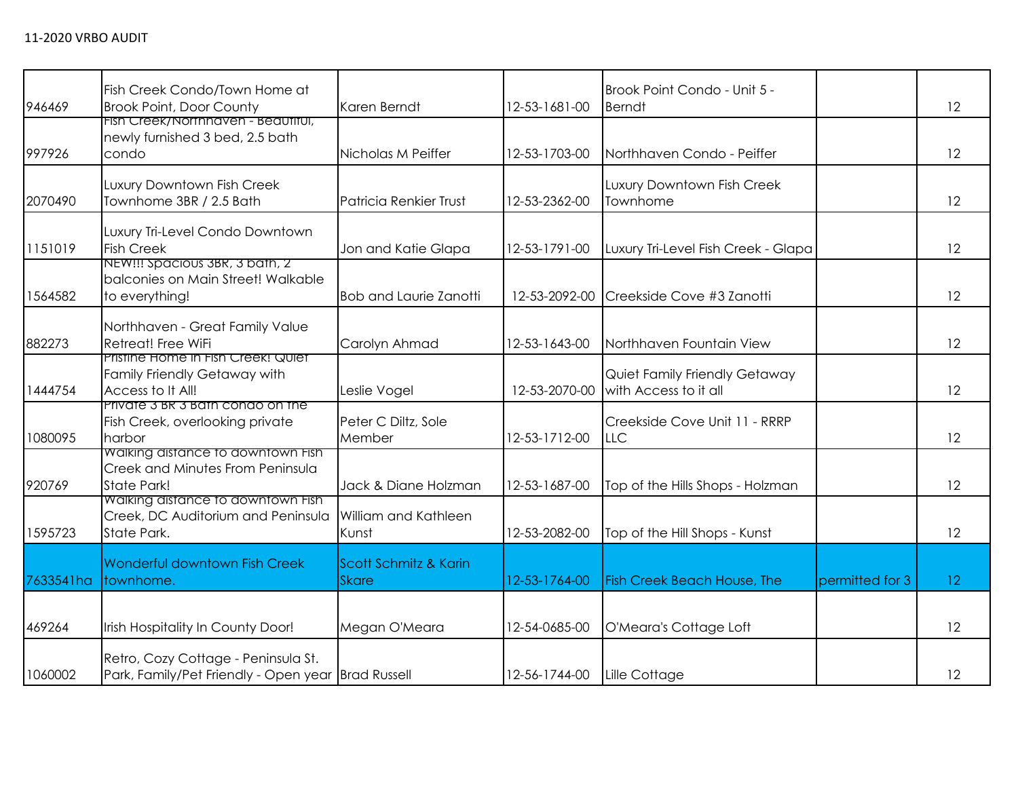| 946469    | Fish Creek Condo/Town Home at<br><b>Brook Point, Door County</b>                            | Karen Berndt                          | 12-53-1681-00 | Brook Point Condo - Unit 5 -<br><b>Berndt</b>          |                 | 12              |
|-----------|---------------------------------------------------------------------------------------------|---------------------------------------|---------------|--------------------------------------------------------|-----------------|-----------------|
| 997926    | Fish Creek/Northhaven - Beautitul,<br>newly furnished 3 bed, 2.5 bath<br>condo              | Nicholas M Peiffer                    | 12-53-1703-00 | Northhaven Condo - Peiffer                             |                 | 12              |
| 2070490   | Luxury Downtown Fish Creek<br>Townhome 3BR / 2.5 Bath                                       | <b>Patricia Renkier Trust</b>         | 12-53-2362-00 | Luxury Downtown Fish Creek<br>Townhome                 |                 | 12              |
| 1151019   | Luxury Tri-Level Condo Downtown<br><b>Fish Creek</b>                                        | Jon and Katie Glapa                   | 12-53-1791-00 | Luxury Tri-Level Fish Creek - Glapa                    |                 | 12              |
| 1564582   | NEW!!! Spacious 3BR, 3 bath, 2<br>balconies on Main Street! Walkable<br>to everything!      | <b>Bob and Laurie Zanotti</b>         | 12-53-2092-00 | Creekside Cove #3 Zanotti                              |                 | 12              |
| 882273    | Northhaven - Great Family Value<br>Retreat! Free WiFi                                       | Carolyn Ahmad                         | 12-53-1643-00 | Northhaven Fountain View                               |                 | 12              |
| 1444754   | Pristine Home in Fish Creek! Quiet<br>Family Friendly Getaway with<br>Access to It All!     | Leslie Vogel                          | 12-53-2070-00 | Quiet Family Friendly Getaway<br>with Access to it all |                 | 12              |
| 1080095   | Private 3 BR 3 Bath condo on the<br>Fish Creek, overlooking private<br>harbor               | Peter C Diltz, Sole<br>Member         | 12-53-1712-00 | Creekside Cove Unit 11 - RRRP<br><b>LLC</b>            |                 | 12              |
| 920769    | Walking distance to downtown Fish<br>Creek and Minutes From Peninsula<br><b>State Park!</b> | Jack & Diane Holzman                  | 12-53-1687-00 | Top of the Hills Shops - Holzman                       |                 | 12              |
| 1595723   | Walking distance to downtown Fish<br>Creek, DC Auditorium and Peninsula<br>State Park.      | William and Kathleen<br>Kunst         | 12-53-2082-00 | Top of the Hill Shops - Kunst                          |                 | 12              |
| 7633541ha | Wonderful downtown Fish Creek<br>townhome.                                                  | Scott Schmitz & Karin<br><b>Skare</b> | 12-53-1764-00 | <b>Fish Creek Beach House, The</b>                     | permitted for 3 | 12 <sup>°</sup> |
| 469264    | Irish Hospitality In County Door!                                                           | Megan O'Meara                         | 12-54-0685-00 | O'Meara's Cottage Loft                                 |                 | 12              |
| 1060002   | Retro, Cozy Cottage - Peninsula St.<br>Park, Family/Pet Friendly - Open year Brad Russell   |                                       | 12-56-1744-00 | Lille Cottage                                          |                 | 12              |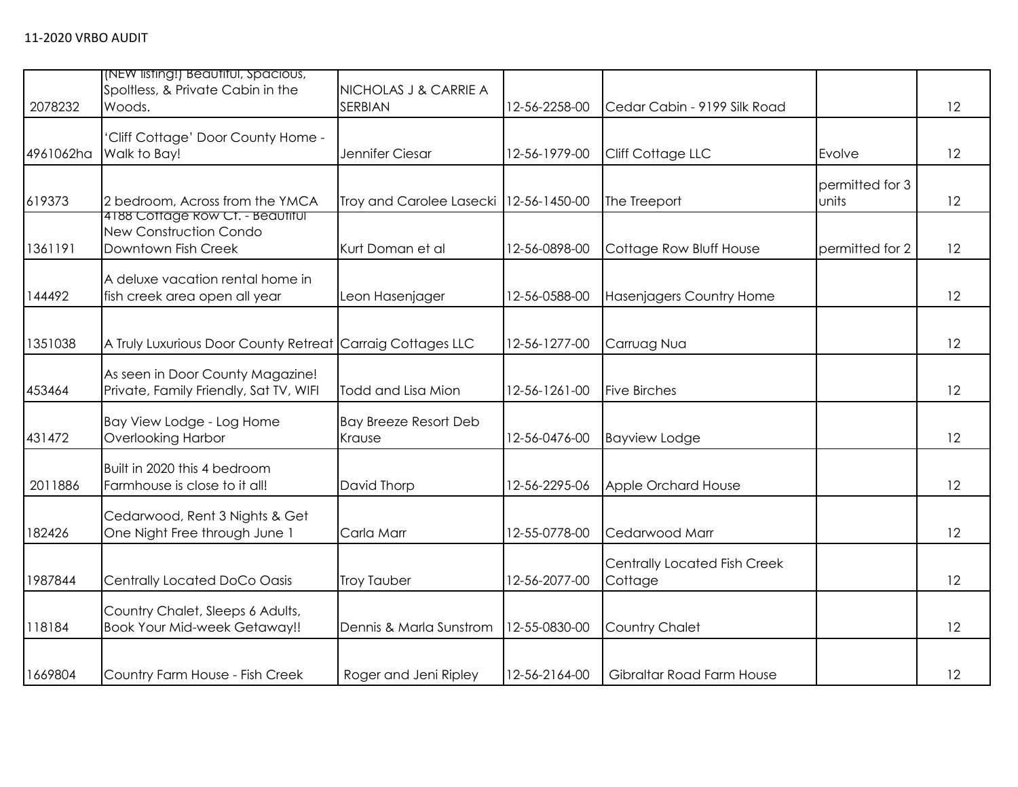| 2078232   | (NEW listing!) Beautiful, Spacious,<br>Spoltless, & Private Cabin in the<br>Woods.       | NICHOLAS J & CARRIE A<br>SERBIAN       | 12-56-2258-00 | Cedar Cabin - 9199 Silk Road            |                          | 12 |
|-----------|------------------------------------------------------------------------------------------|----------------------------------------|---------------|-----------------------------------------|--------------------------|----|
| 4961062ha | 'Cliff Cottage' Door County Home -<br>Walk to Bay!                                       | Jennifer Ciesar                        | 12-56-1979-00 | Cliff Cottage LLC                       | Evolve                   | 12 |
| 619373    | 2 bedroom, Across from the YMCA                                                          | Troy and Carolee Lasecki               | 12-56-1450-00 | The Treeport                            | permitted for 3<br>units | 12 |
| 1361191   | 4188 Cottage Row Ct. - Beautiful<br><b>New Construction Condo</b><br>Downtown Fish Creek | Kurt Doman et al                       | 12-56-0898-00 | Cottage Row Bluff House                 | permitted for 2          | 12 |
| 144492    | A deluxe vacation rental home in<br>fish creek area open all year                        | Leon Hasenjager                        | 12-56-0588-00 | <b>Hasenjagers Country Home</b>         |                          | 12 |
| 1351038   | A Truly Luxurious Door County Retreat Carraig Cottages LLC                               |                                        | 12-56-1277-00 | Carruag Nua                             |                          | 12 |
| 453464    | As seen in Door County Magazine!<br>Private, Family Friendly, Sat TV, WIFI               | Todd and Lisa Mion                     | 12-56-1261-00 | <b>Five Birches</b>                     |                          | 12 |
| 431472    | Bay View Lodge - Log Home<br>Overlooking Harbor                                          | <b>Bay Breeze Resort Deb</b><br>Krause | 12-56-0476-00 | <b>Bayview Lodge</b>                    |                          | 12 |
| 2011886   | Built in 2020 this 4 bedroom<br>Farmhouse is close to it all!                            | David Thorp                            | 12-56-2295-06 | Apple Orchard House                     |                          | 12 |
| 182426    | Cedarwood, Rent 3 Nights & Get<br>One Night Free through June 1                          | Carla Marr                             | 12-55-0778-00 | Cedarwood Marr                          |                          | 12 |
| 1987844   | Centrally Located DoCo Oasis                                                             | <b>Troy Tauber</b>                     | 12-56-2077-00 | Centrally Located Fish Creek<br>Cottage |                          | 12 |
| 118184    | Country Chalet, Sleeps 6 Adults,<br><b>Book Your Mid-week Getaway!!</b>                  | Dennis & Marla Sunstrom                | 12-55-0830-00 | <b>Country Chalet</b>                   |                          | 12 |
| 1669804   | Country Farm House - Fish Creek                                                          | Roger and Jeni Ripley                  | 12-56-2164-00 | Gibraltar Road Farm House               |                          | 12 |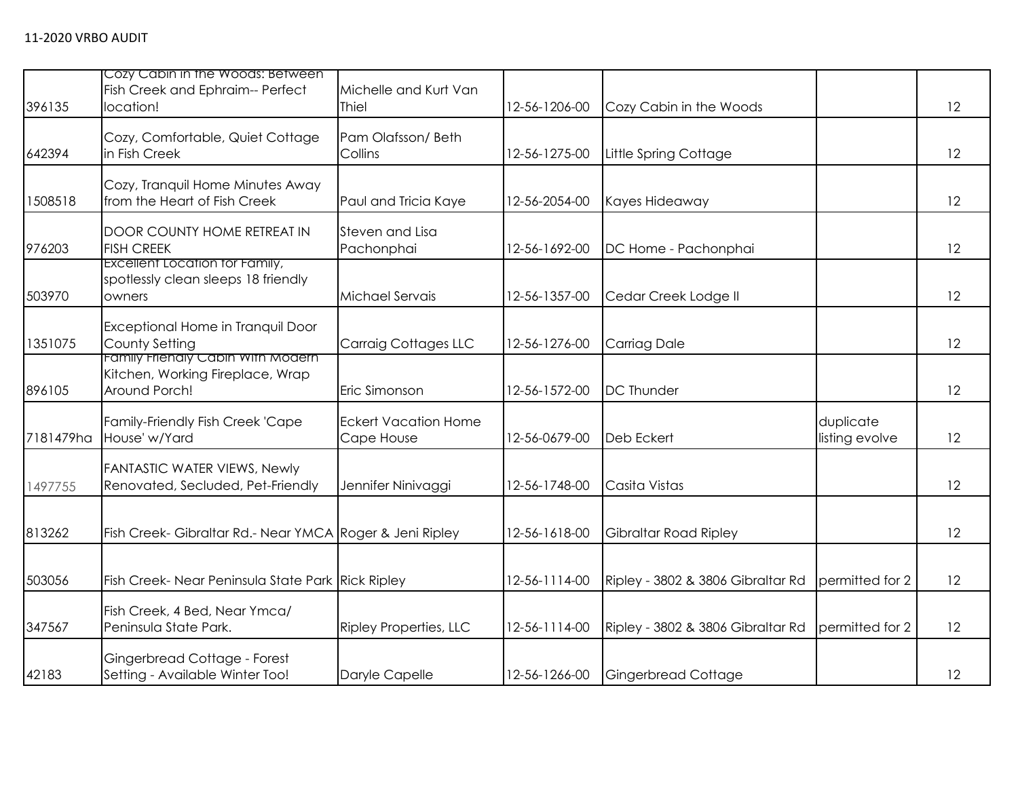| 396135    | Cozy Cabin in the Woods: Between<br>Fish Creek and Ephraim-- Perfect<br>location!      | Michelle and Kurt Van<br><b>Thiel</b>     | 12-56-1206-00 | Cozy Cabin in the Woods           |                             | 12 |
|-----------|----------------------------------------------------------------------------------------|-------------------------------------------|---------------|-----------------------------------|-----------------------------|----|
| 642394    | Cozy, Comfortable, Quiet Cottage<br>in Fish Creek                                      | Pam Olafsson/Beth<br>Collins              | 12-56-1275-00 | Little Spring Cottage             |                             | 12 |
| 1508518   | Cozy, Tranquil Home Minutes Away<br>from the Heart of Fish Creek                       | Paul and Tricia Kaye                      | 12-56-2054-00 | Kayes Hideaway                    |                             | 12 |
| 976203    | <b>DOOR COUNTY HOME RETREAT IN</b><br><b>FISH CREEK</b>                                | Steven and Lisa<br>Pachonphai             | 12-56-1692-00 | DC Home - Pachonphai              |                             | 12 |
| 503970    | <b>Excellent Location for Family,</b><br>spotlessly clean sleeps 18 friendly<br>owners | Michael Servais                           | 12-56-1357-00 | Cedar Creek Lodge II              |                             | 12 |
| 1351075   | Exceptional Home in Tranquil Door<br>County Setting                                    | Carraig Cottages LLC                      | 12-56-1276-00 | <b>Carriag Dale</b>               |                             | 12 |
| 896105    | Family Frienaly Cabin With Modern<br>Kitchen, Working Fireplace, Wrap<br>Around Porch! | Eric Simonson                             | 12-56-1572-00 | <b>DC</b> Thunder                 |                             | 12 |
| 7181479ha | Family-Friendly Fish Creek 'Cape<br>House' w/Yard                                      | <b>Eckert Vacation Home</b><br>Cape House | 12-56-0679-00 | Deb Eckert                        | duplicate<br>listing evolve | 12 |
| 1497755   | <b>FANTASTIC WATER VIEWS, Newly</b><br>Renovated, Secluded, Pet-Friendly               | Jennifer Ninivaggi                        | 12-56-1748-00 | Casita Vistas                     |                             | 12 |
| 813262    | Fish Creek- Gibraltar Rd.- Near YMCA Roger & Jeni Ripley                               |                                           | 12-56-1618-00 | Gibraltar Road Ripley             |                             | 12 |
| 503056    | Fish Creek- Near Peninsula State Park Rick Ripley                                      |                                           | 12-56-1114-00 | Ripley - 3802 & 3806 Gibraltar Rd | permitted for 2             | 12 |
| 347567    | Fish Creek, 4 Bed, Near Ymca/<br>Peninsula State Park.                                 | <b>Ripley Properties, LLC</b>             | 12-56-1114-00 | Ripley - 3802 & 3806 Gibraltar Rd | permitted for 2             | 12 |
| 42183     | Gingerbread Cottage - Forest<br>Setting - Available Winter Too!                        | Daryle Capelle                            | 12-56-1266-00 | Gingerbread Cottage               |                             | 12 |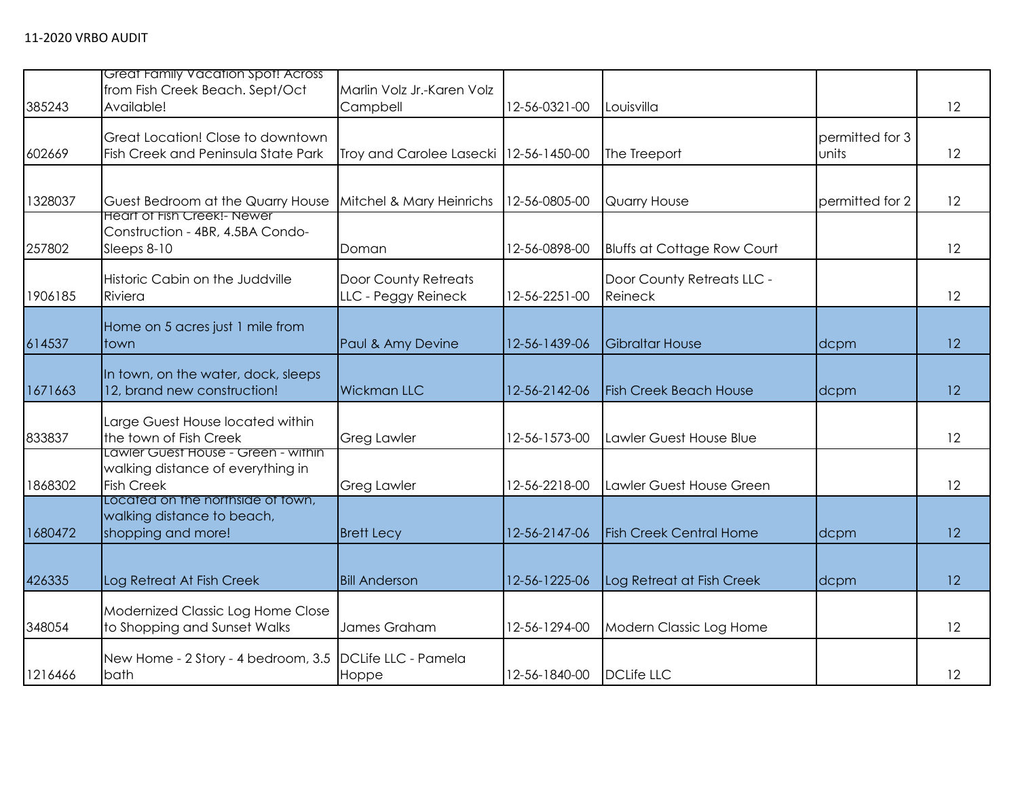|         | Great Family Vacation Spot! Across<br>from Fish Creek Beach. Sept/Oct                         | Marlin Volz Jr.-Karen Volz                  |               |                                              |                          |    |
|---------|-----------------------------------------------------------------------------------------------|---------------------------------------------|---------------|----------------------------------------------|--------------------------|----|
| 385243  | Available!                                                                                    | Campbell                                    | 12-56-0321-00 | Louisvilla                                   |                          | 12 |
| 602669  | Great Location! Close to downtown<br>Fish Creek and Peninsula State Park                      | Troy and Carolee Lasecki   12-56-1450-00    |               | The Treeport                                 | permitted for 3<br>units | 12 |
| 1328037 | Guest Bedroom at the Quarry House                                                             | Mitchel & Mary Heinrichs                    | 12-56-0805-00 | <b>Quarry House</b>                          | permitted for 2          | 12 |
| 257802  | <b>Heart of Fish Creek!- Newer</b><br>Construction - 4BR, 4.5BA Condo-<br>Sleeps 8-10         | Doman                                       | 12-56-0898-00 | <b>Bluffs at Cottage Row Court</b>           |                          | 12 |
| 1906185 | Historic Cabin on the Juddville<br>Riviera                                                    | Door County Retreats<br>LLC - Peggy Reineck | 12-56-2251-00 | Door County Retreats LLC -<br><b>Reineck</b> |                          | 12 |
| 614537  | Home on 5 acres just 1 mile from<br>ltown.                                                    | Paul & Amy Devine                           | 12-56-1439-06 | <b>Gibraltar House</b>                       | dcpm                     | 12 |
| 1671663 | In town, on the water, dock, sleeps<br>12, brand new construction!                            | <b>Wickman LLC</b>                          | 12-56-2142-06 | <b>Fish Creek Beach House</b>                | dcpm                     | 12 |
| 833837  | Large Guest House located within<br>the town of Fish Creek                                    | <b>Greg Lawler</b>                          | 12-56-1573-00 | Lawler Guest House Blue                      |                          | 12 |
| 1868302 | Lawier Guest House - Green - within<br>walking distance of everything in<br><b>Fish Creek</b> | <b>Greg Lawler</b>                          | 12-56-2218-00 | Lawler Guest House Green                     |                          | 12 |
| 1680472 | Located on the northside of town,<br>walking distance to beach,<br>shopping and more!         | <b>Brett Lecy</b>                           | 12-56-2147-06 | <b>Fish Creek Central Home</b>               | dcpm                     | 12 |
| 426335  | Log Retreat At Fish Creek                                                                     | <b>Bill Anderson</b>                        | 12-56-1225-06 | Log Retreat at Fish Creek                    | dcpm                     | 12 |
| 348054  | Modernized Classic Log Home Close<br>to Shopping and Sunset Walks                             | James Graham                                | 12-56-1294-00 | Modern Classic Log Home                      |                          | 12 |
| 1216466 | New Home - 2 Story - 4 bedroom, 3.5 DCLife LLC - Pamela<br>bath                               | Hoppe                                       | 12-56-1840-00 | <b>DCLife LLC</b>                            |                          | 12 |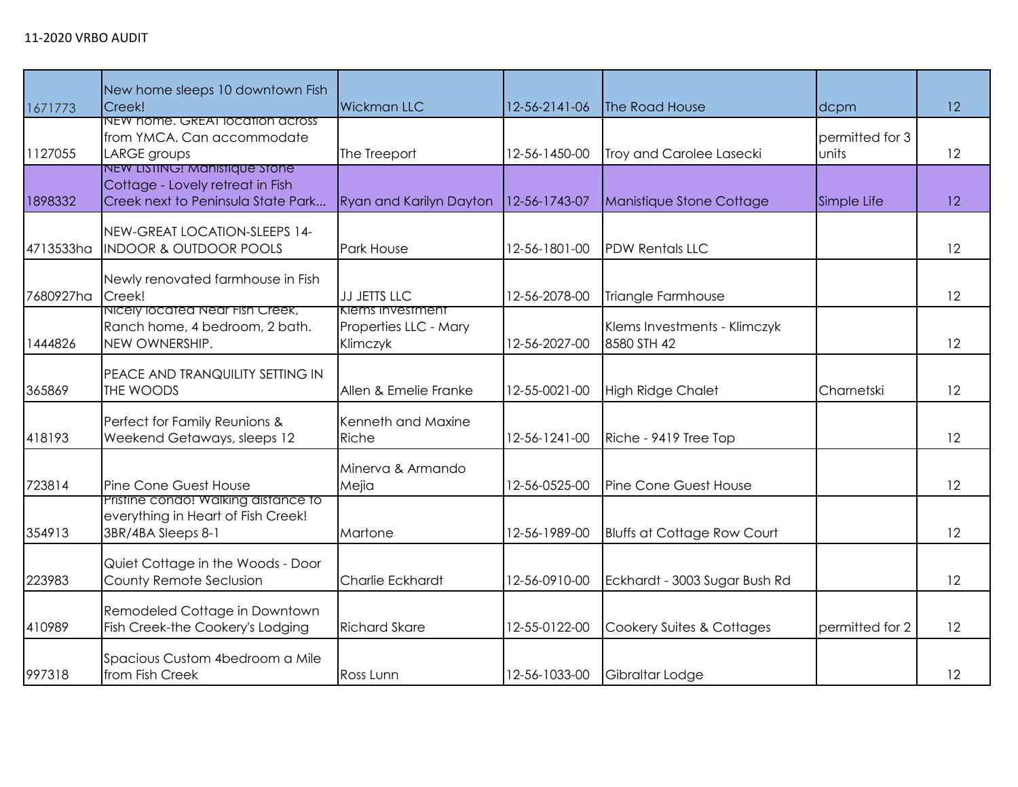| 1671773   | New home sleeps 10 downtown Fish<br>Creek!                                                              | <b>Wickman LLC</b>                                    | 12-56-2141-06 | The Road House                              | dcpm                     | 12 |
|-----------|---------------------------------------------------------------------------------------------------------|-------------------------------------------------------|---------------|---------------------------------------------|--------------------------|----|
| 1127055   | NEW home. GREAT location across<br>from YMCA. Can accommodate<br>LARGE groups                           | The Treeport                                          | 12-56-1450-00 | Troy and Carolee Lasecki                    | permitted for 3<br>units | 12 |
| 1898332   | NEW LISTING! Manistique Stone<br>Cottage - Lovely retreat in Fish<br>Creek next to Peninsula State Park | <b>Ryan and Karilyn Dayton</b>                        | 12-56-1743-07 | Manistique Stone Cottage                    | Simple Life              | 12 |
| 4713533ha | NEW-GREAT LOCATION-SLEEPS 14-<br><b>INDOOR &amp; OUTDOOR POOLS</b>                                      | <b>Park House</b>                                     | 12-56-1801-00 | <b>PDW Rentals LLC</b>                      |                          | 12 |
| 7680927ha | Newly renovated farmhouse in Fish<br>Creek!                                                             | <b>JJ JETTS LLC</b>                                   | 12-56-2078-00 | Triangle Farmhouse                          |                          | 12 |
| 1444826   | Nicely located Near Fish Creek,<br>Ranch home, 4 bedroom, 2 bath.<br>NEW OWNERSHIP.                     | Klems Investment<br>Properties LLC - Mary<br>Klimczyk | 12-56-2027-00 | Klems Investments - Klimczyk<br>8580 STH 42 |                          | 12 |
| 365869    | PEACE AND TRANQUILITY SETTING IN<br>THE WOODS                                                           | Allen & Emelie Franke                                 | 12-55-0021-00 | <b>High Ridge Chalet</b>                    | Charnetski               | 12 |
| 418193    | Perfect for Family Reunions &<br>Weekend Getaways, sleeps 12                                            | Kenneth and Maxine<br>Riche                           | 12-56-1241-00 | Riche - 9419 Tree Top                       |                          | 12 |
| 723814    | Pine Cone Guest House                                                                                   | Minerva & Armando<br>Mejia                            | 12-56-0525-00 | Pine Cone Guest House                       |                          | 12 |
| 354913    | Pristine condo! Walking distance to<br>everything in Heart of Fish Creek!<br>3BR/4BA Sleeps 8-1         | Martone                                               | 12-56-1989-00 | <b>Bluffs at Cottage Row Court</b>          |                          | 12 |
| 223983    | Quiet Cottage in the Woods - Door<br>County Remote Seclusion                                            | Charlie Eckhardt                                      | 12-56-0910-00 | Eckhardt - 3003 Sugar Bush Rd               |                          | 12 |
| 410989    | Remodeled Cottage in Downtown<br>Fish Creek-the Cookery's Lodging                                       | <b>Richard Skare</b>                                  | 12-55-0122-00 | Cookery Suites & Cottages                   | permitted for 2          | 12 |
| 997318    | Spacious Custom 4bedroom a Mile<br>from Fish Creek                                                      | Ross Lunn                                             | 12-56-1033-00 | Gibraltar Lodge                             |                          | 12 |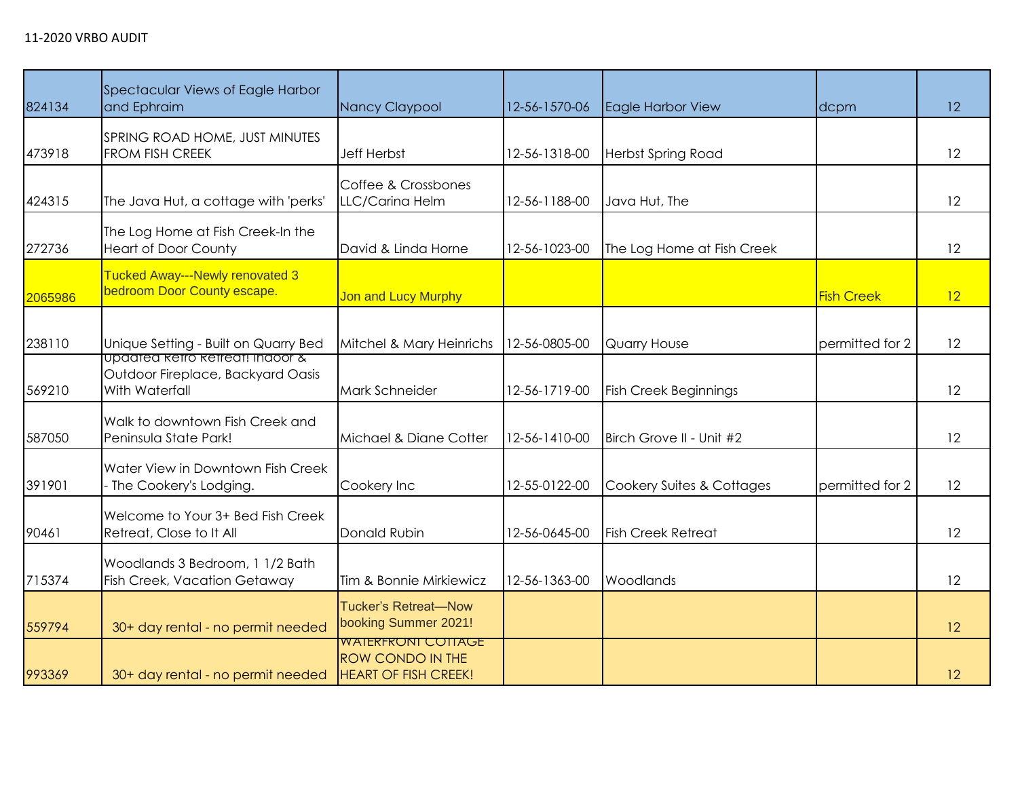| 824134  | Spectacular Views of Eagle Harbor<br>and Ephraim                                       | Nancy Claypool                                                                      | 12-56-1570-06 | Eagle Harbor View            | dcpm              | 12 |
|---------|----------------------------------------------------------------------------------------|-------------------------------------------------------------------------------------|---------------|------------------------------|-------------------|----|
| 473918  | SPRING ROAD HOME, JUST MINUTES<br>FROM FISH CREEK                                      | <b>Jeff Herbst</b>                                                                  | 12-56-1318-00 | <b>Herbst Spring Road</b>    |                   | 12 |
| 424315  | The Java Hut, a cottage with 'perks'                                                   | Coffee & Crossbones<br>LLC/Carina Helm                                              | 12-56-1188-00 | Java Hut, The                |                   | 12 |
| 272736  | The Log Home at Fish Creek-In the<br><b>Heart of Door County</b>                       | David & Linda Horne                                                                 | 12-56-1023-00 | The Log Home at Fish Creek   |                   | 12 |
| 2065986 | Tucked Away---Newly renovated 3<br>bedroom Door County escape.                         | <b>Jon and Lucy Murphy</b>                                                          |               |                              | <b>Fish Creek</b> | 12 |
| 238110  | Unique Setting - Built on Quarry Bed                                                   | Mitchel & Mary Heinrichs                                                            | 12-56-0805-00 | Quarry House                 | permitted for 2   | 12 |
| 569210  | updated ketro ketreat! Indoor &<br>Outdoor Fireplace, Backyard Oasis<br>With Waterfall | Mark Schneider                                                                      | 12-56-1719-00 | <b>Fish Creek Beginnings</b> |                   | 12 |
| 587050  | Walk to downtown Fish Creek and<br>Peninsula State Park!                               | Michael & Diane Cotter                                                              | 12-56-1410-00 | Birch Grove II - Unit #2     |                   | 12 |
| 391901  | Water View in Downtown Fish Creek<br>- The Cookery's Lodging.                          | Cookery Inc                                                                         | 12-55-0122-00 | Cookery Suites & Cottages    | permitted for 2   | 12 |
| 90461   | Welcome to Your 3+ Bed Fish Creek<br>Retreat, Close to It All                          | Donald Rubin                                                                        | 12-56-0645-00 | <b>Fish Creek Retreat</b>    |                   | 12 |
| 715374  | Woodlands 3 Bedroom, 1 1/2 Bath<br>Fish Creek, Vacation Getaway                        | Tim & Bonnie Mirkiewicz                                                             | 12-56-1363-00 | Woodlands                    |                   | 12 |
| 559794  | 30+ day rental - no permit needed                                                      | <b>Tucker's Retreat-Now</b><br>booking Summer 2021!                                 |               |                              |                   | 12 |
| 993369  | 30+ day rental - no permit needed                                                      | <b>WAIERFRONT COTTAGE</b><br><b>ROW CONDO IN THE</b><br><b>HEART OF FISH CREEK!</b> |               |                              |                   | 12 |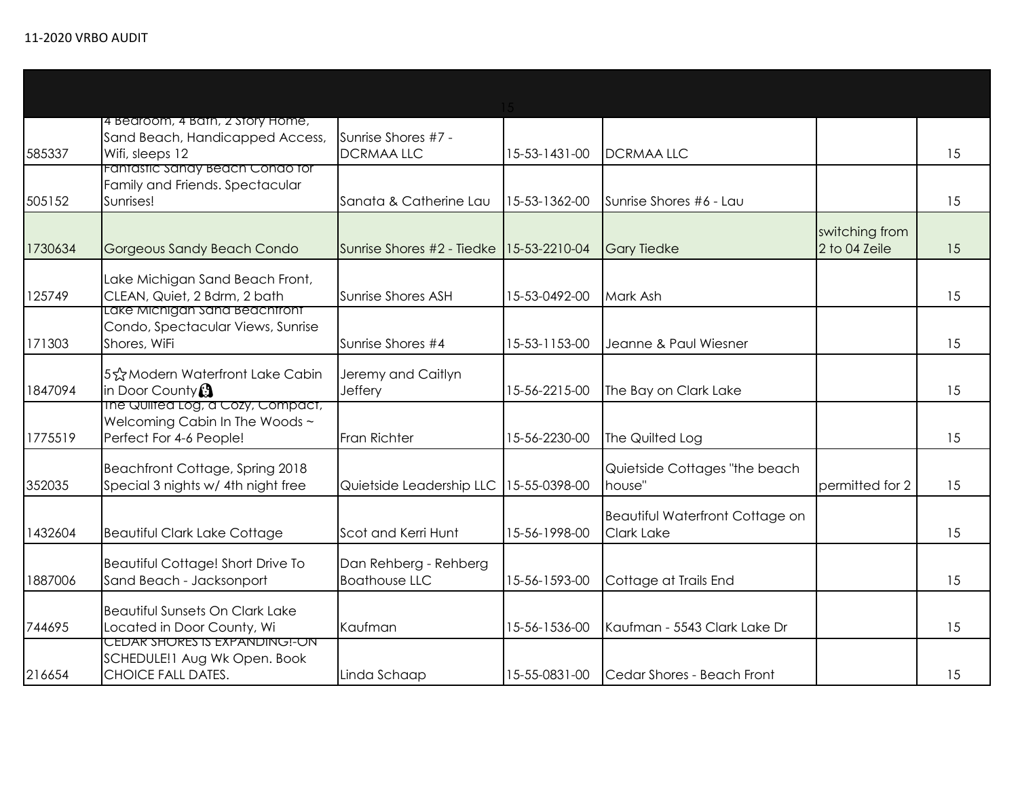| 585337  | 4 Bedroom, 4 Bath, 2 Story Home,<br>Sand Beach, Handicapped Access,<br>Wifi, sleeps 12           | Sunrise Shores #7 -<br><b>DCRMAALLC</b>       | 15-53-1431-00 | <b>DCRMAALLC</b>                              |                                 | 15 |
|---------|--------------------------------------------------------------------------------------------------|-----------------------------------------------|---------------|-----------------------------------------------|---------------------------------|----|
| 505152  | Fantastic Sandy Beach Condo for<br>Family and Friends. Spectacular<br>Sunrises!                  | Sanata & Catherine Lau                        | 15-53-1362-00 | Sunrise Shores #6 - Lau                       |                                 | 15 |
| 1730634 | Gorgeous Sandy Beach Condo                                                                       | Sunrise Shores #2 - Tiedke                    | 15-53-2210-04 | <b>Gary Tiedke</b>                            | switching from<br>2 to 04 Zeile | 15 |
| 125749  | Lake Michigan Sand Beach Front,<br>CLEAN, Quiet, 2 Bdrm, 2 bath<br>Lake Michigan Sand Beachtront | Sunrise Shores ASH                            | 15-53-0492-00 | Mark Ash                                      |                                 | 15 |
| 171303  | Condo, Spectacular Views, Sunrise<br>Shores, WiFi                                                | Sunrise Shores #4                             | 15-53-1153-00 | Jeanne & Paul Wiesner                         |                                 | 15 |
| 1847094 | 5☆Modern Waterfront Lake Cabin<br>in Door County <sup>3</sup>                                    | Jeremy and Caitlyn<br>Jeffery                 | 15-56-2215-00 | The Bay on Clark Lake                         |                                 | 15 |
| 1775519 | The Quilted Log, a Cozy, Compact,<br>Welcoming Cabin In The Woods ~<br>Perfect For 4-6 People!   | <b>Fran Richter</b>                           | 15-56-2230-00 | The Quilted Log                               |                                 | 15 |
| 352035  | Beachfront Cottage, Spring 2018<br>Special 3 nights w/ 4th night free                            | Quietside Leadership LLC                      | 15-55-0398-00 | Quietside Cottages "the beach<br>house"       | permitted for 2                 | 15 |
| 1432604 | <b>Beautiful Clark Lake Cottage</b>                                                              | Scot and Kerri Hunt                           | 15-56-1998-00 | Beautiful Waterfront Cottage on<br>Clark Lake |                                 | 15 |
| 1887006 | Beautiful Cottage! Short Drive To<br>Sand Beach - Jacksonport                                    | Dan Rehberg - Rehberg<br><b>Boathouse LLC</b> | 15-56-1593-00 | Cottage at Trails End                         |                                 | 15 |
| 744695  | <b>Beautiful Sunsets On Clark Lake</b><br>Located in Door County, Wi                             | Kaufman                                       | 15-56-1536-00 | Kaufman - 5543 Clark Lake Dr                  |                                 | 15 |
| 216654  | CEDAR SHORES IS EXPANDING !- ON<br>SCHEDULE!1 Aug Wk Open. Book<br><b>CHOICE FALL DATES.</b>     | Linda Schaap                                  | 15-55-0831-00 | Cedar Shores - Beach Front                    |                                 | 15 |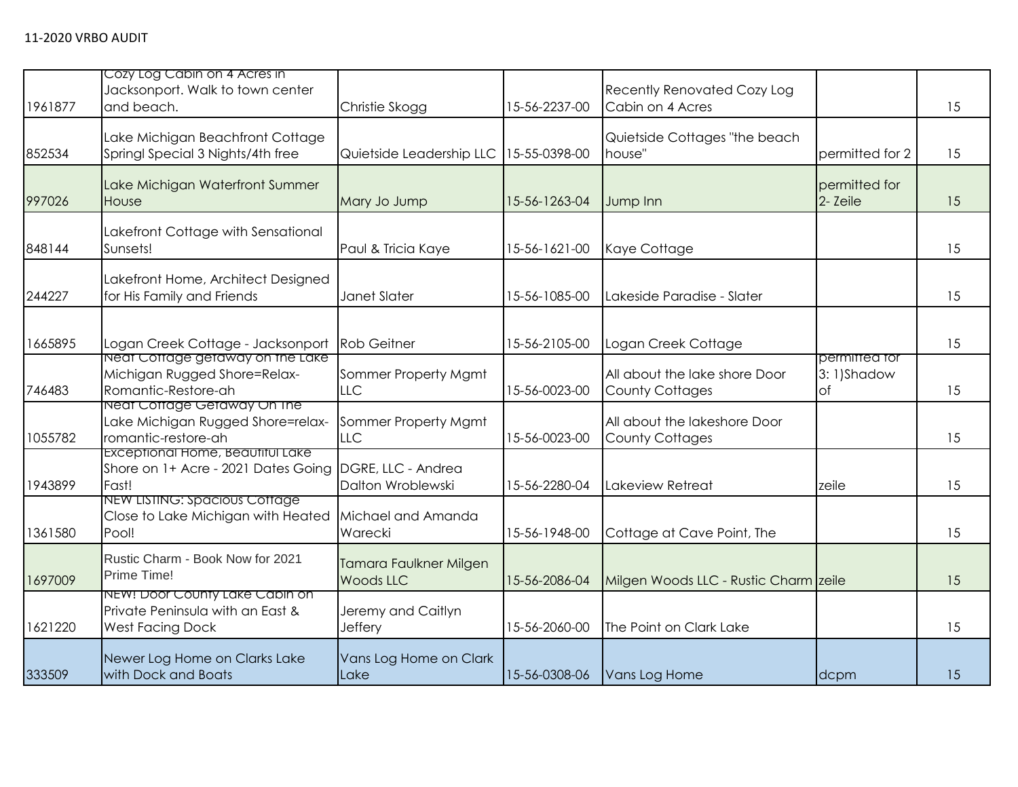| 1961877 | Cozy Log Cabin on 4 Acres in<br>Jacksonport. Walk to town center<br>and beach.                      | Christie Skogg                             | 15-56-2237-00 | <b>Recently Renovated Cozy Log</b><br>Cabin on 4 Acres  |                                           | 15 |
|---------|-----------------------------------------------------------------------------------------------------|--------------------------------------------|---------------|---------------------------------------------------------|-------------------------------------------|----|
| 852534  | Lake Michigan Beachfront Cottage<br>Springl Special 3 Nights/4th free                               | Quietside Leadership LLC                   | 15-55-0398-00 | Quietside Cottages "the beach<br>house"                 | permitted for 2                           | 15 |
| 997026  | Lake Michigan Waterfront Summer<br>House                                                            | Mary Jo Jump                               | 15-56-1263-04 | Jump Inn                                                | permitted for<br>2- Zeile                 | 15 |
| 848144  | Lakefront Cottage with Sensational<br>Sunsets!                                                      | Paul & Tricia Kaye                         | 15-56-1621-00 | Kaye Cottage                                            |                                           | 15 |
| 244227  | Lakefront Home, Architect Designed<br>for His Family and Friends                                    | Janet Slater                               | 15-56-1085-00 | Lakeside Paradise - Slater                              |                                           | 15 |
| 1665895 | Logan Creek Cottage - Jacksonport                                                                   | <b>Rob Geitner</b>                         | 15-56-2105-00 | Logan Creek Cottage                                     |                                           | 15 |
| 746483  | Neat Cottage getaway on the Lake<br>Michigan Rugged Shore=Relax-<br>Romantic-Restore-ah             | Sommer Property Mgmt<br>LLC                | 15-56-0023-00 | All about the lake shore Door<br><b>County Cottages</b> | permitted for<br>3: 1)Shadow<br>$\circ$ f | 15 |
| 1055782 | Neat Cottage Getaway On The<br>Lake Michigan Rugged Shore=relax-<br>romantic-restore-ah             | Sommer Property Mgmt<br><b>LLC</b>         | 15-56-0023-00 | All about the lakeshore Door<br><b>County Cottages</b>  |                                           | 15 |
| 1943899 | Exceptional Home, Beautiful Lake<br>Shore on 1+ Acre - 2021 Dates Going DGRE, LLC - Andrea<br>Fast! | Dalton Wroblewski                          | 15-56-2280-04 | Lakeview Retreat                                        | zeile                                     | 15 |
| 1361580 | NEW LISTING: Spacious Cottage<br>Close to Lake Michigan with Heated<br>Pool!                        | Michael and Amanda<br>Warecki              | 15-56-1948-00 | Cottage at Cave Point, The                              |                                           | 15 |
| 1697009 | Rustic Charm - Book Now for 2021<br>Prime Time!                                                     | Tamara Faulkner Milgen<br><b>Woods LLC</b> | 15-56-2086-04 | Milgen Woods LLC - Rustic Charm zeile                   |                                           | 15 |
| 1621220 | NEW! Door County Lake Cabin on<br>Private Peninsula with an East &<br><b>West Facing Dock</b>       | Jeremy and Caitlyn<br>Jeffery              | 15-56-2060-00 | The Point on Clark Lake                                 |                                           | 15 |
| 333509  | Newer Log Home on Clarks Lake<br>with Dock and Boats                                                | Vans Log Home on Clark<br>Lake             | 15-56-0308-06 | Vans Log Home                                           | dcpm                                      | 15 |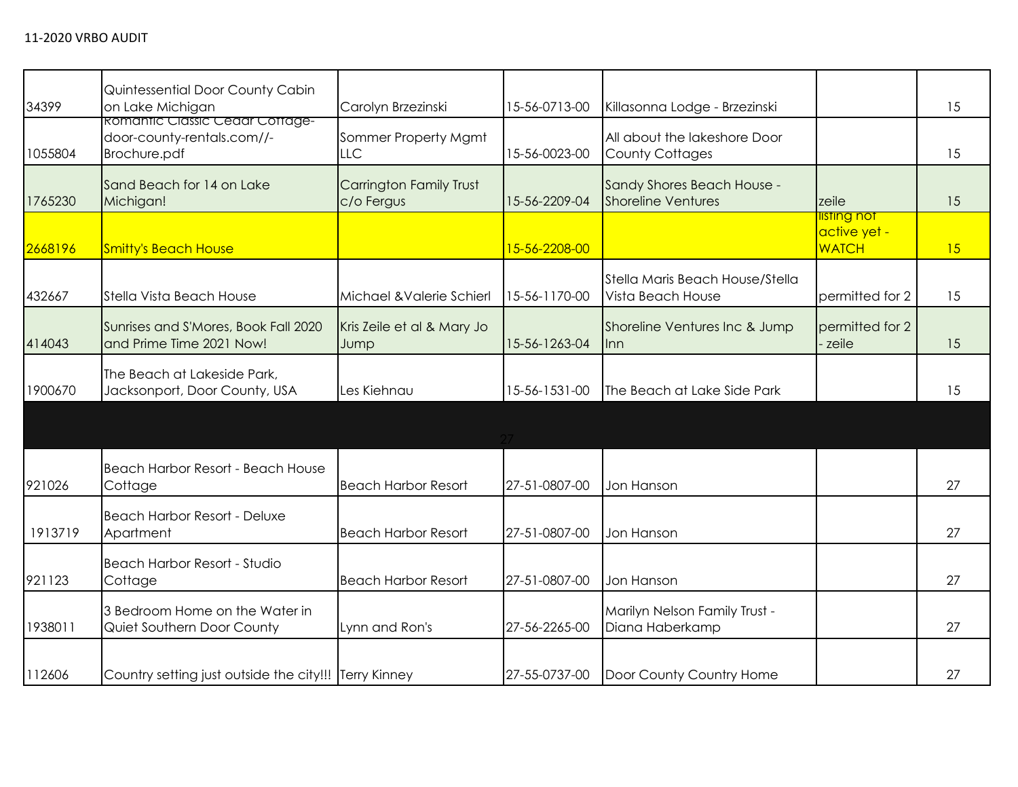| 34399   | Quintessential Door County Cabin<br>on Lake Michigan                          | Carolyn Brzezinski                    | 15-56-0713-00 | Killasonna Lodge - Brzezinski                           |                                             | 15 |
|---------|-------------------------------------------------------------------------------|---------------------------------------|---------------|---------------------------------------------------------|---------------------------------------------|----|
| 1055804 | Romantic Classic Cedar Cottage-<br>door-county-rentals.com//-<br>Brochure.pdf | Sommer Property Mgmt<br><b>LLC</b>    | 15-56-0023-00 | All about the lakeshore Door<br><b>County Cottages</b>  |                                             | 15 |
| 1765230 | Sand Beach for 14 on Lake<br>Michigan!                                        | Carrington Family Trust<br>c/o Fergus | 15-56-2209-04 | Sandy Shores Beach House -<br><b>Shoreline Ventures</b> | zeile                                       | 15 |
| 2668196 | <b>Smitty's Beach House</b>                                                   |                                       | 15-56-2208-00 |                                                         | listing not<br>active yet -<br><b>WATCH</b> | 15 |
| 432667  | Stella Vista Beach House                                                      | Michael & Valerie Schierl             | 15-56-1170-00 | Stella Maris Beach House/Stella<br>Vista Beach House    | permitted for 2                             | 15 |
| 414043  | Sunrises and S'Mores, Book Fall 2020<br>and Prime Time 2021 Now!              | Kris Zeile et al & Mary Jo<br>Jump    | 15-56-1263-04 | Shoreline Ventures Inc & Jump<br>llnn.                  | permitted for 2<br>- zeile                  | 15 |
| 1900670 | The Beach at Lakeside Park,<br>Jacksonport, Door County, USA                  | Les Kiehnau                           | 15-56-1531-00 | The Beach at Lake Side Park                             |                                             | 15 |
|         |                                                                               |                                       |               |                                                         |                                             |    |
| 921026  | Beach Harbor Resort - Beach House<br>Cottage                                  | <b>Beach Harbor Resort</b>            | 27-51-0807-00 | Jon Hanson                                              |                                             | 27 |
| 1913719 | Beach Harbor Resort - Deluxe<br>Apartment                                     | <b>Beach Harbor Resort</b>            | 27-51-0807-00 | Jon Hanson                                              |                                             | 27 |
| 921123  | Beach Harbor Resort - Studio<br>Cottage                                       | <b>Beach Harbor Resort</b>            | 27-51-0807-00 | Jon Hanson                                              |                                             | 27 |
| 1938011 | 3 Bedroom Home on the Water in<br>Quiet Southern Door County                  | Lynn and Ron's                        | 27-56-2265-00 | Marilyn Nelson Family Trust -<br>Diana Haberkamp        |                                             | 27 |
| 112606  | Country setting just outside the city!!! Terry Kinney                         |                                       | 27-55-0737-00 | Door County Country Home                                |                                             | 27 |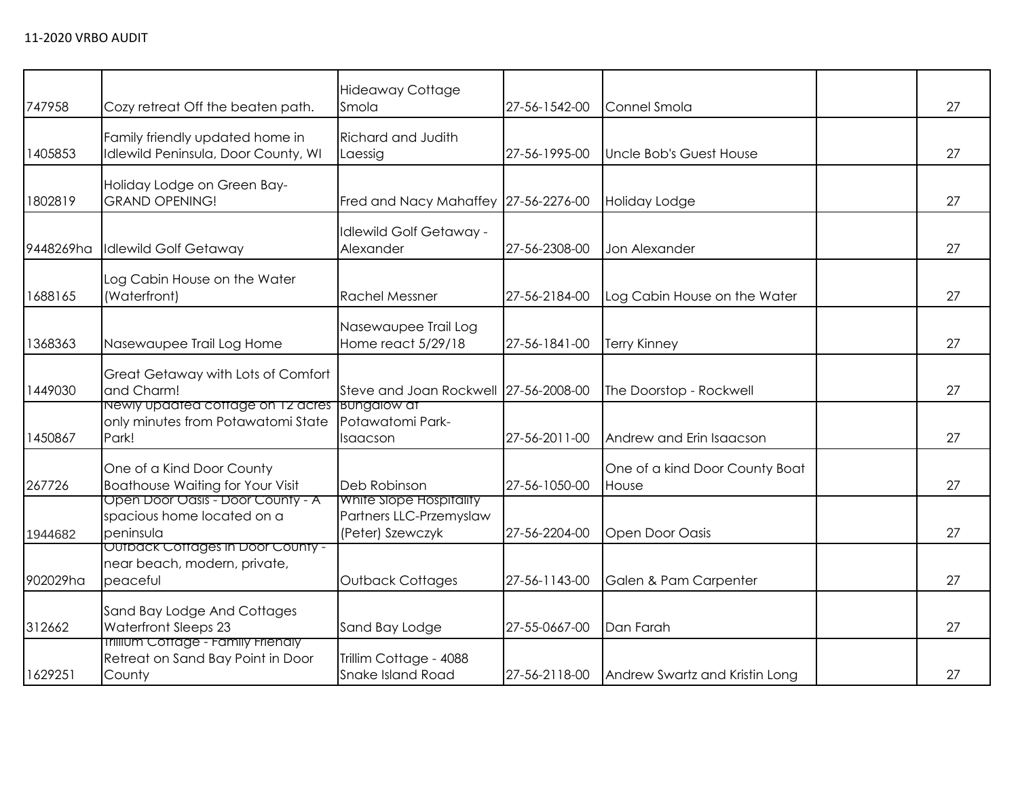| 747958    | Cozy retreat Off the beaten path.                                                            | <b>Hideaway Cottage</b><br>Smola                                       | 27-56-1542-00 | Connel Smola                            | 27 |
|-----------|----------------------------------------------------------------------------------------------|------------------------------------------------------------------------|---------------|-----------------------------------------|----|
| 1405853   | Family friendly updated home in<br>Idlewild Peninsula, Door County, WI                       | Richard and Judith<br>Laessig                                          | 27-56-1995-00 | Uncle Bob's Guest House                 | 27 |
| 1802819   | Holiday Lodge on Green Bay-<br><b>GRAND OPENING!</b>                                         | Fred and Nacy Mahaffey 27-56-2276-00                                   |               | <b>Holiday Lodge</b>                    | 27 |
| 9448269ha | <b>Idlewild Golf Getaway</b>                                                                 | <b>Idlewild Golf Getaway -</b><br>Alexander                            | 27-56-2308-00 | Jon Alexander                           | 27 |
| 1688165   | Log Cabin House on the Water<br>(Waterfront)                                                 | <b>Rachel Messner</b>                                                  | 27-56-2184-00 | Log Cabin House on the Water            | 27 |
| 1368363   | Nasewaupee Trail Log Home                                                                    | Nasewaupee Trail Log<br>Home react 5/29/18                             | 27-56-1841-00 | <b>Terry Kinney</b>                     | 27 |
| 1449030   | <b>Great Getaway with Lots of Comfort</b><br>and Charm!                                      | Steve and Joan Rockwell 27-56-2008-00                                  |               | The Doorstop - Rockwell                 | 27 |
| 1450867   | Newly updated cottage on 12 acres Bungalow at<br>only minutes from Potawatomi State<br>Park! | Potawatomi Park-<br>Isaacson                                           | 27-56-2011-00 | Andrew and Erin Isaacson                | 27 |
| 267726    | One of a Kind Door County<br><b>Boathouse Waiting for Your Visit</b>                         | Deb Robinson                                                           | 27-56-1050-00 | One of a kind Door County Boat<br>House | 27 |
| 1944682   | Open Door Oasis - Door County - A<br>spacious home located on a<br>peninsula                 | White Slope Hospitality<br>Partners LLC-Przemyslaw<br>(Peter) Szewczyk | 27-56-2204-00 | Open Door Oasis                         | 27 |
| 902029ha  | <b>Outback Cottages in Door County -</b><br>near beach, modern, private,<br>peaceful         | <b>Outback Cottages</b>                                                | 27-56-1143-00 | Galen & Pam Carpenter                   | 27 |
| 312662    | Sand Bay Lodge And Cottages<br><b>Waterfront Sleeps 23</b>                                   | Sand Bay Lodge                                                         | 27-55-0667-00 | Dan Farah                               | 27 |
| 1629251   | <b>Irillium Cottage - Family Friendly</b><br>Retreat on Sand Bay Point in Door<br>County     | Trillim Cottage - 4088<br>Snake Island Road                            | 27-56-2118-00 | Andrew Swartz and Kristin Long          | 27 |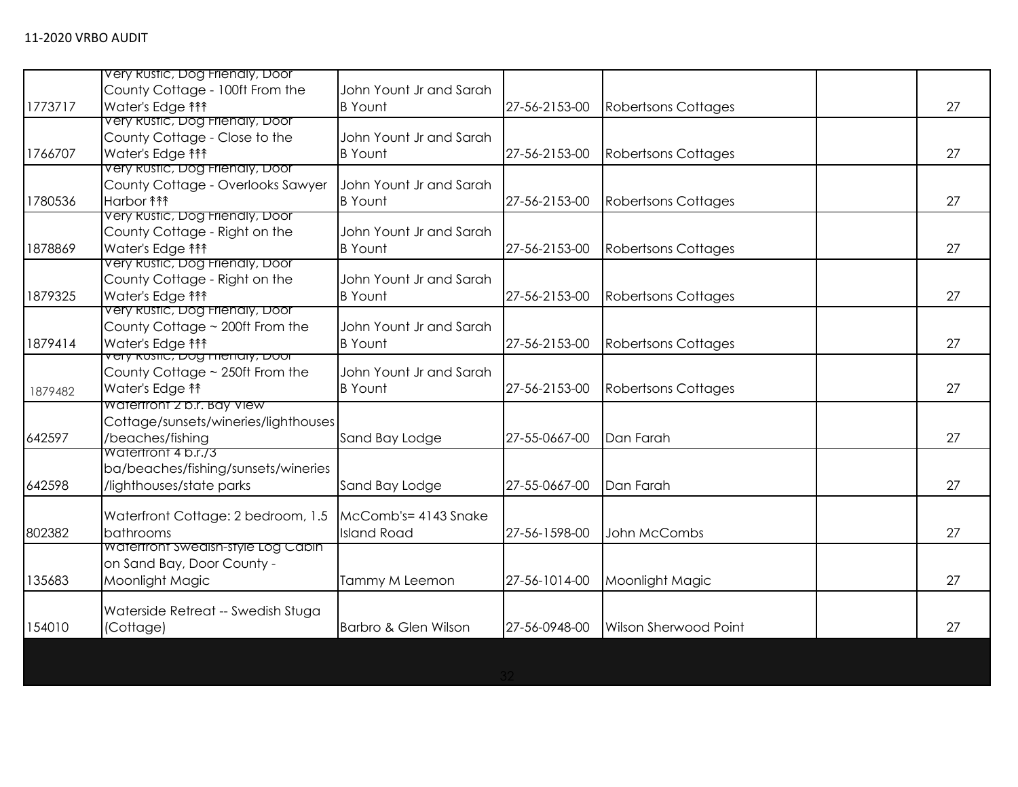|         | Very Rustic, Dog Frienaly, Door                 |                         |               |                            |    |
|---------|-------------------------------------------------|-------------------------|---------------|----------------------------|----|
|         | County Cottage - 100ft From the                 | John Yount Jr and Sarah |               |                            |    |
| 1773717 | Water's Edge <sub>111</sub>                     | <b>B</b> Yount          | 27-56-2153-00 | <b>Robertsons Cottages</b> | 27 |
|         | Very Rustic, Dog Frienaly, Door                 |                         |               |                            |    |
|         | County Cottage - Close to the                   | John Yount Jr and Sarah |               |                            |    |
| 1766707 | Water's Edge <sup>14</sup>                      | <b>B</b> Yount          | 27-56-2153-00 | <b>Robertsons Cottages</b> | 27 |
|         | Very Rustic, Dog Frienaly, Door                 |                         |               |                            |    |
|         | County Cottage - Overlooks Sawyer               | John Yount Jr and Sarah |               |                            |    |
| 1780536 | Harbor <b>fff</b>                               | <b>B</b> Yount          | 27-56-2153-00 | <b>Robertsons Cottages</b> | 27 |
|         | Very Rustic, Dog Frienaly, Door                 |                         |               |                            |    |
|         | County Cottage - Right on the                   | John Yount Jr and Sarah |               |                            |    |
| 1878869 | Water's Edge <sup>14</sup>                      | <b>B</b> Yount          | 27-56-2153-00 | <b>Robertsons Cottages</b> | 27 |
|         | Very Rustic, Dog Frienaly, Door                 |                         |               |                            |    |
|         | County Cottage - Right on the                   | John Yount Jr and Sarah |               |                            |    |
| 1879325 | Water's Edge <sup>14</sup>                      | <b>B</b> Yount          | 27-56-2153-00 | Robertsons Cottages        | 27 |
|         | Very Rustic, Dog Frienaly, Door                 |                         |               |                            |    |
|         | County Cottage ~ 200ft From the                 | John Yount Jr and Sarah |               |                            |    |
| 1879414 | Water's Edge <sup>14</sup>                      | <b>B</b> Yount          | 27-56-2153-00 | <b>Robertsons Cottages</b> | 27 |
|         | <del>very Rushc, סטע רוופוזמון, סטטו</del>      |                         |               |                            |    |
|         | County Cottage ~ 250ft From the                 | John Yount Jr and Sarah |               |                            |    |
| 1879482 | Water's Edge <sup>11</sup>                      | <b>B</b> Yount          | 27-56-2153-00 | <b>Robertsons Cottages</b> | 27 |
|         | Watertront 2 b.r. Bay View                      |                         |               |                            |    |
|         | Cottage/sunsets/wineries/lighthouses            |                         |               |                            |    |
| 642597  | /beaches/fishing                                | Sand Bay Lodge          | 27-55-0667-00 | Dan Farah                  | 27 |
|         | Waterfront 4 b.r./3                             |                         |               |                            |    |
|         | ba/beaches/fishing/sunsets/wineries             |                         |               |                            |    |
| 642598  | /lighthouses/state parks                        | Sand Bay Lodge          | 27-55-0667-00 | Dan Farah                  | 27 |
|         |                                                 |                         |               |                            |    |
|         | Waterfront Cottage: 2 bedroom, 1.5              | McComb's= 4143 Snake    |               |                            |    |
| 802382  | bathrooms<br>Watertront Swedish-style Log Cabin | <b>Island Road</b>      | 27-56-1598-00 | John McCombs               | 27 |
|         | on Sand Bay, Door County -                      |                         |               |                            |    |
| 135683  |                                                 |                         | 27-56-1014-00 |                            | 27 |
|         | Moonlight Magic                                 | Tammy M Leemon          |               | Moonlight Magic            |    |
|         | Waterside Retreat -- Swedish Stuga              |                         |               |                            |    |
| 154010  | (Cottage)                                       | Barbro & Glen Wilson    | 27-56-0948-00 | Wilson Sherwood Point      | 27 |
|         |                                                 |                         |               |                            |    |
|         |                                                 |                         |               |                            |    |
|         |                                                 |                         |               |                            |    |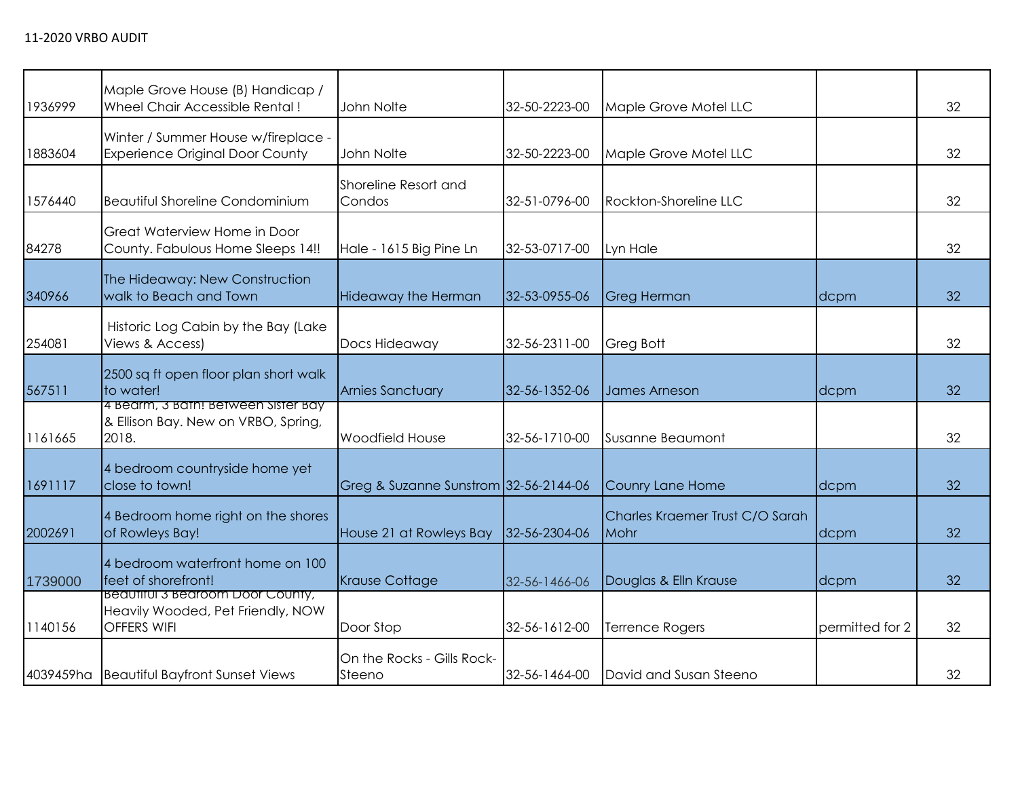| 1936999 | Maple Grove House (B) Handicap /<br>Wheel Chair Accessible Rental!                   | John Nolte                            | 32-50-2223-00 | Maple Grove Motel LLC                   |                 | 32 |
|---------|--------------------------------------------------------------------------------------|---------------------------------------|---------------|-----------------------------------------|-----------------|----|
| 1883604 | Winter / Summer House w/fireplace -<br><b>Experience Original Door County</b>        | John Nolte                            | 32-50-2223-00 | Maple Grove Motel LLC                   |                 | 32 |
| 1576440 | <b>Beautiful Shoreline Condominium</b>                                               | Shoreline Resort and<br>Condos        | 32-51-0796-00 | Rockton-Shoreline LLC                   |                 | 32 |
| 84278   | Great Waterview Home in Door<br>County. Fabulous Home Sleeps 14!!                    | Hale - 1615 Big Pine Ln               | 32-53-0717-00 | Lyn Hale                                |                 | 32 |
| 340966  | The Hideaway: New Construction<br>walk to Beach and Town                             | <b>Hideaway the Herman</b>            | 32-53-0955-06 | <b>Greg Herman</b>                      | dcpm            | 32 |
| 254081  | Historic Log Cabin by the Bay (Lake<br>Views & Access)                               | Docs Hideaway                         | 32-56-2311-00 | Greg Bott                               |                 | 32 |
| 567511  | 2500 sq ft open floor plan short walk<br>to water!                                   | <b>Arnies Sanctuary</b>               | 32-56-1352-06 | <b>James Arneson</b>                    | dcpm            | 32 |
| 1161665 | 4 Bearm, 3 Bath! Between Sister Bay<br>& Ellison Bay. New on VRBO, Spring,<br>2018.  | <b>Woodfield House</b>                | 32-56-1710-00 | Susanne Beaumont                        |                 | 32 |
| 1691117 | 4 bedroom countryside home yet<br>close to town!                                     | Greg & Suzanne Sunstrom 32-56-2144-06 |               | Counry Lane Home                        | dcpm            | 32 |
| 2002691 | 4 Bedroom home right on the shores<br>of Rowleys Bay!                                | House 21 at Rowleys Bay               | 32-56-2304-06 | Charles Kraemer Trust C/O Sarah<br>Mohr | dcpm            | 32 |
| 1739000 | 4 bedroom waterfront home on 100<br>feet of shorefront!                              | <b>Krause Cottage</b>                 | 32-56-1466-06 | Douglas & Elln Krause                   | dcpm            | 32 |
| 1140156 | Beautiful 3 Bearoom Door County,<br>Heavily Wooded, Pet Friendly, NOW<br>OFFERS WIFI | Door Stop                             | 32-56-1612-00 | <b>Terrence Rogers</b>                  | permitted for 2 | 32 |
|         | 4039459ha Beautiful Bayfront Sunset Views                                            | On the Rocks - Gills Rock-<br>Steeno  | 32-56-1464-00 | David and Susan Steeno                  |                 | 32 |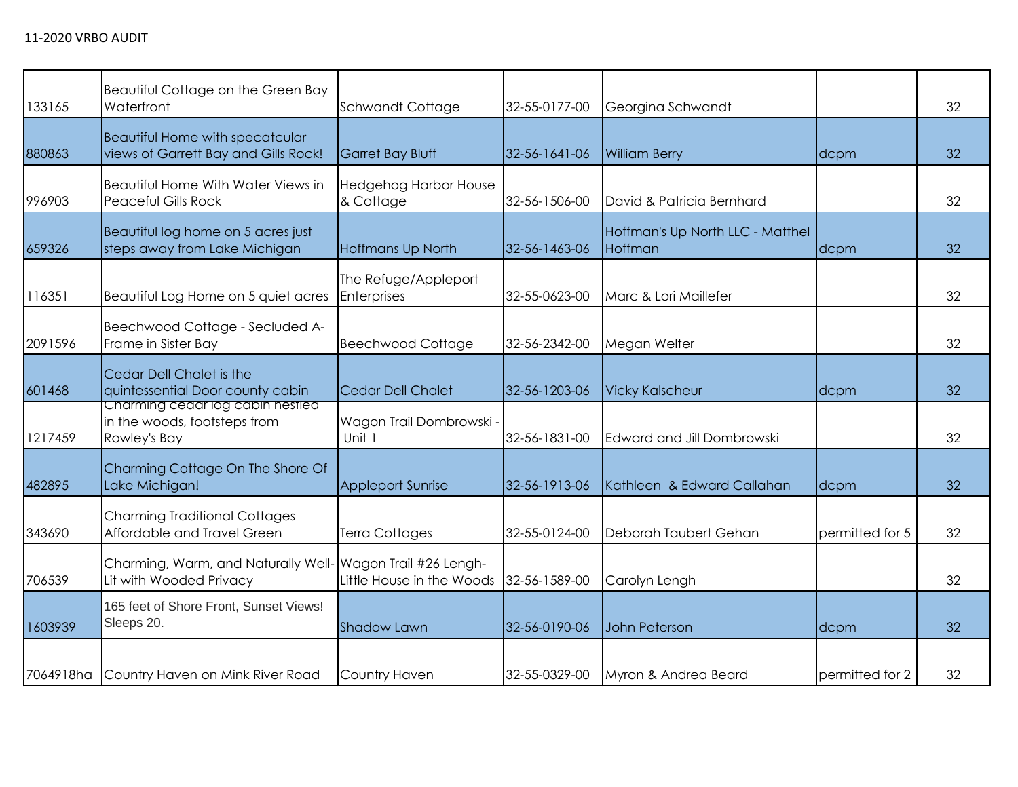| 133165  | Beautiful Cottage on the Green Bay<br>Waterfront                                 | Schwandt Cottage                                    | 32-55-0177-00 | Georgina Schwandt                           |                 | 32 |
|---------|----------------------------------------------------------------------------------|-----------------------------------------------------|---------------|---------------------------------------------|-----------------|----|
| 880863  | <b>Beautiful Home with specatcular</b><br>views of Garrett Bay and Gills Rock!   | <b>Garret Bay Bluff</b>                             | 32-56-1641-06 | <b>William Berry</b>                        | dcpm            | 32 |
| 996903  | Beautiful Home With Water Views in<br><b>Peaceful Gills Rock</b>                 | <b>Hedgehog Harbor House</b><br>& Cottage           | 32-56-1506-00 | David & Patricia Bernhard                   |                 | 32 |
| 659326  | Beautiful log home on 5 acres just<br>steps away from Lake Michigan              | Hoffmans Up North                                   | 32-56-1463-06 | Hoffman's Up North LLC - Matthel<br>Hoffman | dcpm            | 32 |
| 116351  | Beautiful Log Home on 5 quiet acres                                              | The Refuge/Appleport<br><b>Enterprises</b>          | 32-55-0623-00 | Marc & Lori Maillefer                       |                 | 32 |
| 2091596 | Beechwood Cottage - Secluded A-<br>Frame in Sister Bay                           | <b>Beechwood Cottage</b>                            | 32-56-2342-00 | Megan Welter                                |                 | 32 |
| 601468  | Cedar Dell Chalet is the<br>quintessential Door county cabin                     | Cedar Dell Chalet                                   | 32-56-1203-06 | <b>Vicky Kalscheur</b>                      | dcpm            | 32 |
| 1217459 | Charming cedar log cabin nestled<br>in the woods, footsteps from<br>Rowley's Bay | Wagon Trail Dombrowski -<br>Unit 1                  | 32-56-1831-00 | Edward and Jill Dombrowski                  |                 | 32 |
| 482895  | Charming Cottage On The Shore Of<br>Lake Michigan!                               | <b>Appleport Sunrise</b>                            | 32-56-1913-06 | Kathleen & Edward Callahan                  | dcpm            | 32 |
| 343690  | <b>Charming Traditional Cottages</b><br>Affordable and Travel Green              | Terra Cottages                                      | 32-55-0124-00 | Deborah Taubert Gehan                       | permitted for 5 | 32 |
| 706539  | Charming, Warm, and Naturally Well-<br>Lit with Wooded Privacy                   | Wagon Trail #26 Lengh-<br>Little House in the Woods | 32-56-1589-00 | Carolyn Lengh                               |                 | 32 |
| 1603939 | 165 feet of Shore Front, Sunset Views!<br>Sleeps 20.                             | <b>Shadow Lawn</b>                                  | 32-56-0190-06 | John Peterson                               | dcpm            | 32 |
|         | 7064918ha Country Haven on Mink River Road                                       | Country Haven                                       | 32-55-0329-00 | Myron & Andrea Beard                        | permitted for 2 | 32 |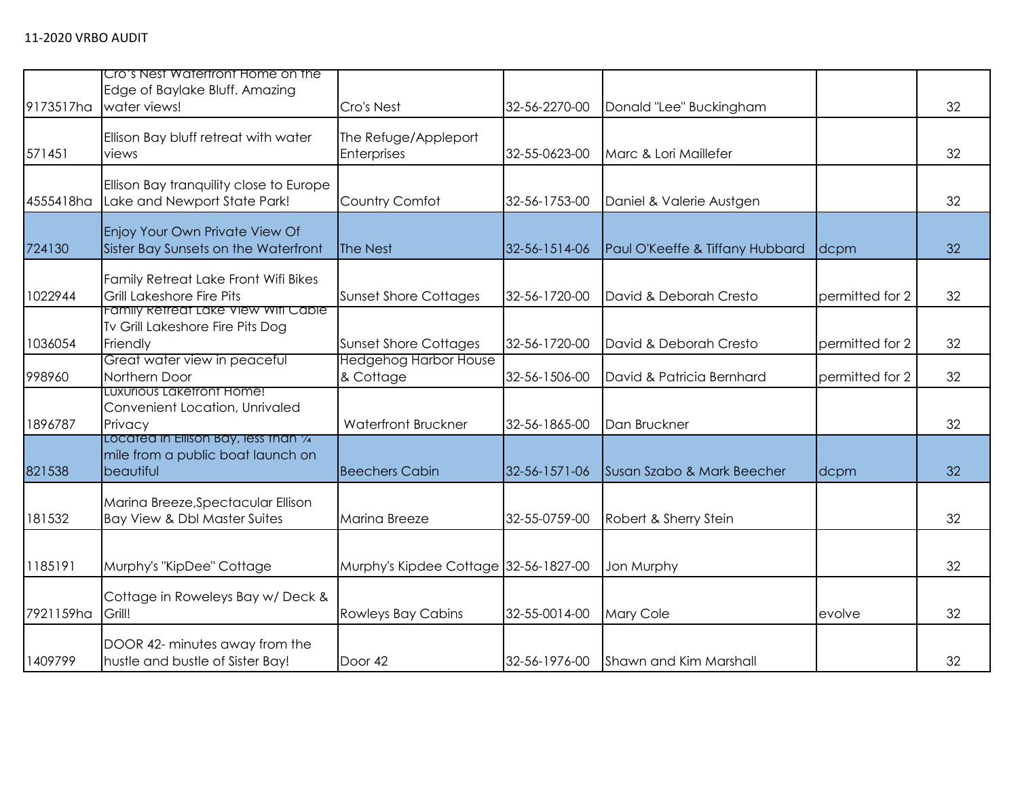| 9173517ha | Cro's Nest Watertront Home on the<br>Edge of Baylake Bluff. Amazing<br>water views!     | Cro's Nest                                | 32-56-2270-00 | Donald "Lee" Buckingham         |                 | 32 |
|-----------|-----------------------------------------------------------------------------------------|-------------------------------------------|---------------|---------------------------------|-----------------|----|
| 571451    | Ellison Bay bluff retreat with water<br>views                                           | The Refuge/Appleport<br>Enterprises       | 32-55-0623-00 | Marc & Lori Maillefer           |                 | 32 |
| 4555418ha | Ellison Bay tranquility close to Europe<br>Lake and Newport State Park!                 | Country Comfot                            | 32-56-1753-00 | Daniel & Valerie Austgen        |                 | 32 |
| 724130    | Enjoy Your Own Private View Of<br>Sister Bay Sunsets on the Waterfront                  | The Nest                                  | 32-56-1514-06 | Paul O'Keeffe & Tiffany Hubbard | dcpm            | 32 |
| 1022944   | Family Retreat Lake Front Wifi Bikes<br><b>Grill Lakeshore Fire Pits</b>                | <b>Sunset Shore Cottages</b>              | 32-56-1720-00 | David & Deborah Cresto          | permitted for 2 | 32 |
| 1036054   | Family Refreat Lake View Wifi Cable<br>Tv Grill Lakeshore Fire Pits Dog<br>Friendly     | <b>Sunset Shore Cottages</b>              | 32-56-1720-00 | David & Deborah Cresto          | permitted for 2 | 32 |
| 998960    | Great water view in peaceful<br>Northern Door                                           | <b>Hedgehog Harbor House</b><br>& Cottage | 32-56-1506-00 | David & Patricia Bernhard       | permitted for 2 | 32 |
| 1896787   | LUXUrious Laketront Home!<br>Convenient Location, Unrivaled<br>Privacy                  | <b>Waterfront Bruckner</b>                | 32-56-1865-00 | Dan Bruckner                    |                 | 32 |
| 821538    | Located in Ellison Bay, less than 1⁄4<br>mile from a public boat launch on<br>beautiful | <b>Beechers Cabin</b>                     | 32-56-1571-06 | Susan Szabo & Mark Beecher      | dcpm            | 32 |
| 181532    | Marina Breeze, Spectacular Ellison<br>Bay View & Dbl Master Suites                      | Marina Breeze                             | 32-55-0759-00 | Robert & Sherry Stein           |                 | 32 |
| 1185191   | Murphy's "KipDee" Cottage                                                               | Murphy's Kipdee Cottage 32-56-1827-00     |               | Jon Murphy                      |                 | 32 |
| 7921159ha | Cottage in Roweleys Bay w/Deck &<br>Grill!                                              | <b>Rowleys Bay Cabins</b>                 | 32-55-0014-00 | <b>Mary Cole</b>                | evolve          | 32 |
| 1409799   | DOOR 42- minutes away from the<br>hustle and bustle of Sister Bay!                      | Door 42                                   | 32-56-1976-00 | Shawn and Kim Marshall          |                 | 32 |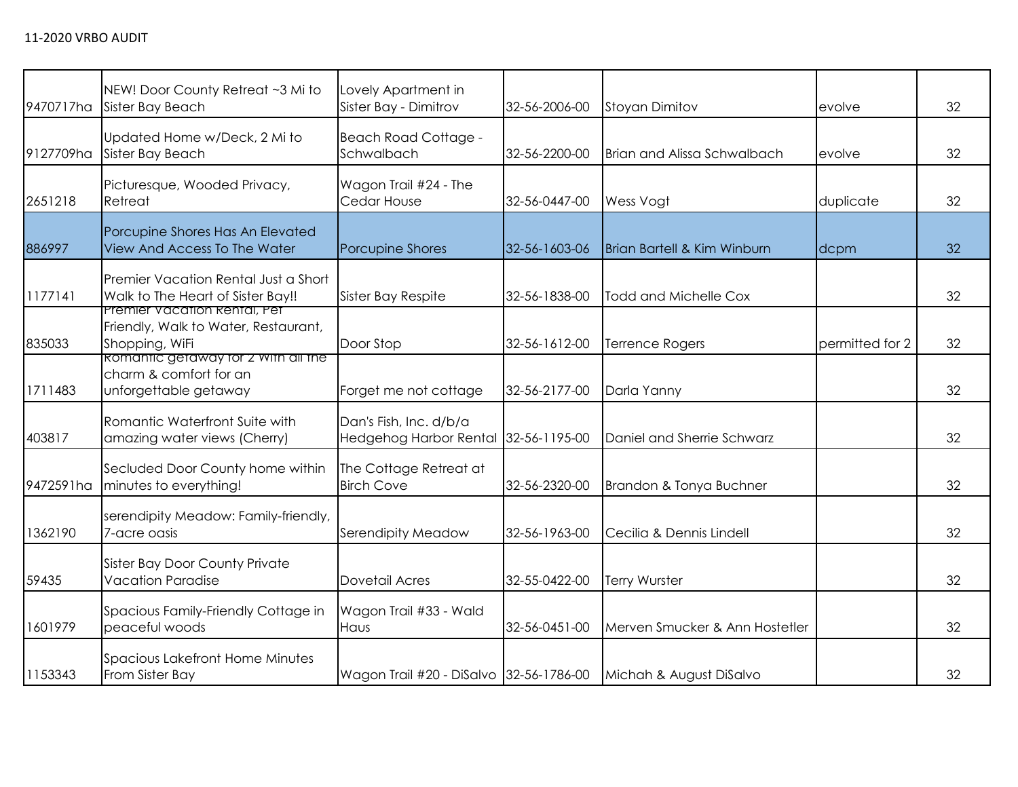| 9470717ha | NEW! Door County Retreat ~3 Mi to<br>Sister Bay Beach                                  | Lovely Apartment in<br>Sister Bay - Dimitrov                   | 32-56-2006-00 | Stoyan Dimitov                         | evolve          | 32 |
|-----------|----------------------------------------------------------------------------------------|----------------------------------------------------------------|---------------|----------------------------------------|-----------------|----|
| 9127709ha | Updated Home w/Deck, 2 Mi to<br>Sister Bay Beach                                       | <b>Beach Road Cottage -</b><br>Schwalbach                      | 32-56-2200-00 | <b>Brian and Alissa Schwalbach</b>     | evolve          | 32 |
| 2651218   | Picturesque, Wooded Privacy,<br>Retreat                                                | Wagon Trail #24 - The<br>Cedar House                           | 32-56-0447-00 | Wess Vogt                              | duplicate       | 32 |
| 886997    | Porcupine Shores Has An Elevated<br><b>View And Access To The Water</b>                | Porcupine Shores                                               | 32-56-1603-06 | <b>Brian Bartell &amp; Kim Winburn</b> | dcpm            | 32 |
| 1177141   | Premier Vacation Rental Just a Short<br>Walk to The Heart of Sister Bay!!              | Sister Bay Respite                                             | 32-56-1838-00 | <b>Todd and Michelle Cox</b>           |                 | 32 |
| 835033    | Premier Vacation Rental, Pet<br>Friendly, Walk to Water, Restaurant,<br>Shopping, WiFi | Door Stop                                                      | 32-56-1612-00 | <b>Terrence Rogers</b>                 | permitted for 2 | 32 |
| 1711483   | Romantic getaway for 2 With all the<br>charm & comfort for an<br>unforgettable getaway | Forget me not cottage                                          | 32-56-2177-00 | Darla Yanny                            |                 | 32 |
| 403817    | Romantic Waterfront Suite with<br>amazing water views (Cherry)                         | Dan's Fish, Inc. d/b/a<br>Hedgehog Harbor Rental 32-56-1195-00 |               | Daniel and Sherrie Schwarz             |                 | 32 |
| 9472591ha | Secluded Door County home within<br>minutes to everything!                             | The Cottage Retreat at<br><b>Birch Cove</b>                    | 32-56-2320-00 | Brandon & Tonya Buchner                |                 | 32 |
| 1362190   | serendipity Meadow: Family-friendly,<br>7-acre oasis                                   | Serendipity Meadow                                             | 32-56-1963-00 | Cecilia & Dennis Lindell               |                 | 32 |
| 59435     | <b>Sister Bay Door County Private</b><br><b>Vacation Paradise</b>                      | Dovetail Acres                                                 | 32-55-0422-00 | Terry Wurster                          |                 | 32 |
| 1601979   | Spacious Family-Friendly Cottage in<br>peaceful woods                                  | Wagon Trail #33 - Wald<br>Haus                                 | 32-56-0451-00 | Merven Smucker & Ann Hostetler         |                 | 32 |
| 1153343   | Spacious Lakefront Home Minutes<br>From Sister Bay                                     | Wagon Trail #20 - DiSalvo 32-56-1786-00                        |               | Michah & August DiSalvo                |                 | 32 |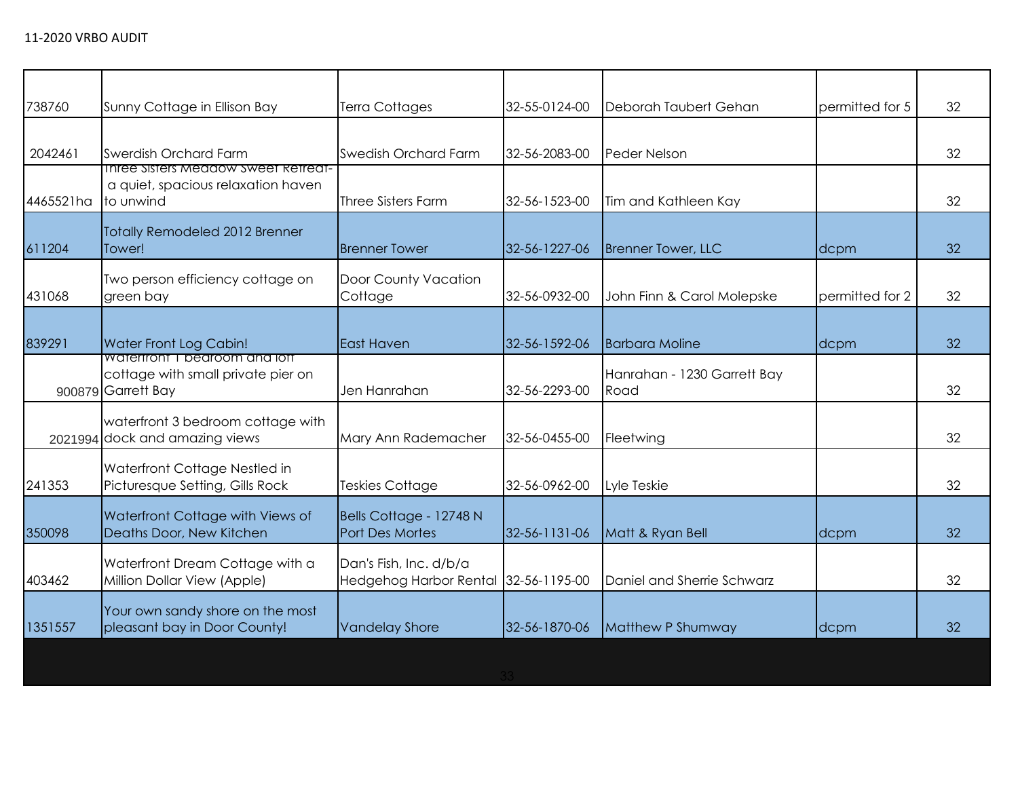| Sunny Cottage in Ellison Bay                                        | <b>Terra Cottages</b>                                                              | 32-55-0124-00 | Deborah Taubert Gehan                | permitted for 5 | 32 |
|---------------------------------------------------------------------|------------------------------------------------------------------------------------|---------------|--------------------------------------|-----------------|----|
| Swerdish Orchard Farm                                               | Swedish Orchard Farm                                                               | 32-56-2083-00 | Peder Nelson                         |                 | 32 |
| a quiet, spacious relaxation haven<br>to unwind                     | <b>Three Sisters Farm</b>                                                          | 32-56-1523-00 | Tim and Kathleen Kay                 |                 | 32 |
| Totally Remodeled 2012 Brenner<br>Tower!                            | <b>Brenner Tower</b>                                                               | 32-56-1227-06 | <b>Brenner Tower, LLC</b>            | dcpm            | 32 |
| Two person efficiency cottage on<br>green bay                       | Door County Vacation<br>Cottage                                                    | 32-56-0932-00 | John Finn & Carol Molepske           | permitted for 2 | 32 |
| Water Front Log Cabin!                                              | East Haven                                                                         | 32-56-1592-06 | <b>Barbara Moline</b>                | dcpm            | 32 |
| cottage with small private pier on<br>900879 Garrett Bay            | Jen Hanrahan                                                                       | 32-56-2293-00 | Hanrahan - 1230 Garrett Bay<br>Road  |                 | 32 |
| waterfront 3 bedroom cottage with<br>2021994 dock and amazing views | Mary Ann Rademacher                                                                | 32-56-0455-00 | Fleetwing                            |                 | 32 |
| Waterfront Cottage Nestled in<br>Picturesque Setting, Gills Rock    | Teskies Cottage                                                                    | 32-56-0962-00 | Lyle Teskie                          |                 | 32 |
| Waterfront Cottage with Views of<br>Deaths Door, New Kitchen        | Bells Cottage - 12748 N<br>Port Des Mortes                                         | 32-56-1131-06 | Matt & Ryan Bell                     | dcpm            | 32 |
| Waterfront Dream Cottage with a<br>Million Dollar View (Apple)      | Dan's Fish, Inc. d/b/a                                                             |               | Daniel and Sherrie Schwarz           |                 | 32 |
| Your own sandy shore on the most<br>pleasant bay in Door County!    | <b>Vandelay Shore</b>                                                              | 32-56-1870-06 | Matthew P Shumway                    | dcpm            | 32 |
|                                                                     | <b>Inree Sisters Meadow Sweet Retreat-</b><br><b>Watertront I bearcom and lott</b> |               | Hedgehog Harbor Rental 32-56-1195-00 |                 |    |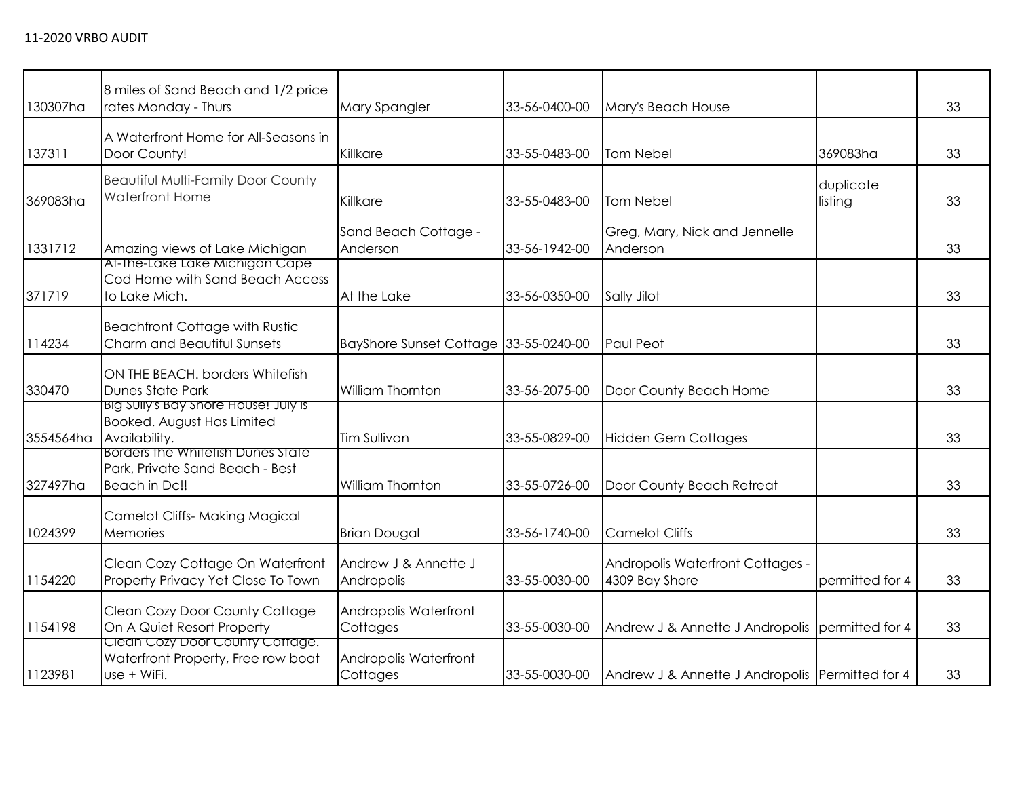| 130307ha  | 8 miles of Sand Beach and 1/2 price<br>rates Monday - Thurs                                  | Mary Spangler                         | 33-56-0400-00 | Mary's Beach House                                 |                      | 33 |
|-----------|----------------------------------------------------------------------------------------------|---------------------------------------|---------------|----------------------------------------------------|----------------------|----|
| 137311    | A Waterfront Home for All-Seasons in<br>Door County!                                         | Killkare                              | 33-55-0483-00 | Tom Nebel                                          | 369083ha             | 33 |
| 369083ha  | <b>Beautiful Multi-Family Door County</b><br><b>Waterfront Home</b>                          | Killkare                              | 33-55-0483-00 | <b>Tom Nebel</b>                                   | duplicate<br>listing | 33 |
| 1331712   | Amazing views of Lake Michigan                                                               | Sand Beach Cottage -<br>Anderson      | 33-56-1942-00 | Greg, Mary, Nick and Jennelle<br>Anderson          |                      | 33 |
| 371719    | At-The-Lake Lake Michigan Cape<br>Cod Home with Sand Beach Access<br>to Lake Mich.           | At the Lake                           | 33-56-0350-00 | Sally Jilot                                        |                      | 33 |
| 114234    | <b>Beachfront Cottage with Rustic</b><br>Charm and Beautiful Sunsets                         | BayShore Sunset Cottage 33-55-0240-00 |               | Paul Peot                                          |                      | 33 |
| 330470    | ON THE BEACH. borders Whitefish<br>Dunes State Park                                          | William Thornton                      | 33-56-2075-00 | Door County Beach Home                             |                      | 33 |
| 3554564ha | BIG SUIIY's Bay Shore House! July is<br><b>Booked. August Has Limited</b><br>Availability.   | <b>Tim Sullivan</b>                   | 33-55-0829-00 | <b>Hidden Gem Cottages</b>                         |                      | 33 |
| 327497ha  | <b>Borders the Whitetish Dunes State</b><br>Park, Private Sand Beach - Best<br>Beach in Dc!! | <b>William Thornton</b>               | 33-55-0726-00 | Door County Beach Retreat                          |                      | 33 |
| 1024399   | Camelot Cliffs- Making Magical<br>Memories                                                   | <b>Brian Dougal</b>                   | 33-56-1740-00 | <b>Camelot Cliffs</b>                              |                      | 33 |
| 1154220   | Clean Cozy Cottage On Waterfront<br>Property Privacy Yet Close To Town                       | Andrew J & Annette J<br>Andropolis    | 33-55-0030-00 | Andropolis Waterfront Cottages -<br>4309 Bay Shore | permitted for 4      | 33 |
| 1154198   | Clean Cozy Door County Cottage<br>On A Quiet Resort Property                                 | Andropolis Waterfront<br>Cottages     | 33-55-0030-00 | Andrew J & Annette J Andropolis permitted for 4    |                      | 33 |
| 1123981   | Clean Cozy Door County Cottage.<br>Waterfront Property, Free row boat<br>use + WiFi.         | Andropolis Waterfront<br>Cottages     | 33-55-0030-00 | Andrew J & Annette J Andropolis Permitted for 4    |                      | 33 |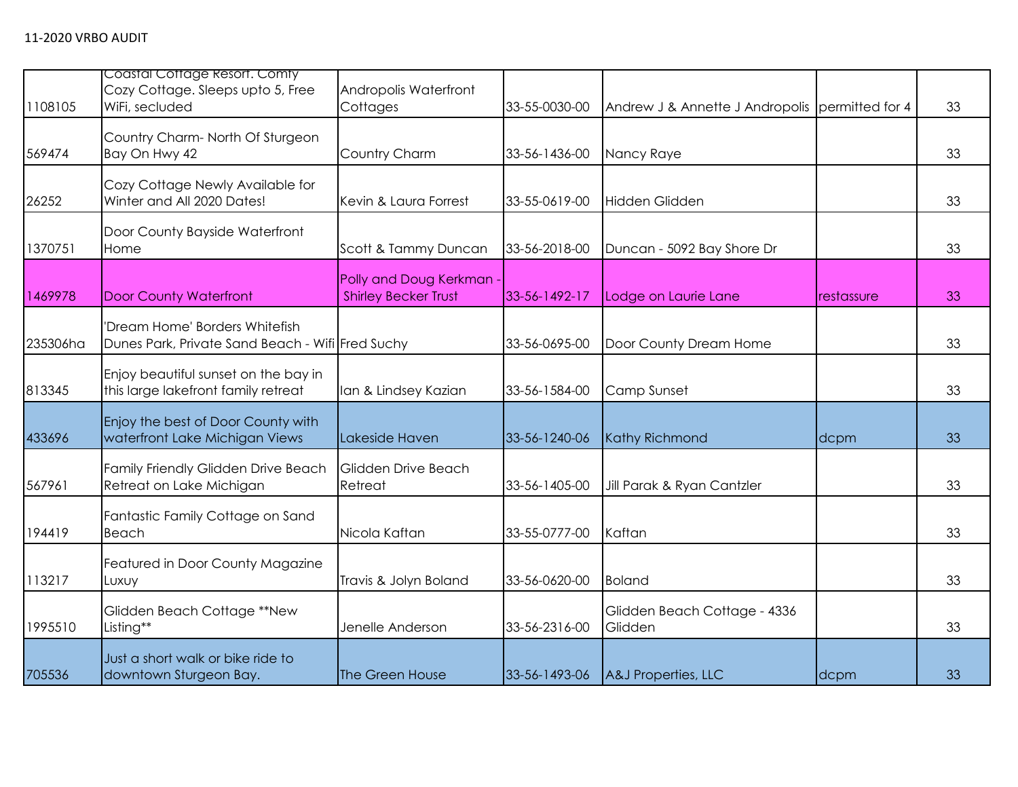|          | Coastal Cottage Resort. Comty                                                      |                                                       |               |                                                 |            |    |
|----------|------------------------------------------------------------------------------------|-------------------------------------------------------|---------------|-------------------------------------------------|------------|----|
| 1108105  | Cozy Cottage. Sleeps upto 5, Free<br>WiFi, secluded                                | Andropolis Waterfront<br>Cottages                     | 33-55-0030-00 | Andrew J & Annette J Andropolis permitted for 4 |            | 33 |
| 569474   | Country Charm-North Of Sturgeon<br>Bay On Hwy 42                                   | Country Charm                                         | 33-56-1436-00 | Nancy Raye                                      |            | 33 |
| 26252    | Cozy Cottage Newly Available for<br>Winter and All 2020 Dates!                     | Kevin & Laura Forrest                                 | 33-55-0619-00 | Hidden Glidden                                  |            | 33 |
| 1370751  | Door County Bayside Waterfront<br>Home                                             | Scott & Tammy Duncan                                  | 33-56-2018-00 | Duncan - 5092 Bay Shore Dr                      |            | 33 |
| 1469978  | <b>Door County Waterfront</b>                                                      | Polly and Doug Kerkman<br><b>Shirley Becker Trust</b> | 33-56-1492-17 | Lodge on Laurie Lane                            | restassure | 33 |
| 235306ha | 'Dream Home' Borders Whitefish<br>Dunes Park, Private Sand Beach - Wifi Fred Suchy |                                                       | 33-56-0695-00 | Door County Dream Home                          |            | 33 |
| 813345   | Enjoy beautiful sunset on the bay in<br>this large lakefront family retreat        | Ian & Lindsey Kazian                                  | 33-56-1584-00 | Camp Sunset                                     |            | 33 |
| 433696   | Enjoy the best of Door County with<br>waterfront Lake Michigan Views               | Lakeside Haven                                        | 33-56-1240-06 | <b>Kathy Richmond</b>                           | dcpm       | 33 |
| 567961   | Family Friendly Glidden Drive Beach<br>Retreat on Lake Michigan                    | Glidden Drive Beach<br>Retreat                        | 33-56-1405-00 | Jill Parak & Ryan Cantzler                      |            | 33 |
| 194419   | Fantastic Family Cottage on Sand<br>Beach                                          | Nicola Kaftan                                         | 33-55-0777-00 | Kaftan                                          |            | 33 |
| 113217   | Featured in Door County Magazine<br>Luxuy                                          | Travis & Jolyn Boland                                 | 33-56-0620-00 | <b>Boland</b>                                   |            | 33 |
| 1995510  | Glidden Beach Cottage ** New<br>Listing**                                          | Jenelle Anderson                                      | 33-56-2316-00 | Glidden Beach Cottage - 4336<br>Glidden         |            | 33 |
| 705536   | Just a short walk or bike ride to<br>downtown Sturgeon Bay.                        | The Green House                                       | 33-56-1493-06 | A&J Properties, LLC                             | dcpm       | 33 |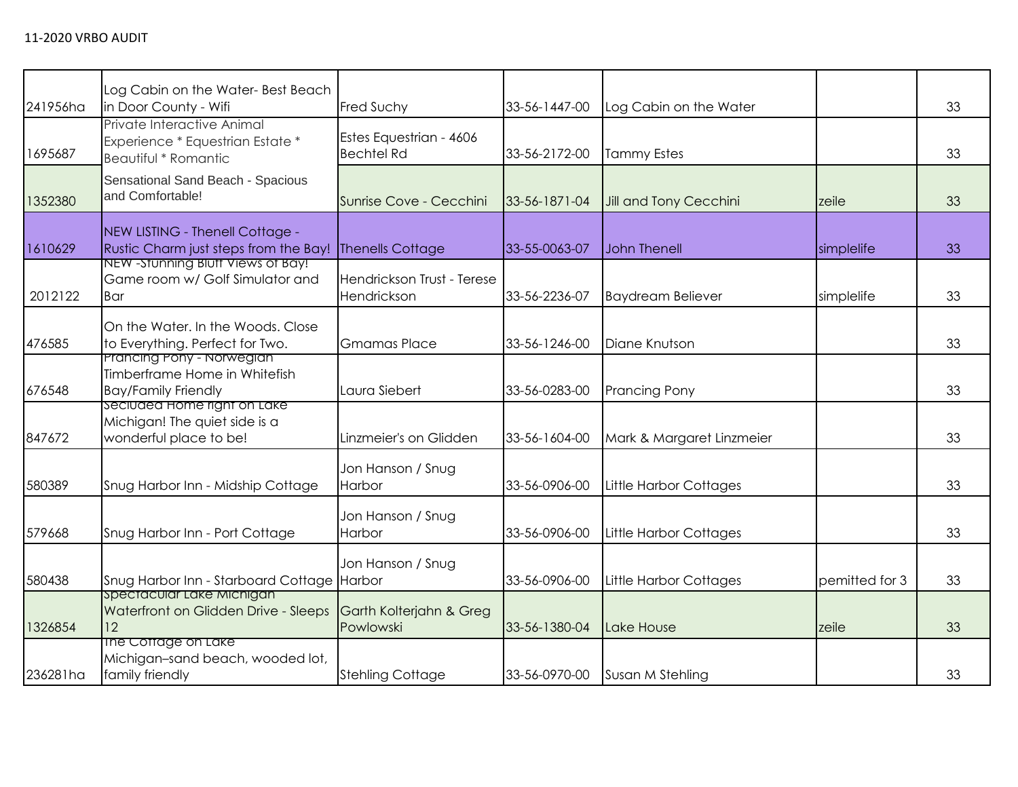| 241956ha | Log Cabin on the Water-Best Beach<br>in Door County - Wifi                               | <b>Fred Suchy</b>                            | 33-56-1447-00 | Log Cabin on the Water        |                | 33 |
|----------|------------------------------------------------------------------------------------------|----------------------------------------------|---------------|-------------------------------|----------------|----|
| 1695687  | Private Interactive Animal<br>Experience * Equestrian Estate *<br>Beautiful * Romantic   | Estes Equestrian - 4606<br><b>Bechtel Rd</b> | 33-56-2172-00 | <b>Tammy Estes</b>            |                | 33 |
| 1352380  | Sensational Sand Beach - Spacious<br>and Comfortable!                                    | Sunrise Cove - Cecchini                      | 33-56-1871-04 | <b>Jill and Tony Cecchini</b> | zeile          | 33 |
| 1610629  | NEW LISTING - Thenell Cottage -<br>Rustic Charm just steps from the Bay!                 | <b>Thenells Cottage</b>                      | 33-55-0063-07 | John Thenell                  | simplelife     | 33 |
| 2012122  | NEW - Stunning Bluff Views of Bay!<br>Game room w/ Golf Simulator and<br>Bar             | Hendrickson Trust - Terese<br>Hendrickson    | 33-56-2236-07 | <b>Baydream Believer</b>      | simplelife     | 33 |
| 476585   | On the Water. In the Woods. Close<br>to Everything. Perfect for Two.                     | <b>Gmamas Place</b>                          | 33-56-1246-00 | Diane Knutson                 |                | 33 |
| 676548   | Prancing Pony - Norwegian<br>Timberframe Home in Whitefish<br><b>Bay/Family Friendly</b> | Laura Siebert                                | 33-56-0283-00 | <b>Prancing Pony</b>          |                | 33 |
| 847672   | Seciuded Home right on Lake<br>Michigan! The quiet side is a<br>wonderful place to be!   | Linzmeier's on Glidden                       | 33-56-1604-00 | Mark & Margaret Linzmeier     |                | 33 |
| 580389   | Snug Harbor Inn - Midship Cottage                                                        | Jon Hanson / Snug<br>Harbor                  | 33-56-0906-00 | <b>Little Harbor Cottages</b> |                | 33 |
| 579668   | Snug Harbor Inn - Port Cottage                                                           | Jon Hanson / Snug<br>Harbor                  | 33-56-0906-00 | Little Harbor Cottages        |                | 33 |
| 580438   | Snug Harbor Inn - Starboard Cottage Harbor                                               | Jon Hanson / Snug                            | 33-56-0906-00 | Little Harbor Cottages        | pemitted for 3 | 33 |
| 1326854  | spectacular Lake Michigan<br>Waterfront on Glidden Drive - Sleeps<br> 12                 | Garth Kolterjahn & Greg<br>Powlowski         | 33-56-1380-04 | Lake House                    | zeile          | 33 |
| 236281ha | The Cottage on Lake<br>Michigan-sand beach, wooded lot,<br>family friendly               | <b>Stehling Cottage</b>                      | 33-56-0970-00 | Susan M Stehling              |                | 33 |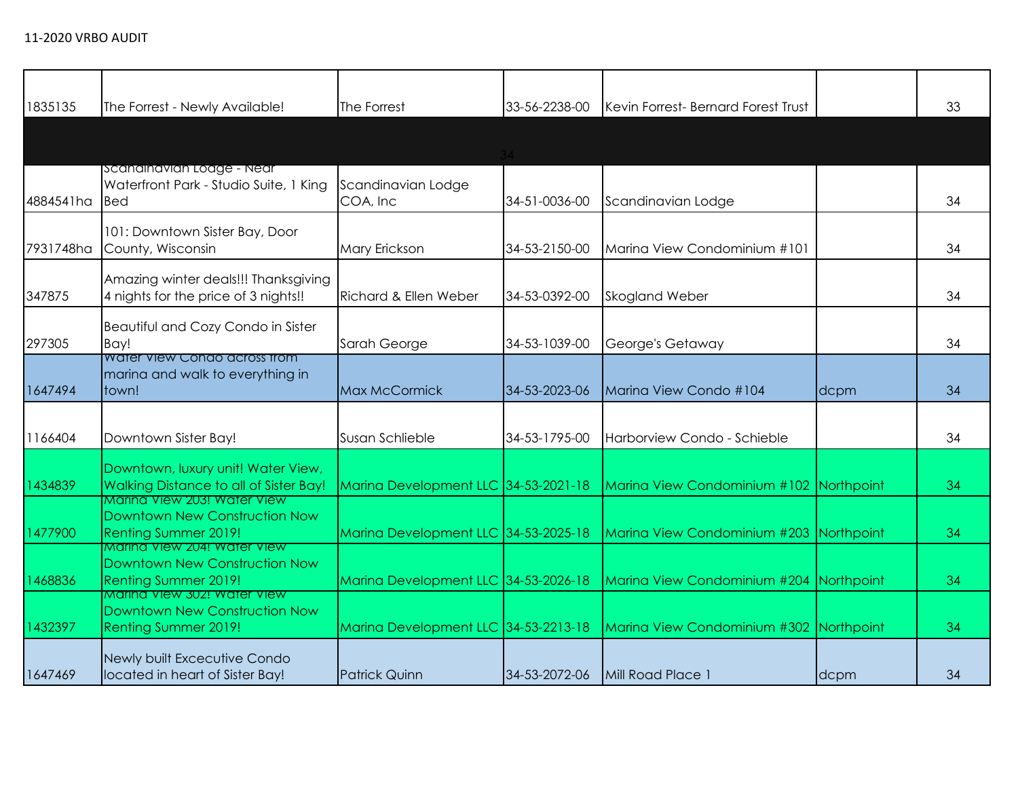| 1835135   | The Forrest - Newly Available!                                                                                      | The Forrest                          | 33-56-2238-00 | Kevin Forrest- Bernard Forest Trust     |      | 33 |
|-----------|---------------------------------------------------------------------------------------------------------------------|--------------------------------------|---------------|-----------------------------------------|------|----|
|           |                                                                                                                     |                                      |               |                                         |      |    |
| 4884541ha | Scandinavian Loage - Near<br>Waterfront Park - Studio Suite, 1 King<br><b>Bed</b>                                   | Scandinavian Lodge<br>COA, Inc       | 34-51-0036-00 | Scandinavian Lodge                      |      | 34 |
| 7931748ha | 101: Downtown Sister Bay, Door<br>County, Wisconsin                                                                 | Mary Erickson                        | 34-53-2150-00 | Marina View Condominium #101            |      | 34 |
| 347875    | Amazing winter deals!!! Thanksgiving<br>4 nights for the price of 3 nights!!                                        | <b>Richard &amp; Ellen Weber</b>     | 34-53-0392-00 | <b>Skogland Weber</b>                   |      | 34 |
| 297305    | Beautiful and Cozy Condo in Sister<br>Bay!                                                                          | Sarah George                         | 34-53-1039-00 | George's Getaway                        |      | 34 |
| 1647494   | Water View Condo across from<br>marina and walk to everything in<br>town!                                           | <b>Max McCormick</b>                 | 34-53-2023-06 | Marina View Condo #104                  | dcpm | 34 |
| 1166404   | Downtown Sister Bay!                                                                                                | Susan Schlieble                      | 34-53-1795-00 | Harborview Condo - Schieble             |      | 34 |
| 1434839   | Downtown, luxury unit! Water View,<br>Walking Distance to all of Sister Bay!                                        | Marina Development LLC 34-53-2021-18 |               | Marina View Condominium #102 Northpoint |      | 34 |
| 1477900   | Marina View 203! Water View<br>Downtown New Construction Now<br>Renting Summer 2019!<br>Marina View 204! Water View | Marina Development LLC 34-53-2025-18 |               | Marina View Condominium #203 Northpoint |      | 34 |
| 1468836   | Downtown New Construction Now<br>Renting Summer 2019!                                                               | Marina Development LLC 34-53-2026-18 |               | Marina View Condominium #204 Northpoint |      | 34 |
| 1432397   | Marina View 302! Water View<br><b>Downtown New Construction Now</b><br><b>Renting Summer 2019!</b>                  | Marina Development LLC 34-53-2213-18 |               | Marina View Condominium #302 Northpoint |      | 34 |
| 1647469   | Newly built Excecutive Condo<br>located in heart of Sister Bay!                                                     | <b>Patrick Quinn</b>                 | 34-53-2072-06 | Mill Road Place 1                       | dcpm | 34 |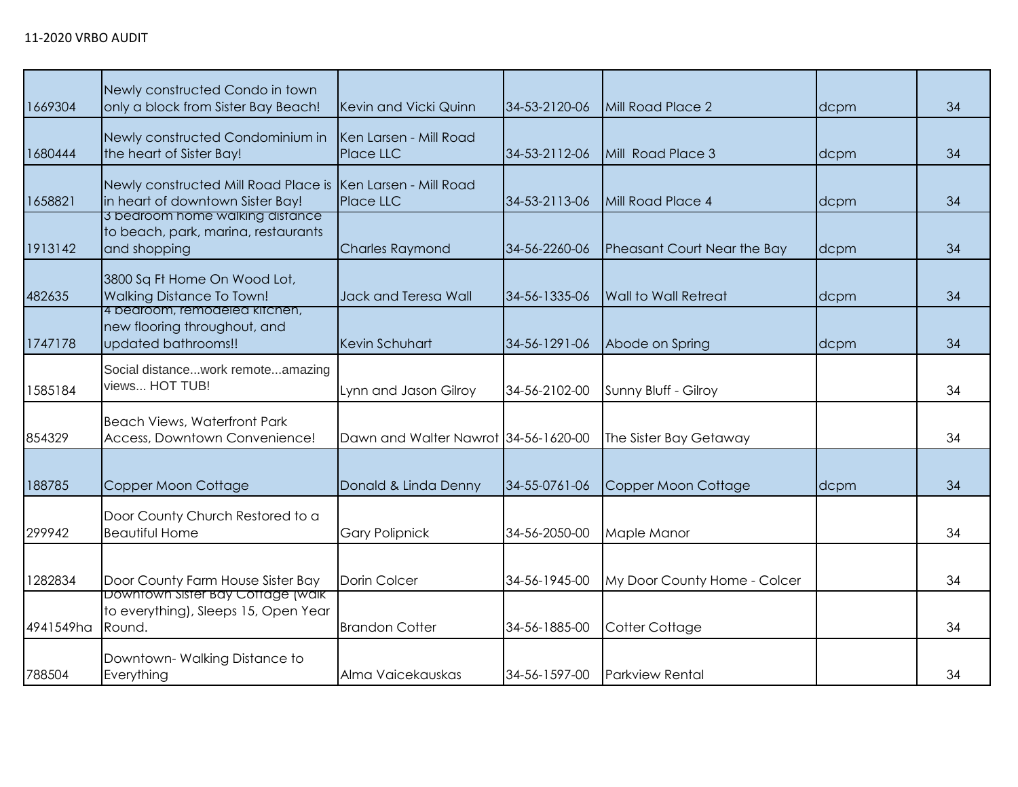|           | Newly constructed Condo in town                                            |                                      |               |                              |      |    |
|-----------|----------------------------------------------------------------------------|--------------------------------------|---------------|------------------------------|------|----|
| 1669304   | only a block from Sister Bay Beach!                                        | Kevin and Vicki Quinn                | 34-53-2120-06 | Mill Road Place 2            | dcpm | 34 |
|           | Newly constructed Condominium in                                           | Ken Larsen - Mill Road               |               |                              |      |    |
| 1680444   | the heart of Sister Bay!                                                   | Place LLC                            | 34-53-2112-06 | Mill Road Place 3            | dcpm | 34 |
|           | Newly constructed Mill Road Place is Ken Larsen - Mill Road                |                                      |               |                              |      |    |
| 1658821   | in heart of downtown Sister Bay!                                           | Place LLC                            | 34-53-2113-06 | Mill Road Place 4            | dcpm | 34 |
|           | 3 bearoom home walking distance<br>to beach, park, marina, restaurants     |                                      |               |                              |      |    |
| 1913142   | and shopping                                                               | <b>Charles Raymond</b>               | 34-56-2260-06 | Pheasant Court Near the Bay  | dcpm | 34 |
|           | 3800 Sq Ft Home On Wood Lot,                                               |                                      |               |                              |      |    |
| 482635    | <b>Walking Distance To Town!</b>                                           | Jack and Teresa Wall                 | 34-56-1335-06 | <b>Wall to Wall Retreat</b>  | dcpm | 34 |
|           | 4 bedroom, remodeled kitchen,<br>new flooring throughout, and              |                                      |               |                              |      |    |
| 1747178   | updated bathrooms!!                                                        | <b>Kevin Schuhart</b>                | 34-56-1291-06 | Abode on Spring              | dcpm | 34 |
|           | Social distancework remoteamazing                                          |                                      |               |                              |      |    |
| 1585184   | views HOT TUB!                                                             | Lynn and Jason Gilroy                | 34-56-2102-00 | Sunny Bluff - Gilroy         |      | 34 |
|           |                                                                            |                                      |               |                              |      |    |
| 854329    | <b>Beach Views, Waterfront Park</b><br>Access, Downtown Convenience!       | Dawn and Walter Nawrot 34-56-1620-00 |               | The Sister Bay Getaway       |      | 34 |
|           |                                                                            |                                      |               |                              |      |    |
| 188785    | Copper Moon Cottage                                                        | Donald & Linda Denny                 | 34-55-0761-06 | Copper Moon Cottage          | dcpm | 34 |
|           |                                                                            |                                      |               |                              |      |    |
|           | Door County Church Restored to a                                           |                                      |               |                              |      |    |
| 299942    | <b>Beautiful Home</b>                                                      | <b>Gary Polipnick</b>                | 34-56-2050-00 | Maple Manor                  |      | 34 |
|           |                                                                            |                                      |               |                              |      |    |
| 1282834   | Door County Farm House Sister Bay                                          | Dorin Colcer                         | 34-56-1945-00 | My Door County Home - Colcer |      | 34 |
|           | Downtown Sister Bay Cottage (walk)<br>to everything), Sleeps 15, Open Year |                                      |               |                              |      |    |
| 4941549ha | Round.                                                                     | <b>Brandon Cotter</b>                | 34-56-1885-00 | Cotter Cottage               |      | 34 |
|           | Downtown-Walking Distance to                                               |                                      |               |                              |      |    |
| 788504    | Everything                                                                 | Alma Vaicekauskas                    | 34-56-1597-00 | <b>Parkview Rental</b>       |      | 34 |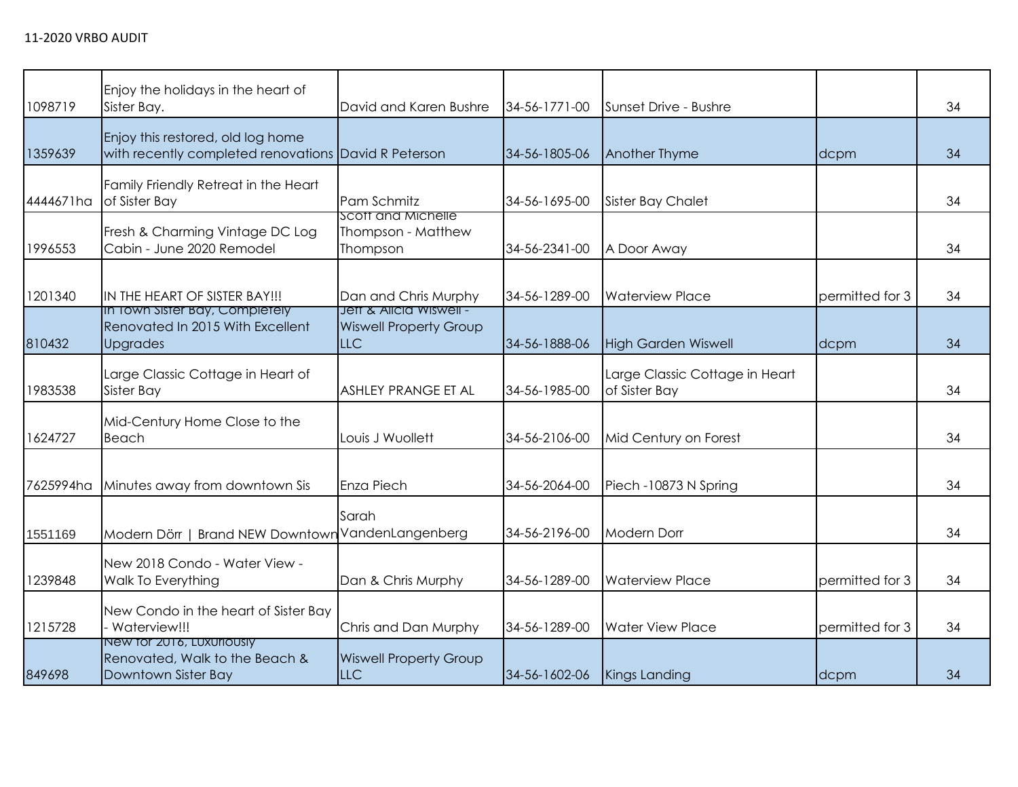| 1098719   | Enjoy the holidays in the heart of<br>Sister Bay.                                         | David and Karen Bushre                               | 34-56-1771-00 | Sunset Drive - Bushre                           |                 | 34 |
|-----------|-------------------------------------------------------------------------------------------|------------------------------------------------------|---------------|-------------------------------------------------|-----------------|----|
| 1359639   | Enjoy this restored, old log home<br>with recently completed renovations David R Peterson |                                                      | 34-56-1805-06 | <b>Another Thyme</b>                            | dcpm            | 34 |
| 4444671ha | Family Friendly Retreat in the Heart<br>of Sister Bay                                     | Pam Schmitz                                          | 34-56-1695-00 | <b>Sister Bay Chalet</b>                        |                 | 34 |
| 1996553   | Fresh & Charming Vintage DC Log<br>Cabin - June 2020 Remodel                              | Scott and Michelle<br>Thompson - Matthew<br>Thompson | 34-56-2341-00 | A Door Away                                     |                 | 34 |
| 1201340   | IN THE HEART OF SISTER BAY!!!<br>In Town Sister Bay, Completely                           | Dan and Chris Murphy<br>Jett & Alicia Wiswell -      | 34-56-1289-00 | <b>Waterview Place</b>                          | permitted for 3 | 34 |
| 810432    | Renovated In 2015 With Excellent<br><b>Upgrades</b>                                       | <b>Wiswell Property Group</b><br><b>LLC</b>          | 34-56-1888-06 | <b>High Garden Wiswell</b>                      | dcpm            | 34 |
| 1983538   | Large Classic Cottage in Heart of<br><b>Sister Bay</b>                                    | <b>ASHLEY PRANGE ET AL</b>                           | 34-56-1985-00 | Large Classic Cottage in Heart<br>of Sister Bay |                 | 34 |
| 1624727   | Mid-Century Home Close to the<br>Beach                                                    | Louis J Wuollett                                     | 34-56-2106-00 | Mid Century on Forest                           |                 | 34 |
| 7625994ha | Minutes away from downtown Sis                                                            | Enza Piech                                           | 34-56-2064-00 | Piech -10873 N Spring                           |                 | 34 |
| 1551169   | Modern Dörr   Brand NEW Downtown VandenLangenberg                                         | Sarah                                                | 34-56-2196-00 | <b>Modern Dorr</b>                              |                 | 34 |
| 1239848   | New 2018 Condo - Water View -<br>Walk To Everything                                       | Dan & Chris Murphy                                   | 34-56-1289-00 | <b>Waterview Place</b>                          | permitted for 3 | 34 |
| 1215728   | New Condo in the heart of Sister Bay<br>- Waterview!!!                                    | Chris and Dan Murphy                                 | 34-56-1289-00 | <b>Water View Place</b>                         | permitted for 3 | 34 |
| 849698    | New for 2016, Luxuriously<br>Renovated, Walk to the Beach &<br>Downtown Sister Bay        | <b>Wiswell Property Group</b><br>LLC                 | 34-56-1602-06 | Kings Landing                                   | dcpm            | 34 |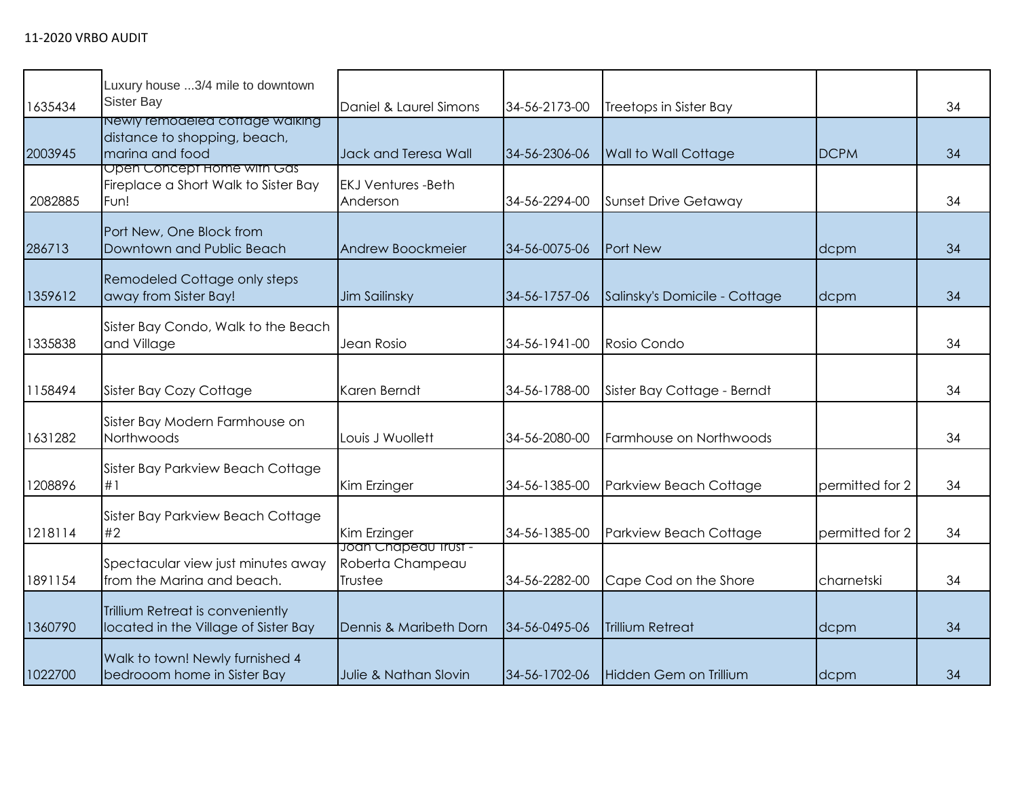| 1635434 | Luxury house 3/4 mile to downtown<br>Sister Bay                                    | Daniel & Laurel Simons                              | 34-56-2173-00 | Treetops in Sister Bay        |                 | 34 |
|---------|------------------------------------------------------------------------------------|-----------------------------------------------------|---------------|-------------------------------|-----------------|----|
| 2003945 | Newly remodeled coffage walking<br>distance to shopping, beach,<br>marina and food | <b>Jack and Teresa Wall</b>                         | 34-56-2306-06 | <b>Wall to Wall Cottage</b>   | <b>DCPM</b>     | 34 |
| 2082885 | Open Concept Home with Gas<br>Fireplace a Short Walk to Sister Bay<br>Fun!         | <b>EKJ Ventures -Beth</b><br>Anderson               | 34-56-2294-00 | <b>Sunset Drive Getaway</b>   |                 | 34 |
| 286713  | Port New, One Block from<br>Downtown and Public Beach                              | Andrew Boockmeier                                   | 34-56-0075-06 | Port New                      | dcpm            | 34 |
| 1359612 | Remodeled Cottage only steps<br>away from Sister Bay!                              | <b>Jim Sailinsky</b>                                | 34-56-1757-06 | Salinsky's Domicile - Cottage | dcpm            | 34 |
| 1335838 | Sister Bay Condo, Walk to the Beach<br>and Village                                 | Jean Rosio                                          | 34-56-1941-00 | Rosio Condo                   |                 | 34 |
| 1158494 | Sister Bay Cozy Cottage                                                            | Karen Berndt                                        | 34-56-1788-00 | Sister Bay Cottage - Berndt   |                 | 34 |
| 1631282 | Sister Bay Modern Farmhouse on<br>Northwoods                                       | Louis J Wuollett                                    | 34-56-2080-00 | Farmhouse on Northwoods       |                 | 34 |
| 1208896 | Sister Bay Parkview Beach Cottage<br>#1                                            | Kim Erzinger                                        | 34-56-1385-00 | Parkview Beach Cottage        | permitted for 2 | 34 |
| 1218114 | Sister Bay Parkview Beach Cottage<br>#2                                            | Kim Erzinger                                        | 34-56-1385-00 | Parkview Beach Cottage        | permitted for 2 | 34 |
| 1891154 | Spectacular view just minutes away<br>from the Marina and beach.                   | Joan Chapeau Irust -<br>Roberta Champeau<br>Trustee | 34-56-2282-00 | Cape Cod on the Shore         | charnetski      | 34 |
| 1360790 | Trillium Retreat is conveniently<br>located in the Village of Sister Bay           | Dennis & Maribeth Dorn                              | 34-56-0495-06 | <b>Trillium Retreat</b>       | dcpm            | 34 |
| 1022700 | Walk to town! Newly furnished 4<br>bedrooom home in Sister Bay                     | Julie & Nathan Slovin                               | 34-56-1702-06 | Hidden Gem on Trillium        | dcpm            | 34 |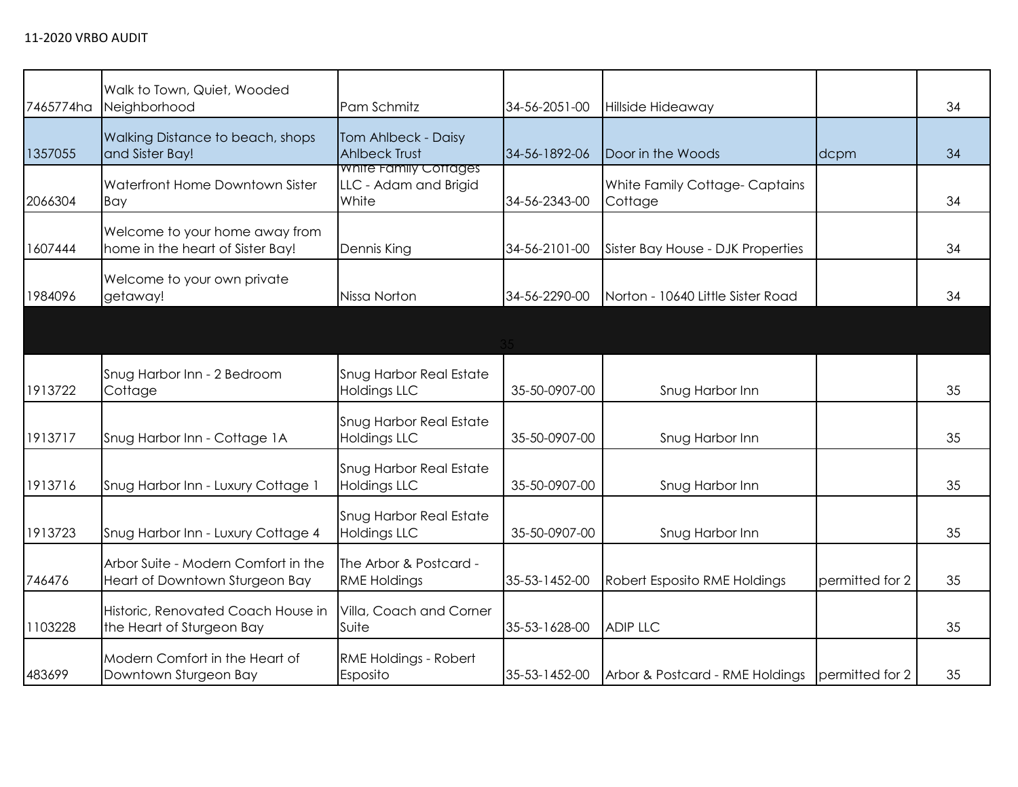| 7465774ha | Walk to Town, Quiet, Wooded<br>Neighborhood                           | Pam Schmitz                                             | 34-56-2051-00 | Hillside Hideaway                        |                 | 34 |
|-----------|-----------------------------------------------------------------------|---------------------------------------------------------|---------------|------------------------------------------|-----------------|----|
| 1357055   | <b>Walking Distance to beach, shops</b><br>and Sister Bay!            | Tom Ahlbeck - Daisy<br><b>Ahlbeck Trust</b>             | 34-56-1892-06 | Door in the Woods                        | dcpm            | 34 |
| 2066304   | Waterfront Home Downtown Sister<br>Bay                                | White Family Cottages<br>LLC - Adam and Brigid<br>White | 34-56-2343-00 | White Family Cottage-Captains<br>Cottage |                 | 34 |
| 1607444   | Welcome to your home away from<br>home in the heart of Sister Bay!    | Dennis King                                             | 34-56-2101-00 | Sister Bay House - DJK Properties        |                 | 34 |
| 1984096   | Welcome to your own private<br>getaway!                               | Nissa Norton                                            | 34-56-2290-00 | Norton - 10640 Little Sister Road        |                 | 34 |
|           |                                                                       |                                                         |               |                                          |                 |    |
| 1913722   | Snug Harbor Inn - 2 Bedroom<br>Cottage                                | <b>Snug Harbor Real Estate</b><br><b>Holdings LLC</b>   | 35-50-0907-00 | Snug Harbor Inn                          |                 | 35 |
| 1913717   | Snug Harbor Inn - Cottage 1A                                          | <b>Snug Harbor Real Estate</b><br><b>Holdings LLC</b>   | 35-50-0907-00 | Snug Harbor Inn                          |                 | 35 |
| 1913716   | Snug Harbor Inn - Luxury Cottage 1                                    | <b>Snug Harbor Real Estate</b><br><b>Holdings LLC</b>   | 35-50-0907-00 | Snug Harbor Inn                          |                 | 35 |
| 1913723   | Snug Harbor Inn - Luxury Cottage 4                                    | <b>Snug Harbor Real Estate</b><br><b>Holdings LLC</b>   | 35-50-0907-00 | Snug Harbor Inn                          |                 | 35 |
| 746476    | Arbor Suite - Modern Comfort in the<br>Heart of Downtown Sturgeon Bay | The Arbor & Postcard -<br><b>RME Holdings</b>           | 35-53-1452-00 | Robert Esposito RME Holdings             | permitted for 2 | 35 |
| 1103228   | Historic, Renovated Coach House in<br>the Heart of Sturgeon Bay       | Villa, Coach and Corner<br>Suite                        | 35-53-1628-00 | <b>ADIP LLC</b>                          |                 | 35 |
| 483699    | Modern Comfort in the Heart of<br>Downtown Sturgeon Bay               | RME Holdings - Robert<br>Esposito                       | 35-53-1452-00 | Arbor & Postcard - RME Holdings          | permitted for 2 | 35 |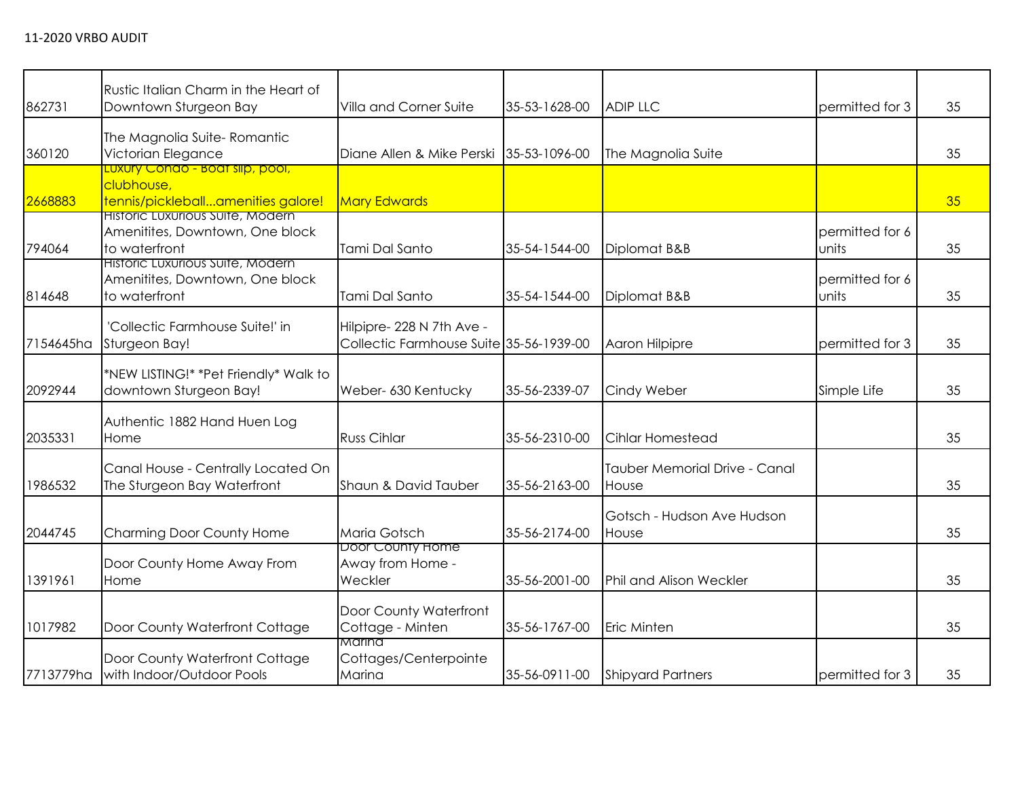| 862731    | Rustic Italian Charm in the Heart of<br>Downtown Sturgeon Bay                        | Villa and Corner Suite                                               | 35-53-1628-00 | <b>ADIP LLC</b>                        | permitted for 3          | 35 |
|-----------|--------------------------------------------------------------------------------------|----------------------------------------------------------------------|---------------|----------------------------------------|--------------------------|----|
| 360120    | The Magnolia Suite-Romantic<br>Victorian Elegance                                    | Diane Allen & Mike Perski                                            | 35-53-1096-00 | The Magnolia Suite                     |                          | 35 |
| 2668883   | Luxury Condo - Boat slip, pool,<br>clubhouse,<br>tennis/pickleballamenities galore!  | <b>Mary Edwards</b>                                                  |               |                                        |                          | 35 |
| 794064    | Historic Luxurious Suite, Modern<br>Amenitites, Downtown, One block<br>to waterfront | Tami Dal Santo                                                       | 35-54-1544-00 | Diplomat B&B                           | permitted for 6<br>units | 35 |
| 814648    | Historic Luxurious Suite, Modern<br>Amenitites, Downtown, One block<br>to waterfront | Tami Dal Santo                                                       | 35-54-1544-00 | Diplomat B&B                           | permitted for 6<br>units | 35 |
| 7154645ha | 'Collectic Farmhouse Suite!' in<br>Sturgeon Bay!                                     | Hilpipre- 228 N 7th Ave -<br>Collectic Farmhouse Suite 35-56-1939-00 |               | Aaron Hilpipre                         | permitted for 3          | 35 |
| 2092944   | *NEW LISTING!* *Pet Friendly* Walk to<br>downtown Sturgeon Bay!                      | Weber- 630 Kentucky                                                  | 35-56-2339-07 | Cindy Weber                            | Simple Life              | 35 |
| 2035331   | Authentic 1882 Hand Huen Log<br>Home                                                 | <b>Russ Cihlar</b>                                                   | 35-56-2310-00 | <b>Cihlar Homestead</b>                |                          | 35 |
| 1986532   | Canal House - Centrally Located On<br>The Sturgeon Bay Waterfront                    | Shaun & David Tauber                                                 | 35-56-2163-00 | Tauber Memorial Drive - Canal<br>House |                          | 35 |
| 2044745   | Charming Door County Home                                                            | Maria Gotsch                                                         | 35-56-2174-00 | Gotsch - Hudson Ave Hudson<br>House    |                          | 35 |
| 1391961   | Door County Home Away From<br>Home                                                   | Door County Home<br>Away from Home -<br>Weckler                      | 35-56-2001-00 | <b>Phil and Alison Weckler</b>         |                          | 35 |
| 1017982   | Door County Waterfront Cottage                                                       | Door County Waterfront<br>Cottage - Minten                           | 35-56-1767-00 | <b>Eric Minten</b>                     |                          | 35 |
| 7713779ha | Door County Waterfront Cottage<br>with Indoor/Outdoor Pools                          | Marina<br>Cottages/Centerpointe<br>Marina                            | 35-56-0911-00 | <b>Shipyard Partners</b>               | permitted for 3          | 35 |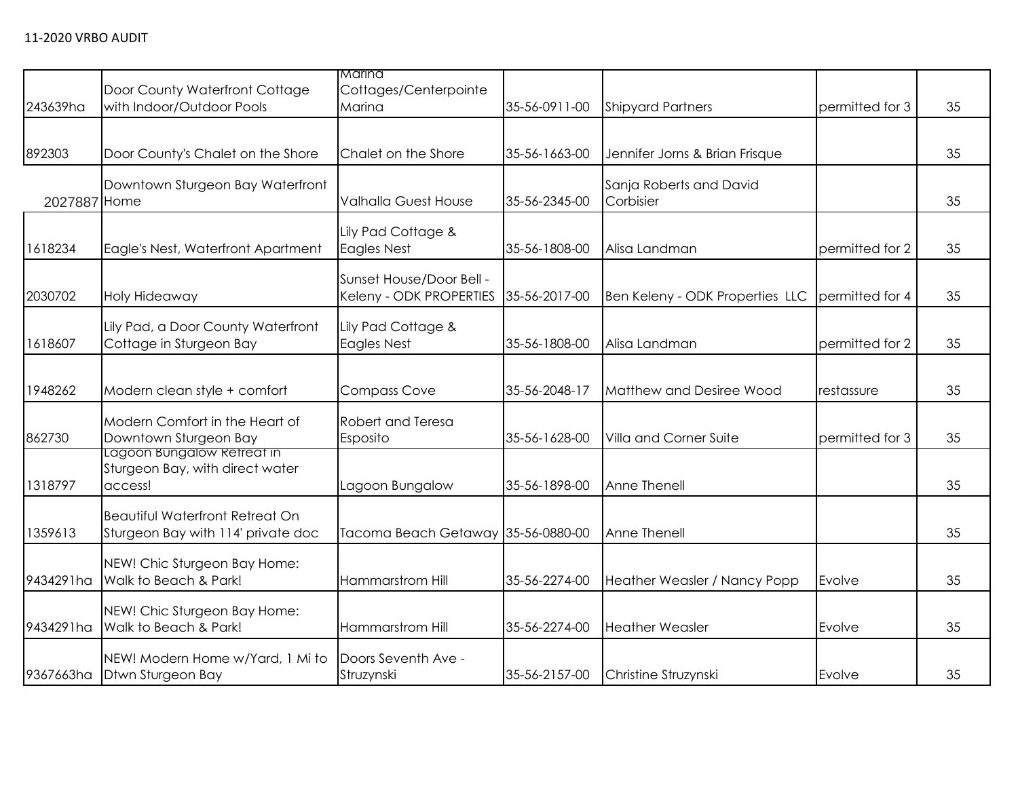|              |                                                                              | Marina                                              |               |                                      |                 |    |
|--------------|------------------------------------------------------------------------------|-----------------------------------------------------|---------------|--------------------------------------|-----------------|----|
| 243639ha     | Door County Waterfront Cottage<br>with Indoor/Outdoor Pools                  | Cottages/Centerpointe<br>Marina                     | 35-56-0911-00 | <b>Shipyard Partners</b>             | permitted for 3 | 35 |
| 892303       | Door County's Chalet on the Shore                                            | Chalet on the Shore                                 | 35-56-1663-00 | Jennifer Jorns & Brian Frisque       |                 | 35 |
| 2027887 Home | Downtown Sturgeon Bay Waterfront                                             | Valhalla Guest House                                | 35-56-2345-00 | Sanja Roberts and David<br>Corbisier |                 | 35 |
| 1618234      | Eagle's Nest, Waterfront Apartment                                           | Lily Pad Cottage &<br><b>Eagles Nest</b>            | 35-56-1808-00 | Alisa Landman                        | permitted for 2 | 35 |
| 2030702      | Holy Hideaway                                                                | Sunset House/Door Bell -<br>Keleny - ODK PROPERTIES | 35-56-2017-00 | Ben Keleny - ODK Properties LLC      | permitted for 4 | 35 |
| 1618607      | Lily Pad, a Door County Waterfront<br>Cottage in Sturgeon Bay                | Lily Pad Cottage &<br>Eagles Nest                   | 35-56-1808-00 | Alisa Landman                        | permitted for 2 | 35 |
| 1948262      | Modern clean style + comfort                                                 | <b>Compass Cove</b>                                 | 35-56-2048-17 | Matthew and Desiree Wood             | restassure      | 35 |
| 862730       | Modern Comfort in the Heart of<br>Downtown Sturgeon Bay                      | Robert and Teresa<br>Esposito                       | 35-56-1628-00 | Villa and Corner Suite               | permitted for 3 | 35 |
| 1318797      | Lagoon Bungalow Refreat in<br>Sturgeon Bay, with direct water<br>access!     | Lagoon Bungalow                                     | 35-56-1898-00 | Anne Thenell                         |                 | 35 |
| 1359613      | <b>Beautiful Waterfront Retreat On</b><br>Sturgeon Bay with 114' private doc | Tacoma Beach Getaway 35-56-0880-00                  |               | Anne Thenell                         |                 | 35 |
| 9434291ha    | NEW! Chic Sturgeon Bay Home:<br>Walk to Beach & Park!                        | <b>Hammarstrom Hill</b>                             | 35-56-2274-00 | Heather Weasler / Nancy Popp         | Evolve          | 35 |
| 9434291ha    | NEW! Chic Sturgeon Bay Home:<br>Walk to Beach & Park!                        | Hammarstrom Hill                                    | 35-56-2274-00 | <b>Heather Weasler</b>               | Evolve          | 35 |
| 9367663ha    | NEW! Modern Home w/Yard, 1 Mi to<br>Dtwn Sturgeon Bay                        | Doors Seventh Ave -<br>Struzynski                   | 35-56-2157-00 | Christine Struzynski                 | Evolve          | 35 |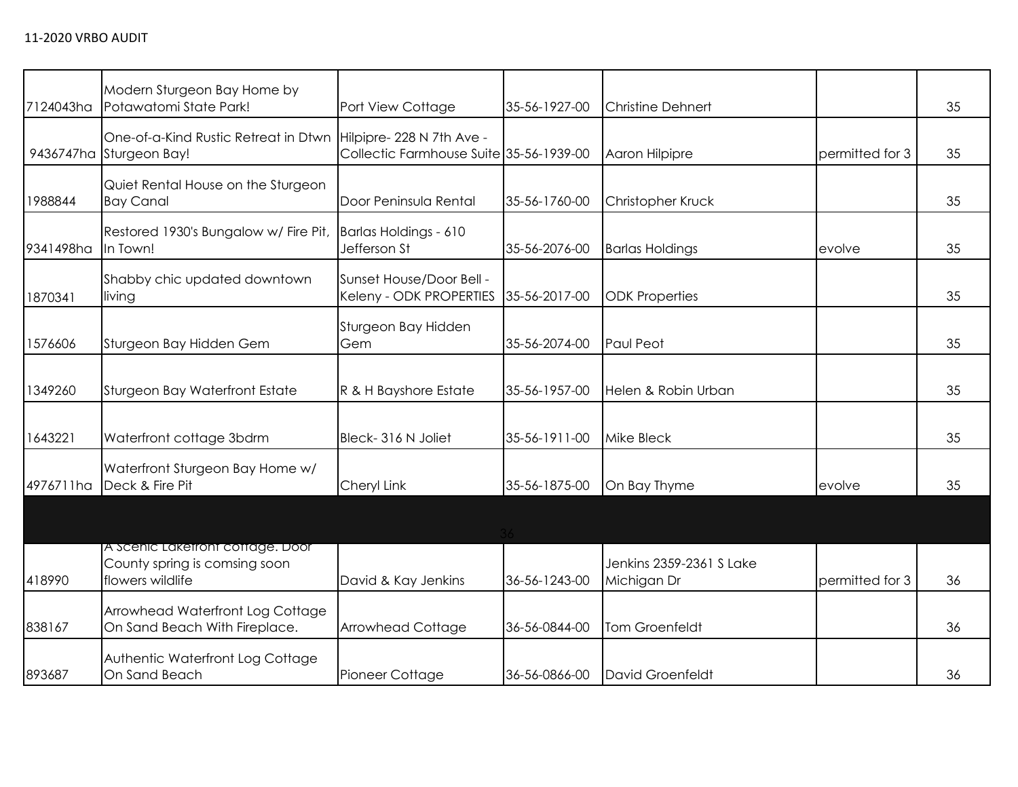| 7124043ha | Modern Sturgeon Bay Home by<br>Potawatomi State Park!                                 | Port View Cottage                                                   | 35-56-1927-00 | <b>Christine Dehnert</b>                |                 | 35 |
|-----------|---------------------------------------------------------------------------------------|---------------------------------------------------------------------|---------------|-----------------------------------------|-----------------|----|
|           | One-of-a-Kind Rustic Retreat in Dtwn<br>9436747ha Sturgeon Bay!                       | Hilpipre-228 N 7th Ave -<br>Collectic Farmhouse Suite 35-56-1939-00 |               | Aaron Hilpipre                          | permitted for 3 | 35 |
| 1988844   | Quiet Rental House on the Sturgeon<br><b>Bay Canal</b>                                | Door Peninsula Rental                                               | 35-56-1760-00 | Christopher Kruck                       |                 | 35 |
| 9341498ha | Restored 1930's Bungalow w/ Fire Pit,<br>In Town!                                     | Barlas Holdings - 610<br>Jefferson St                               | 35-56-2076-00 | <b>Barlas Holdings</b>                  | evolve          | 35 |
| 1870341   | Shabby chic updated downtown<br>living                                                | Sunset House/Door Bell -<br>Keleny - ODK PROPERTIES                 | 35-56-2017-00 | <b>ODK Properties</b>                   |                 | 35 |
| 1576606   | Sturgeon Bay Hidden Gem                                                               | Sturgeon Bay Hidden<br>Gem                                          | 35-56-2074-00 | Paul Peot                               |                 | 35 |
| 1349260   | Sturgeon Bay Waterfront Estate                                                        | R & H Bayshore Estate                                               | 35-56-1957-00 | Helen & Robin Urban                     |                 | 35 |
| 1643221   | Waterfront cottage 3bdrm                                                              | Bleck-316 N Joliet                                                  | 35-56-1911-00 | <b>Mike Bleck</b>                       |                 | 35 |
| 4976711ha | Waterfront Sturgeon Bay Home w/<br>Deck & Fire Pit                                    | Cheryl Link                                                         | 35-56-1875-00 | On Bay Thyme                            | evolve          | 35 |
|           |                                                                                       |                                                                     |               |                                         |                 |    |
| 418990    | A Scenic Laketront cottage. Door<br>County spring is comsing soon<br>flowers wildlife | David & Kay Jenkins                                                 | 36-56-1243-00 | Jenkins 2359-2361 S Lake<br>Michigan Dr | permitted for 3 | 36 |
| 838167    | Arrowhead Waterfront Log Cottage<br>On Sand Beach With Fireplace.                     | <b>Arrowhead Cottage</b>                                            | 36-56-0844-00 | Tom Groenfeldt                          |                 | 36 |
| 893687    | Authentic Waterfront Log Cottage<br>On Sand Beach                                     | Pioneer Cottage                                                     | 36-56-0866-00 | David Groenfeldt                        |                 | 36 |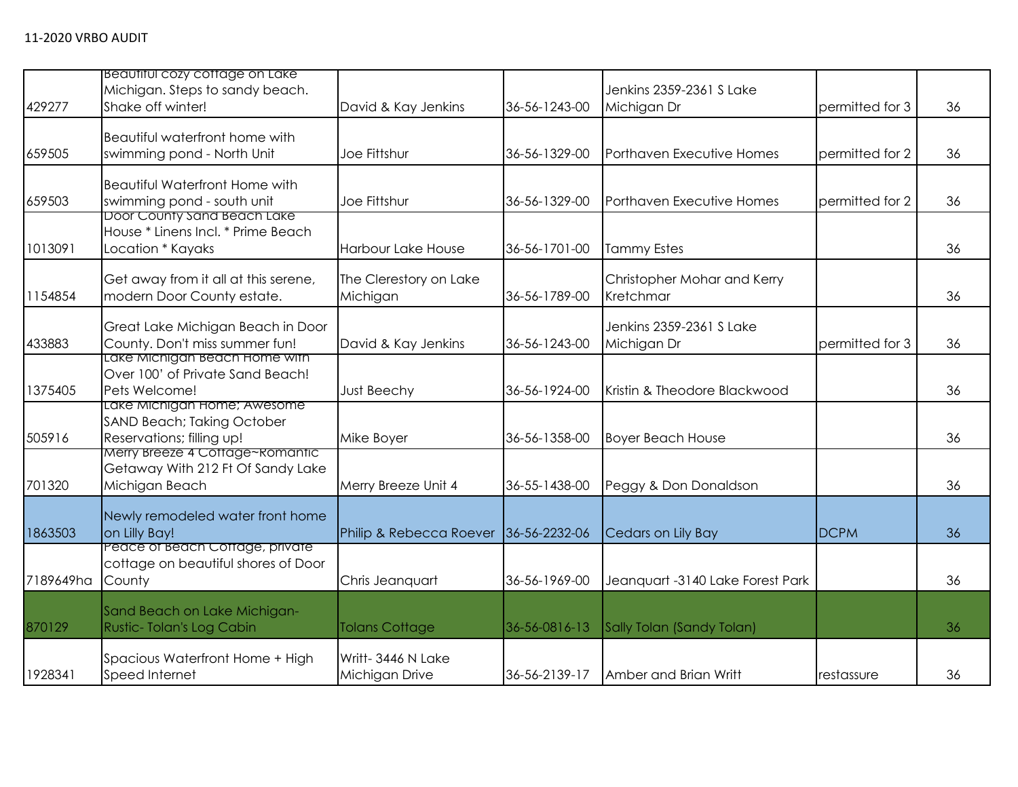| 429277    | Beautiful cozy coffage on Lake<br>Michigan. Steps to sandy beach.<br>Shake off winter!        | David & Kay Jenkins                 | 36-56-1243-00 | Jenkins 2359-2361 S Lake<br>Michigan Dr  | permitted for 3 | 36 |
|-----------|-----------------------------------------------------------------------------------------------|-------------------------------------|---------------|------------------------------------------|-----------------|----|
| 659505    | Beautiful waterfront home with<br>swimming pond - North Unit                                  | Joe Fittshur                        | 36-56-1329-00 | Porthaven Executive Homes                | permitted for 2 | 36 |
| 659503    | <b>Beautiful Waterfront Home with</b><br>swimming pond - south unit                           | Joe Fittshur                        | 36-56-1329-00 | Porthaven Executive Homes                | permitted for 2 | 36 |
| 1013091   | Door County sand Beach Lake<br>House * Linens Incl. * Prime Beach<br>Location * Kayaks        | <b>Harbour Lake House</b>           | 36-56-1701-00 | <b>Tammy Estes</b>                       |                 | 36 |
| 1154854   | Get away from it all at this serene,<br>modern Door County estate.                            | The Clerestory on Lake<br>Michigan  | 36-56-1789-00 | Christopher Mohar and Kerry<br>Kretchmar |                 | 36 |
| 433883    | Great Lake Michigan Beach in Door<br>County. Don't miss summer fun!                           | David & Kay Jenkins                 | 36-56-1243-00 | Jenkins 2359-2361 S Lake<br>Michigan Dr  | permitted for 3 | 36 |
| 1375405   | Lake Michigan Beach Home with<br>Over 100' of Private Sand Beach!<br>Pets Welcome!            | Just Beechy                         | 36-56-1924-00 | Kristin & Theodore Blackwood             |                 | 36 |
| 505916    | Lake Michigan Home; Awesome<br><b>SAND Beach; Taking October</b><br>Reservations; filling up! | Mike Boyer                          | 36-56-1358-00 | <b>Boyer Beach House</b>                 |                 | 36 |
| 701320    | Merry Breeze 4 Cottage~Romantic<br>Getaway With 212 Ft Of Sandy Lake<br>Michigan Beach        | Merry Breeze Unit 4                 | 36-55-1438-00 | Peggy & Don Donaldson                    |                 | 36 |
| 1863503   | Newly remodeled water front home<br>on Lilly Bay!                                             | Philip & Rebecca Roever             | 36-56-2232-06 | Cedars on Lily Bay                       | <b>DCPM</b>     | 36 |
| 7189649ha | Peace of Beach Coffage, private<br>cottage on beautiful shores of Door<br>County              | Chris Jeanquart                     | 36-56-1969-00 | Jeanquart -3140 Lake Forest Park         |                 | 36 |
| 870129    | Sand Beach on Lake Michigan-<br>Rustic-Tolan's Log Cabin                                      | <b>Tolans Cottage</b>               | 36-56-0816-13 | Sally Tolan (Sandy Tolan)                |                 | 36 |
| 1928341   | Spacious Waterfront Home + High<br>Speed Internet                                             | Writt-3446 N Lake<br>Michigan Drive | 36-56-2139-17 | Amber and Brian Writt                    | restassure      | 36 |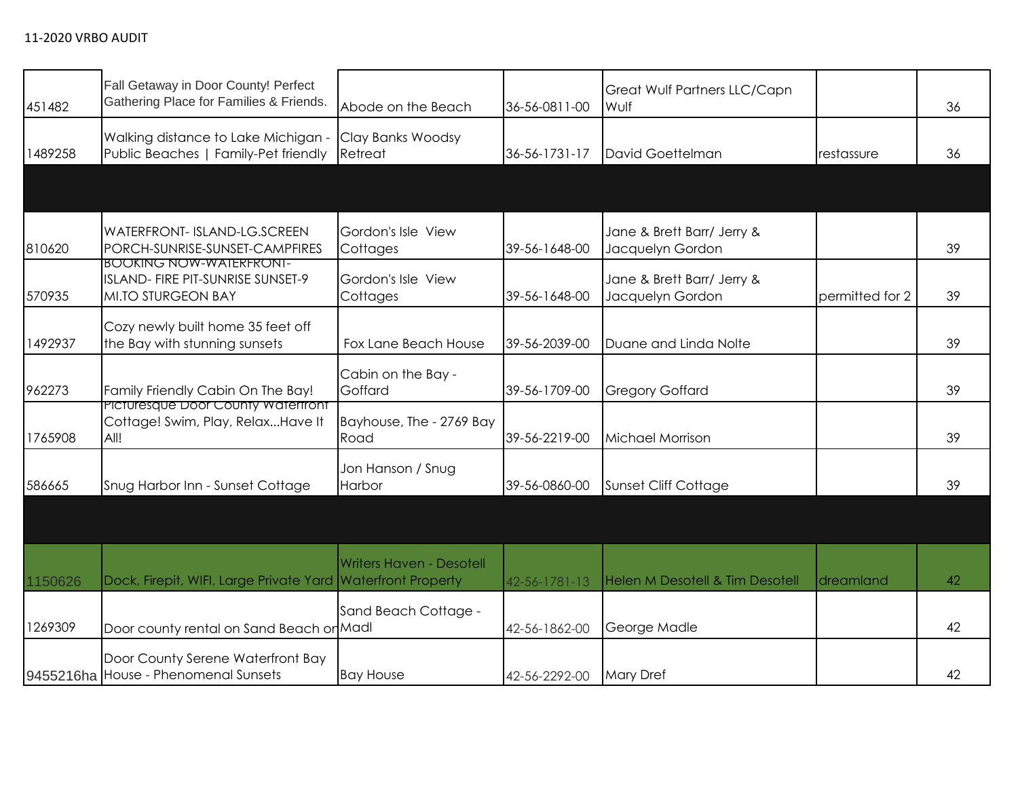| 451482  | Fall Getaway in Door County! Perfect<br>Gathering Place for Families & Friends.           | Abode on the Beach               | 36-56-0811-00 | Great Wulf Partners LLC/Capn<br>Wulf           |                 | 36 |
|---------|-------------------------------------------------------------------------------------------|----------------------------------|---------------|------------------------------------------------|-----------------|----|
| 1489258 | Walking distance to Lake Michigan -<br>Public Beaches   Family-Pet friendly               | Clay Banks Woodsy<br>Retreat     | 36-56-1731-17 | David Goettelman                               | restassure      | 36 |
|         |                                                                                           |                                  |               |                                                |                 |    |
| 810620  | <b>WATERFRONT- ISLAND-LG.SCREEN</b><br>PORCH-SUNRISE-SUNSET-CAMPFIRES                     | Gordon's Isle View<br>Cottages   | 39-56-1648-00 | Jane & Brett Barr/ Jerry &<br>Jacquelyn Gordon |                 | 39 |
| 570935  | <b>BOOKING NOW-WAIERFRONI-</b><br>ISLAND- FIRE PIT-SUNRISE SUNSET-9<br>MI.TO STURGEON BAY | Gordon's Isle View<br>Cottages   | 39-56-1648-00 | Jane & Brett Barr/ Jerry &<br>Jacquelyn Gordon | permitted for 2 | 39 |
| 1492937 | Cozy newly built home 35 feet off<br>the Bay with stunning sunsets                        | Fox Lane Beach House             | 39-56-2039-00 | Duane and Linda Nolte                          |                 | 39 |
| 962273  | Family Friendly Cabin On The Bay!                                                         | Cabin on the Bay -<br>Goffard    | 39-56-1709-00 | <b>Gregory Goffard</b>                         |                 | 39 |
| 1765908 | Picturesque Door County watertront<br>Cottage! Swim, Play, RelaxHave It<br>All!           | Bayhouse, The - 2769 Bay<br>Road | 39-56-2219-00 | <b>Michael Morrison</b>                        |                 | 39 |
| 586665  | Snug Harbor Inn - Sunset Cottage                                                          | Jon Hanson / Snug<br>Harbor      | 39-56-0860-00 | <b>Sunset Cliff Cottage</b>                    |                 | 39 |
|         |                                                                                           |                                  |               |                                                |                 |    |
| 1150626 | Dock, Firepit, WIFI, Large Private Yard Waterfront Property                               | <b>Writers Haven - Desotell</b>  | 42-56-1781-13 | <b>Helen M Desotell &amp; Tim Desotell</b>     | dreamland       | 42 |
| 1269309 | Door county rental on Sand Beach or Madl                                                  | Sand Beach Cottage -             | 42-56-1862-00 | George Madle                                   |                 | 42 |
|         | Door County Serene Waterfront Bay<br>9455216ha House - Phenomenal Sunsets                 | <b>Bay House</b>                 | 42-56-2292-00 | <b>Mary Dref</b>                               |                 | 42 |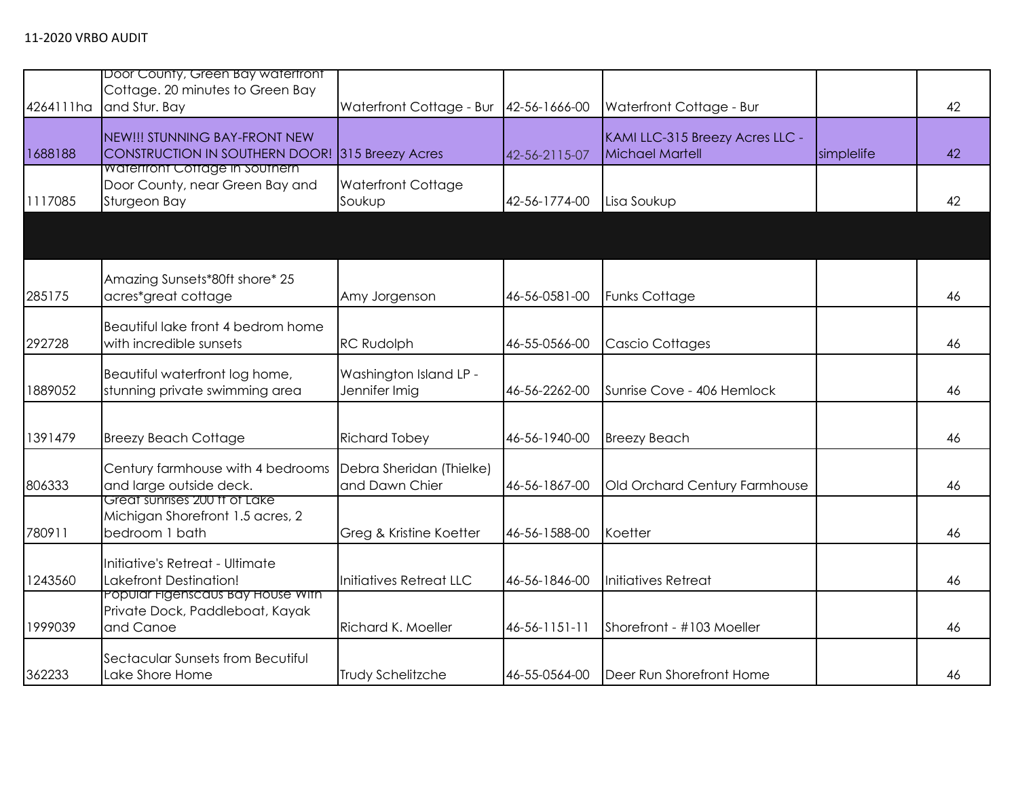| 4264111ha | Door County, Green Bay watertront<br>Cottage. 20 minutes to Green Bay<br>and Stur. Bay   | Waterfront Cottage - Bur                   | 42-56-1666-00 | Waterfront Cottage - Bur                           |            | 42 |
|-----------|------------------------------------------------------------------------------------------|--------------------------------------------|---------------|----------------------------------------------------|------------|----|
| 1688188   | NEW!!! STUNNING BAY-FRONT NEW<br>CONSTRUCTION IN SOUTHERN DOOR! 315 Breezy Acres         |                                            | 42-56-2115-07 | KAMI LLC-315 Breezy Acres LLC -<br>Michael Martell | simplelife | 42 |
| 1117085   | <b>Watertront Cottage in Southern</b><br>Door County, near Green Bay and<br>Sturgeon Bay | <b>Waterfront Cottage</b><br>Soukup        | 42-56-1774-00 | Lisa Soukup                                        |            | 42 |
|           |                                                                                          |                                            |               |                                                    |            |    |
| 285175    | Amazing Sunsets*80ft shore* 25<br>acres*great cottage                                    | Amy Jorgenson                              | 46-56-0581-00 | <b>Funks Cottage</b>                               |            | 46 |
| 292728    | Beautiful lake front 4 bedrom home<br>with incredible sunsets                            | <b>RC Rudolph</b>                          | 46-55-0566-00 | <b>Cascio Cottages</b>                             |            | 46 |
| 1889052   | Beautiful waterfront log home,<br>stunning private swimming area                         | Washington Island LP -<br>Jennifer Imig    | 46-56-2262-00 | Sunrise Cove - 406 Hemlock                         |            | 46 |
| 1391479   | <b>Breezy Beach Cottage</b>                                                              | <b>Richard Tobey</b>                       | 46-56-1940-00 | <b>Breezy Beach</b>                                |            | 46 |
| 806333    | Century farmhouse with 4 bedrooms<br>and large outside deck.                             | Debra Sheridan (Thielke)<br>and Dawn Chier | 46-56-1867-00 | Old Orchard Century Farmhouse                      |            | 46 |
| 780911    | Great sunrises 200 ft of Lake<br>Michigan Shorefront 1.5 acres, 2<br>bedroom 1 bath      | Greg & Kristine Koetter                    | 46-56-1588-00 | Koetter                                            |            | 46 |
| 1243560   | Initiative's Retreat - Ultimate<br>Lakefront Destination!                                | Initiatives Retreat LLC                    | 46-56-1846-00 | Initiatives Retreat                                |            | 46 |
| 1999039   | Popular Figenscaus Bay House With<br>Private Dock, Paddleboat, Kayak<br>and Canoe        | Richard K. Moeller                         | 46-56-1151-11 | Shorefront - #103 Moeller                          |            | 46 |
| 362233    | Sectacular Sunsets from Becutiful<br>Lake Shore Home                                     | Trudy Schelitzche                          | 46-55-0564-00 | Deer Run Shorefront Home                           |            | 46 |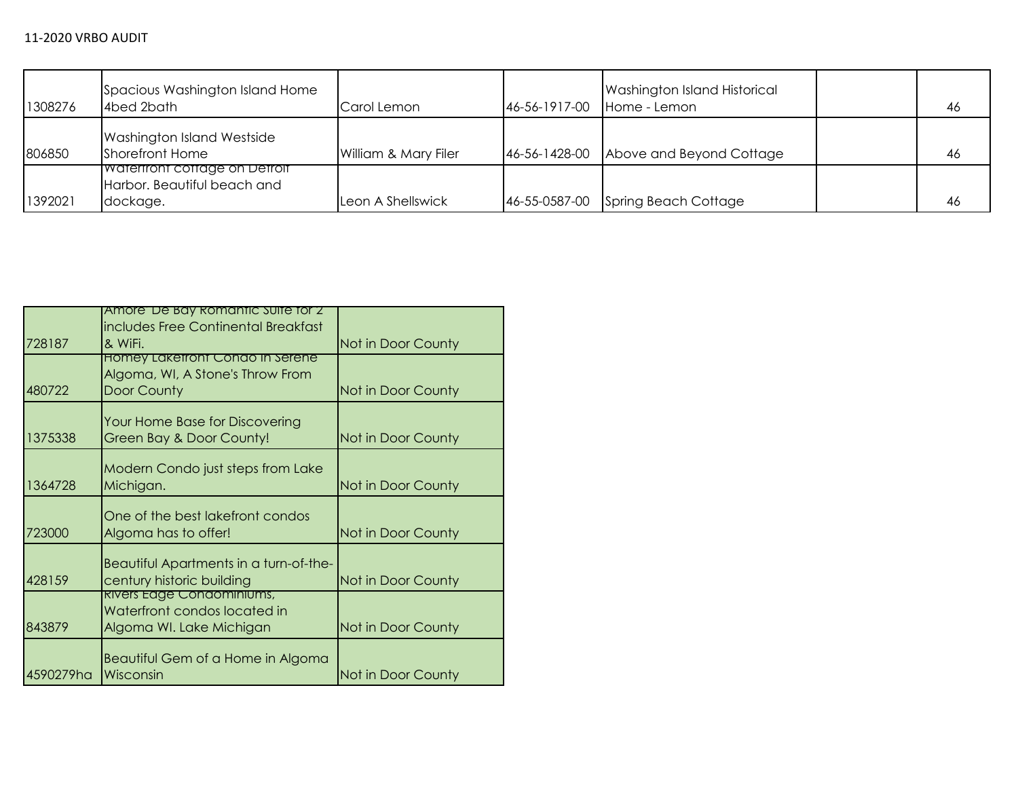| 1308276 | Spacious Washington Island Home<br>4bed 2bath                                    | Carol Lemon          | 46-56-1917-00 | Washington Island Historical<br>Home - Lemon | 46  |
|---------|----------------------------------------------------------------------------------|----------------------|---------------|----------------------------------------------|-----|
| 806850  | Washington Island Westside<br>Shorefront Home                                    | William & Mary Filer | 46-56-1428-00 | Above and Beyond Cottage                     | -46 |
| 1392021 | <b>IWaterfront cottage on Detroit</b><br>Harbor. Beautiful beach and<br>dockage. | Leon A Shellswick    | 46-55-0587-00 | Spring Beach Cottage                         | 46  |

|           | Amore' De Bay Romantic Suite for Z                                  |                    |
|-----------|---------------------------------------------------------------------|--------------------|
|           | includes Free Continental Breakfast                                 |                    |
| 728187    | & WiFi.                                                             | Not in Door County |
|           | Homey Laketront Condo In Serene                                     |                    |
|           | Algoma, WI, A Stone's Throw From                                    |                    |
| 480722    | Door County                                                         | Not in Door County |
|           | Your Home Base for Discovering                                      |                    |
| 1375338   | Green Bay & Door County!                                            | Not in Door County |
|           | Modern Condo just steps from Lake                                   |                    |
| 1364728   | Michigan.                                                           | Not in Door County |
|           | One of the best lakefront condos                                    |                    |
| 723000    | Algoma has to offer!                                                | Not in Door County |
| 428159    | Beautiful Apartments in a turn-of-the-<br>century historic building | Not in Door County |
|           | <u>Rivers Edge Condominiums,</u>                                    |                    |
| 843879    | Waterfront condos located in<br>Algoma WI. Lake Michigan            | Not in Door County |
| 4590279ha | Beautiful Gem of a Home in Algoma<br>Wisconsin                      | Not in Door County |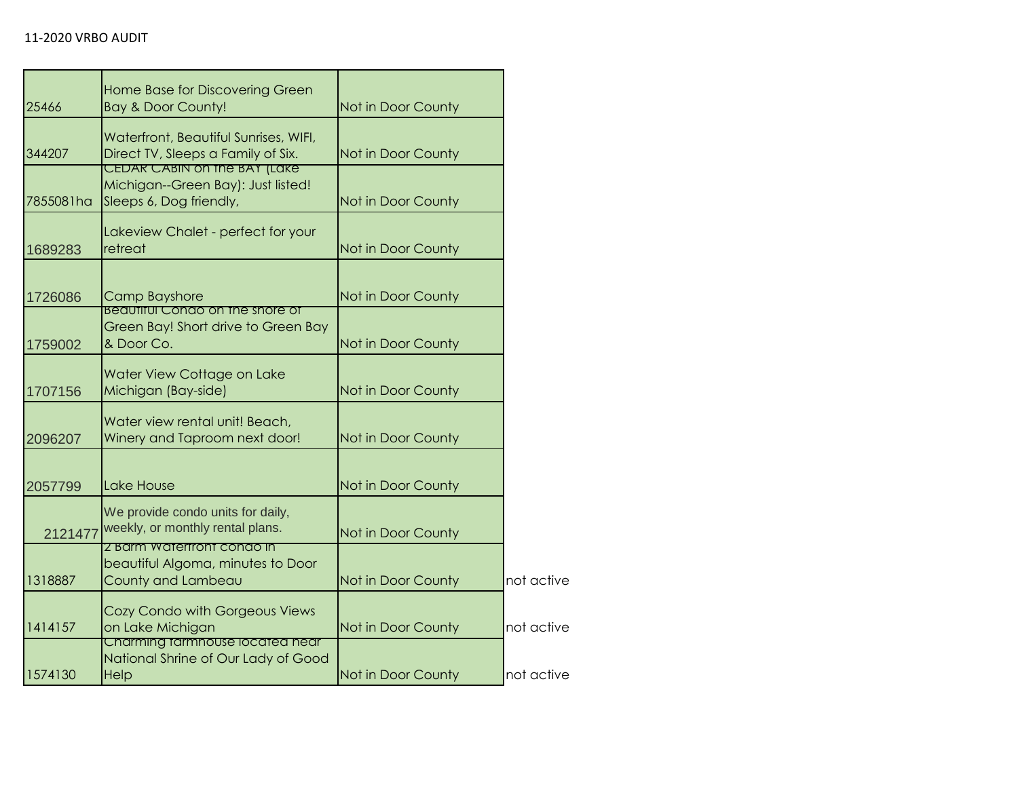| 25466     | Home Base for Discovering Green<br><b>Bay &amp; Door County!</b>                              | Not in Door County |            |
|-----------|-----------------------------------------------------------------------------------------------|--------------------|------------|
| 344207    | Waterfront, Beautiful Sunrises, WIFI,<br>Direct TV, Sleeps a Family of Six.                   | Not in Door County |            |
| 7855081ha | CEDAR CABIN ON THE BAY (LAKE<br>Michigan--Green Bay): Just listed!<br>Sleeps 6, Dog friendly, | Not in Door County |            |
| 1689283   | Lakeview Chalet - perfect for your<br>retreat                                                 | Not in Door County |            |
| 1726086   | <b>Camp Bayshore</b>                                                                          | Not in Door County |            |
| 1759002   | <b>Beautiful Condo on the shore of</b><br>Green Bay! Short drive to Green Bay<br>& Door Co.   | Not in Door County |            |
| 1707156   | Water View Cottage on Lake<br>Michigan (Bay-side)                                             | Not in Door County |            |
| 2096207   | Water view rental unit! Beach,<br>Winery and Taproom next door!                               | Not in Door County |            |
| 2057799   | Lake House                                                                                    | Not in Door County |            |
| 2121477   | We provide condo units for daily,<br>weekly, or monthly rental plans.                         | Not in Door County |            |
| 1318887   | 2 Barm Watertront condo in<br>beautiful Algoma, minutes to Door<br>County and Lambeau         | Not in Door County | not active |
| 1414157   | Cozy Condo with Gorgeous Views<br>on Lake Michigan                                            | Not in Door County | not active |
| 1574130   | Charming tarmhouse located near<br>National Shrine of Our Lady of Good<br>Help                | Not in Door County | not active |